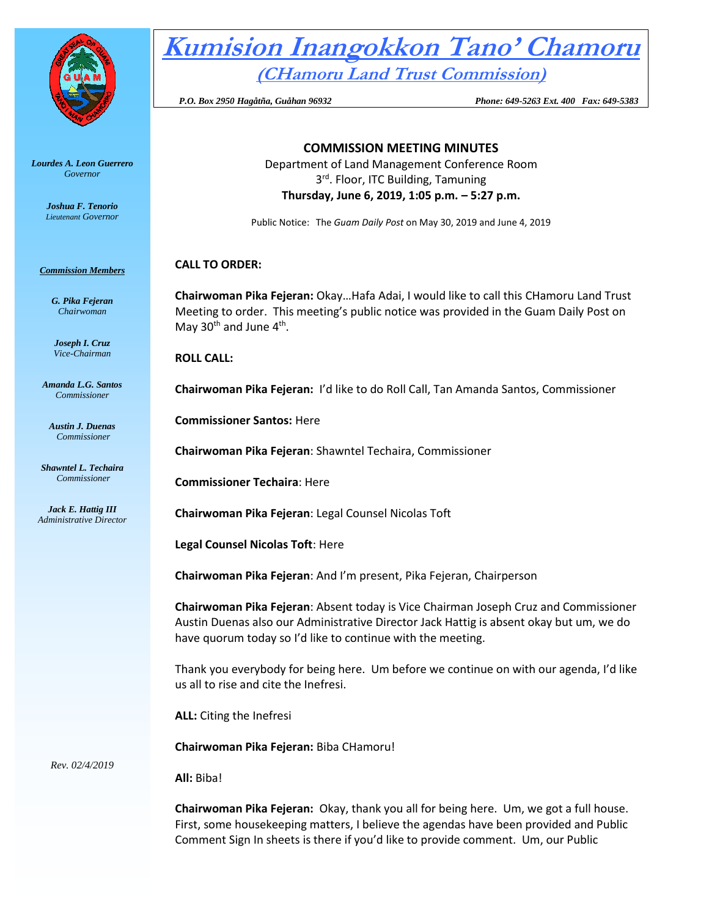

*Lourdes A. Leon Guerrero Governor* 

> *Joshua F. Tenorio Lieutenant Governor*

#### *Commission Members*

*G. Pika Fejeran Chairwoman*

*Joseph I. Cruz Vice-Chairman*

*Amanda L.G. Santos Commissioner*

*Austin J. Duenas Commissioner*

*Shawntel L. Techaira Commissioner*

*Jack E. Hattig III Administrative Director* **Kumision Inangokkon Tano' Chamoru (CHamoru Land Trust Commission)**

 *P.O. Box 2950 Hagåtña, Guåhan 96932 Phone: 649-5263 Ext. 400 Fax: 649-5383*

**COMMISSION MEETING MINUTES**

Department of Land Management Conference Room 3<sup>rd</sup>. Floor, ITC Building, Tamuning **Thursday, June 6, 2019, 1:05 p.m. – 5:27 p.m.**

Public Notice: The *Guam Daily Post* on May 30, 2019 and June 4, 2019

## **CALL TO ORDER:**

**Chairwoman Pika Fejeran:** Okay…Hafa Adai, I would like to call this CHamoru Land Trust Meeting to order. This meeting's public notice was provided in the Guam Daily Post on May 30<sup>th</sup> and June 4<sup>th</sup>.

**ROLL CALL:** 

**Chairwoman Pika Fejeran:** I'd like to do Roll Call, Tan Amanda Santos, Commissioner

**Commissioner Santos:** Here

**Chairwoman Pika Fejeran**: Shawntel Techaira, Commissioner

**Commissioner Techaira**: Here

**Chairwoman Pika Fejeran**: Legal Counsel Nicolas Toft

**Legal Counsel Nicolas Toft**: Here

**Chairwoman Pika Fejeran**: And I'm present, Pika Fejeran, Chairperson

**Chairwoman Pika Fejeran**: Absent today is Vice Chairman Joseph Cruz and Commissioner Austin Duenas also our Administrative Director Jack Hattig is absent okay but um, we do have quorum today so I'd like to continue with the meeting.

Thank you everybody for being here. Um before we continue on with our agenda, I'd like us all to rise and cite the Inefresi.

**ALL:** Citing the Inefresi

**Chairwoman Pika Fejeran:** Biba CHamoru!

## **All:** Biba!

**Chairwoman Pika Fejeran:** Okay, thank you all for being here. Um, we got a full house. First, some housekeeping matters, I believe the agendas have been provided and Public Comment Sign In sheets is there if you'd like to provide comment. Um, our Public

*Rev. 02/4/2019*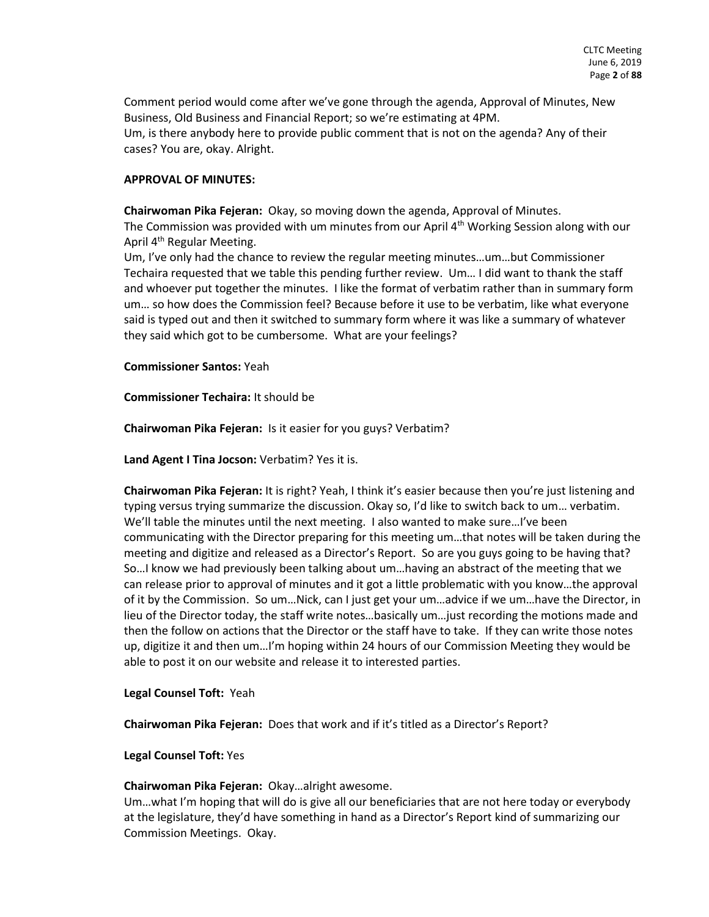Comment period would come after we've gone through the agenda, Approval of Minutes, New Business, Old Business and Financial Report; so we're estimating at 4PM. Um, is there anybody here to provide public comment that is not on the agenda? Any of their cases? You are, okay. Alright.

# **APPROVAL OF MINUTES:**

**Chairwoman Pika Fejeran:** Okay, so moving down the agenda, Approval of Minutes. The Commission was provided with um minutes from our April  $4<sup>th</sup>$  Working Session along with our April 4th Regular Meeting.

Um, I've only had the chance to review the regular meeting minutes…um…but Commissioner Techaira requested that we table this pending further review. Um… I did want to thank the staff and whoever put together the minutes. I like the format of verbatim rather than in summary form um… so how does the Commission feel? Because before it use to be verbatim, like what everyone said is typed out and then it switched to summary form where it was like a summary of whatever they said which got to be cumbersome. What are your feelings?

**Commissioner Santos:** Yeah

**Commissioner Techaira:** It should be

**Chairwoman Pika Fejeran:** Is it easier for you guys? Verbatim?

**Land Agent I Tina Jocson:** Verbatim? Yes it is.

**Chairwoman Pika Fejeran:** It is right? Yeah, I think it's easier because then you're just listening and typing versus trying summarize the discussion. Okay so, I'd like to switch back to um… verbatim. We'll table the minutes until the next meeting. I also wanted to make sure…I've been communicating with the Director preparing for this meeting um…that notes will be taken during the meeting and digitize and released as a Director's Report. So are you guys going to be having that? So…I know we had previously been talking about um…having an abstract of the meeting that we can release prior to approval of minutes and it got a little problematic with you know…the approval of it by the Commission. So um…Nick, can I just get your um…advice if we um…have the Director, in lieu of the Director today, the staff write notes…basically um…just recording the motions made and then the follow on actions that the Director or the staff have to take. If they can write those notes up, digitize it and then um…I'm hoping within 24 hours of our Commission Meeting they would be able to post it on our website and release it to interested parties.

**Legal Counsel Toft:** Yeah

**Chairwoman Pika Fejeran:** Does that work and if it's titled as a Director's Report?

## **Legal Counsel Toft:** Yes

## **Chairwoman Pika Fejeran:** Okay…alright awesome.

Um…what I'm hoping that will do is give all our beneficiaries that are not here today or everybody at the legislature, they'd have something in hand as a Director's Report kind of summarizing our Commission Meetings. Okay.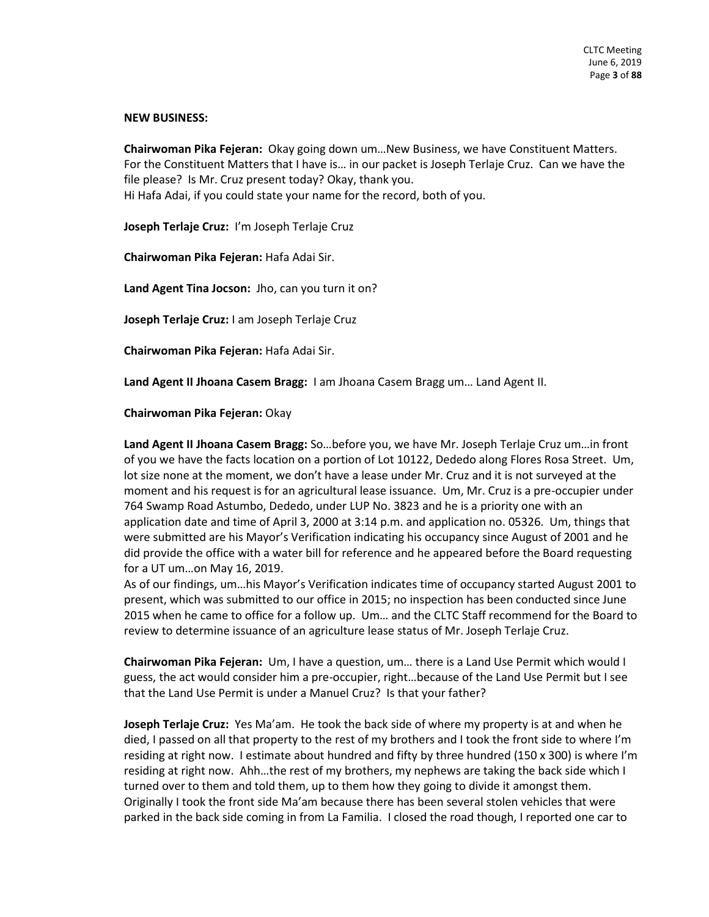## **NEW BUSINESS:**

**Chairwoman Pika Fejeran:** Okay going down um…New Business, we have Constituent Matters. For the Constituent Matters that I have is… in our packet is Joseph Terlaje Cruz. Can we have the file please? Is Mr. Cruz present today? Okay, thank you. Hi Hafa Adai, if you could state your name for the record, both of you.

**Joseph Terlaje Cruz:** I'm Joseph Terlaje Cruz

**Chairwoman Pika Fejeran:** Hafa Adai Sir.

**Land Agent Tina Jocson:** Jho, can you turn it on?

**Joseph Terlaje Cruz:** I am Joseph Terlaje Cruz

**Chairwoman Pika Fejeran:** Hafa Adai Sir.

**Land Agent II Jhoana Casem Bragg:** I am Jhoana Casem Bragg um… Land Agent II.

**Chairwoman Pika Fejeran:** Okay

**Land Agent II Jhoana Casem Bragg:** So…before you, we have Mr. Joseph Terlaje Cruz um…in front of you we have the facts location on a portion of Lot 10122, Dededo along Flores Rosa Street. Um, lot size none at the moment, we don't have a lease under Mr. Cruz and it is not surveyed at the moment and his request is for an agricultural lease issuance. Um, Mr. Cruz is a pre-occupier under 764 Swamp Road Astumbo, Dededo, under LUP No. 3823 and he is a priority one with an application date and time of April 3, 2000 at 3:14 p.m. and application no. 05326. Um, things that were submitted are his Mayor's Verification indicating his occupancy since August of 2001 and he did provide the office with a water bill for reference and he appeared before the Board requesting for a UT um…on May 16, 2019.

As of our findings, um…his Mayor's Verification indicates time of occupancy started August 2001 to present, which was submitted to our office in 2015; no inspection has been conducted since June 2015 when he came to office for a follow up. Um… and the CLTC Staff recommend for the Board to review to determine issuance of an agriculture lease status of Mr. Joseph Terlaje Cruz.

**Chairwoman Pika Fejeran:** Um, I have a question, um… there is a Land Use Permit which would I guess, the act would consider him a pre-occupier, right…because of the Land Use Permit but I see that the Land Use Permit is under a Manuel Cruz? Is that your father?

**Joseph Terlaje Cruz:** Yes Ma'am. He took the back side of where my property is at and when he died, I passed on all that property to the rest of my brothers and I took the front side to where I'm residing at right now. I estimate about hundred and fifty by three hundred (150 x 300) is where I'm residing at right now. Ahh…the rest of my brothers, my nephews are taking the back side which I turned over to them and told them, up to them how they going to divide it amongst them. Originally I took the front side Ma'am because there has been several stolen vehicles that were parked in the back side coming in from La Familia. I closed the road though, I reported one car to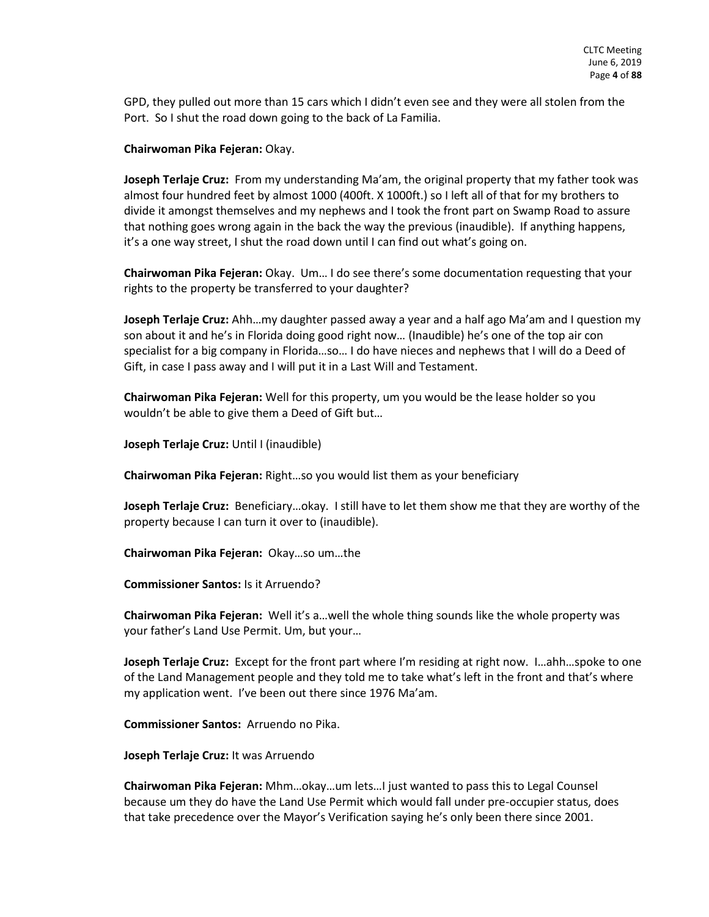GPD, they pulled out more than 15 cars which I didn't even see and they were all stolen from the Port. So I shut the road down going to the back of La Familia.

**Chairwoman Pika Fejeran:** Okay.

**Joseph Terlaje Cruz:** From my understanding Ma'am, the original property that my father took was almost four hundred feet by almost 1000 (400ft. X 1000ft.) so I left all of that for my brothers to divide it amongst themselves and my nephews and I took the front part on Swamp Road to assure that nothing goes wrong again in the back the way the previous (inaudible). If anything happens, it's a one way street, I shut the road down until I can find out what's going on.

**Chairwoman Pika Fejeran:** Okay. Um… I do see there's some documentation requesting that your rights to the property be transferred to your daughter?

**Joseph Terlaje Cruz:** Ahh…my daughter passed away a year and a half ago Ma'am and I question my son about it and he's in Florida doing good right now… (Inaudible) he's one of the top air con specialist for a big company in Florida…so… I do have nieces and nephews that I will do a Deed of Gift, in case I pass away and I will put it in a Last Will and Testament.

**Chairwoman Pika Fejeran:** Well for this property, um you would be the lease holder so you wouldn't be able to give them a Deed of Gift but…

**Joseph Terlaje Cruz:** Until I (inaudible)

**Chairwoman Pika Fejeran:** Right…so you would list them as your beneficiary

**Joseph Terlaje Cruz:** Beneficiary…okay. I still have to let them show me that they are worthy of the property because I can turn it over to (inaudible).

**Chairwoman Pika Fejeran:** Okay…so um…the

**Commissioner Santos:** Is it Arruendo?

**Chairwoman Pika Fejeran:** Well it's a…well the whole thing sounds like the whole property was your father's Land Use Permit. Um, but your…

**Joseph Terlaje Cruz:** Except for the front part where I'm residing at right now. I…ahh…spoke to one of the Land Management people and they told me to take what's left in the front and that's where my application went. I've been out there since 1976 Ma'am.

**Commissioner Santos:** Arruendo no Pika.

**Joseph Terlaje Cruz:** It was Arruendo

**Chairwoman Pika Fejeran:** Mhm…okay…um lets…I just wanted to pass this to Legal Counsel because um they do have the Land Use Permit which would fall under pre-occupier status, does that take precedence over the Mayor's Verification saying he's only been there since 2001.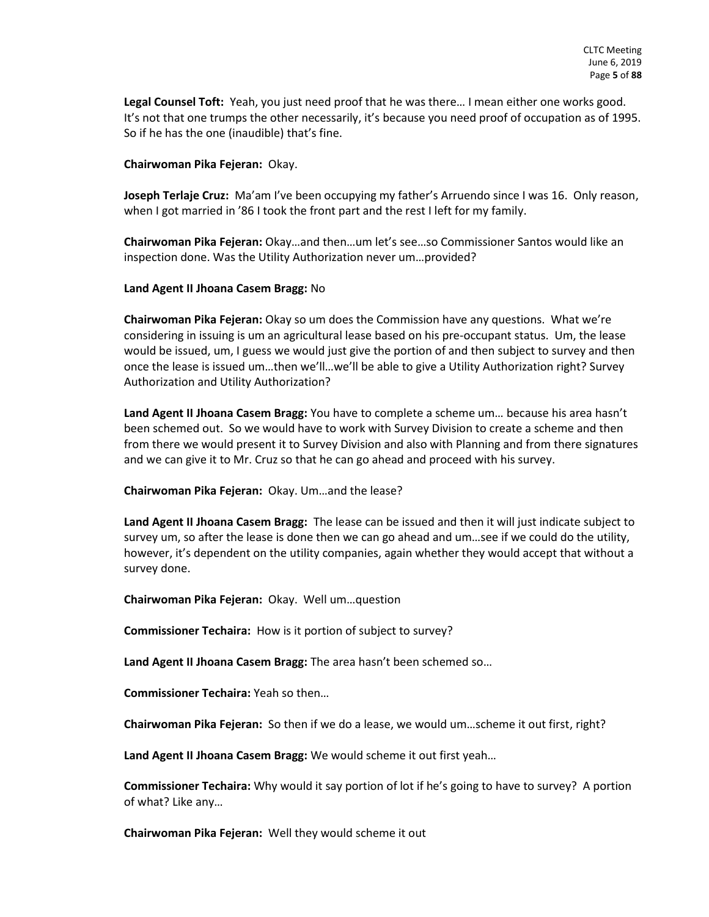**Legal Counsel Toft:** Yeah, you just need proof that he was there… I mean either one works good. It's not that one trumps the other necessarily, it's because you need proof of occupation as of 1995. So if he has the one (inaudible) that's fine.

## **Chairwoman Pika Fejeran:** Okay.

**Joseph Terlaje Cruz:** Ma'am I've been occupying my father's Arruendo since I was 16. Only reason, when I got married in '86 I took the front part and the rest I left for my family.

**Chairwoman Pika Fejeran:** Okay…and then…um let's see…so Commissioner Santos would like an inspection done. Was the Utility Authorization never um…provided?

# **Land Agent II Jhoana Casem Bragg:** No

**Chairwoman Pika Fejeran:** Okay so um does the Commission have any questions. What we're considering in issuing is um an agricultural lease based on his pre-occupant status. Um, the lease would be issued, um, I guess we would just give the portion of and then subject to survey and then once the lease is issued um…then we'll…we'll be able to give a Utility Authorization right? Survey Authorization and Utility Authorization?

**Land Agent II Jhoana Casem Bragg:** You have to complete a scheme um… because his area hasn't been schemed out. So we would have to work with Survey Division to create a scheme and then from there we would present it to Survey Division and also with Planning and from there signatures and we can give it to Mr. Cruz so that he can go ahead and proceed with his survey.

## **Chairwoman Pika Fejeran:** Okay. Um…and the lease?

**Land Agent II Jhoana Casem Bragg:** The lease can be issued and then it will just indicate subject to survey um, so after the lease is done then we can go ahead and um…see if we could do the utility, however, it's dependent on the utility companies, again whether they would accept that without a survey done.

**Chairwoman Pika Fejeran:** Okay. Well um…question

**Commissioner Techaira:** How is it portion of subject to survey?

**Land Agent II Jhoana Casem Bragg:** The area hasn't been schemed so…

**Commissioner Techaira:** Yeah so then…

**Chairwoman Pika Fejeran:** So then if we do a lease, we would um…scheme it out first, right?

**Land Agent II Jhoana Casem Bragg:** We would scheme it out first yeah…

**Commissioner Techaira:** Why would it say portion of lot if he's going to have to survey? A portion of what? Like any…

**Chairwoman Pika Fejeran:** Well they would scheme it out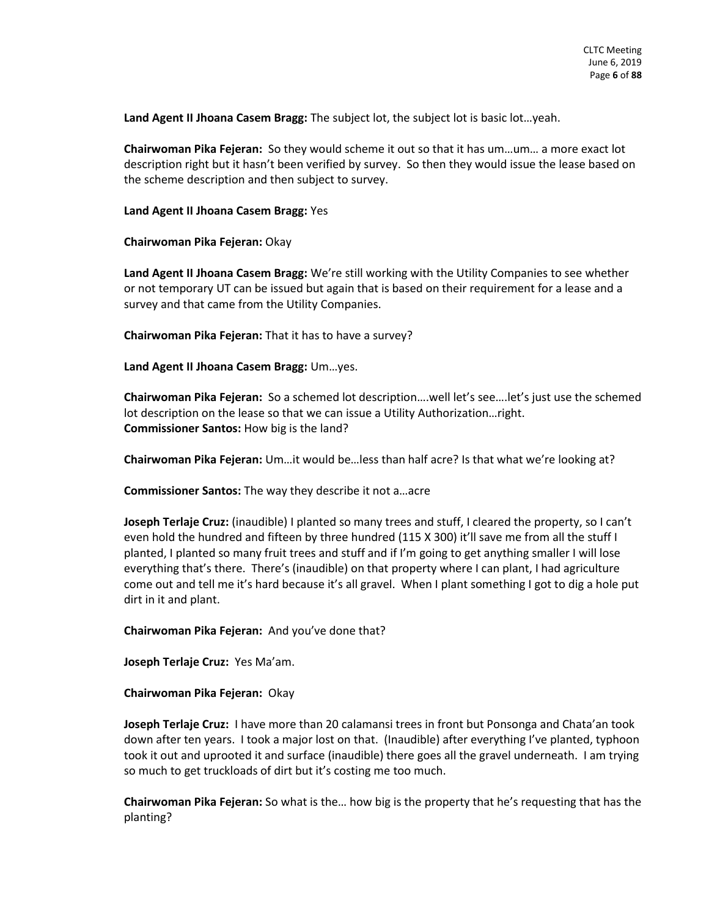**Land Agent II Jhoana Casem Bragg:** The subject lot, the subject lot is basic lot…yeah.

**Chairwoman Pika Fejeran:** So they would scheme it out so that it has um…um… a more exact lot description right but it hasn't been verified by survey. So then they would issue the lease based on the scheme description and then subject to survey.

**Land Agent II Jhoana Casem Bragg:** Yes

**Chairwoman Pika Fejeran:** Okay

**Land Agent II Jhoana Casem Bragg:** We're still working with the Utility Companies to see whether or not temporary UT can be issued but again that is based on their requirement for a lease and a survey and that came from the Utility Companies.

**Chairwoman Pika Fejeran:** That it has to have a survey?

**Land Agent II Jhoana Casem Bragg:** Um…yes.

**Chairwoman Pika Fejeran:** So a schemed lot description….well let's see….let's just use the schemed lot description on the lease so that we can issue a Utility Authorization…right. **Commissioner Santos:** How big is the land?

**Chairwoman Pika Fejeran:** Um…it would be…less than half acre? Is that what we're looking at?

**Commissioner Santos:** The way they describe it not a…acre

**Joseph Terlaje Cruz:** (inaudible) I planted so many trees and stuff, I cleared the property, so I can't even hold the hundred and fifteen by three hundred (115 X 300) it'll save me from all the stuff I planted, I planted so many fruit trees and stuff and if I'm going to get anything smaller I will lose everything that's there. There's (inaudible) on that property where I can plant, I had agriculture come out and tell me it's hard because it's all gravel. When I plant something I got to dig a hole put dirt in it and plant.

**Chairwoman Pika Fejeran:** And you've done that?

**Joseph Terlaje Cruz:** Yes Ma'am.

**Chairwoman Pika Fejeran:** Okay

**Joseph Terlaje Cruz:** I have more than 20 calamansi trees in front but Ponsonga and Chata'an took down after ten years. I took a major lost on that. (Inaudible) after everything I've planted, typhoon took it out and uprooted it and surface (inaudible) there goes all the gravel underneath. I am trying so much to get truckloads of dirt but it's costing me too much.

**Chairwoman Pika Fejeran:** So what is the… how big is the property that he's requesting that has the planting?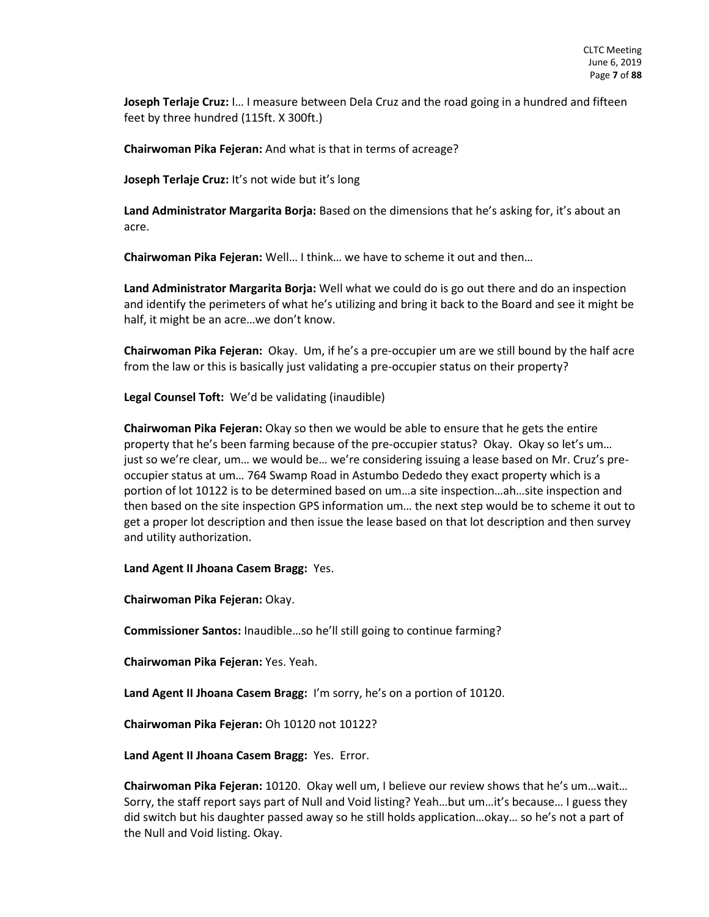**Joseph Terlaje Cruz:** I… I measure between Dela Cruz and the road going in a hundred and fifteen feet by three hundred (115ft. X 300ft.)

**Chairwoman Pika Fejeran:** And what is that in terms of acreage?

**Joseph Terlaje Cruz:** It's not wide but it's long

**Land Administrator Margarita Borja:** Based on the dimensions that he's asking for, it's about an acre.

**Chairwoman Pika Fejeran:** Well… I think… we have to scheme it out and then…

**Land Administrator Margarita Borja:** Well what we could do is go out there and do an inspection and identify the perimeters of what he's utilizing and bring it back to the Board and see it might be half, it might be an acre…we don't know.

**Chairwoman Pika Fejeran:** Okay. Um, if he's a pre-occupier um are we still bound by the half acre from the law or this is basically just validating a pre-occupier status on their property?

**Legal Counsel Toft:** We'd be validating (inaudible)

**Chairwoman Pika Fejeran:** Okay so then we would be able to ensure that he gets the entire property that he's been farming because of the pre-occupier status? Okay. Okay so let's um… just so we're clear, um… we would be… we're considering issuing a lease based on Mr. Cruz's preoccupier status at um… 764 Swamp Road in Astumbo Dededo they exact property which is a portion of lot 10122 is to be determined based on um…a site inspection…ah…site inspection and then based on the site inspection GPS information um… the next step would be to scheme it out to get a proper lot description and then issue the lease based on that lot description and then survey and utility authorization.

**Land Agent II Jhoana Casem Bragg:** Yes.

**Chairwoman Pika Fejeran:** Okay.

**Commissioner Santos:** Inaudible…so he'll still going to continue farming?

**Chairwoman Pika Fejeran:** Yes. Yeah.

**Land Agent II Jhoana Casem Bragg:** I'm sorry, he's on a portion of 10120.

**Chairwoman Pika Fejeran:** Oh 10120 not 10122?

**Land Agent II Jhoana Casem Bragg:** Yes. Error.

**Chairwoman Pika Fejeran:** 10120. Okay well um, I believe our review shows that he's um…wait… Sorry, the staff report says part of Null and Void listing? Yeah…but um…it's because… I guess they did switch but his daughter passed away so he still holds application…okay… so he's not a part of the Null and Void listing. Okay.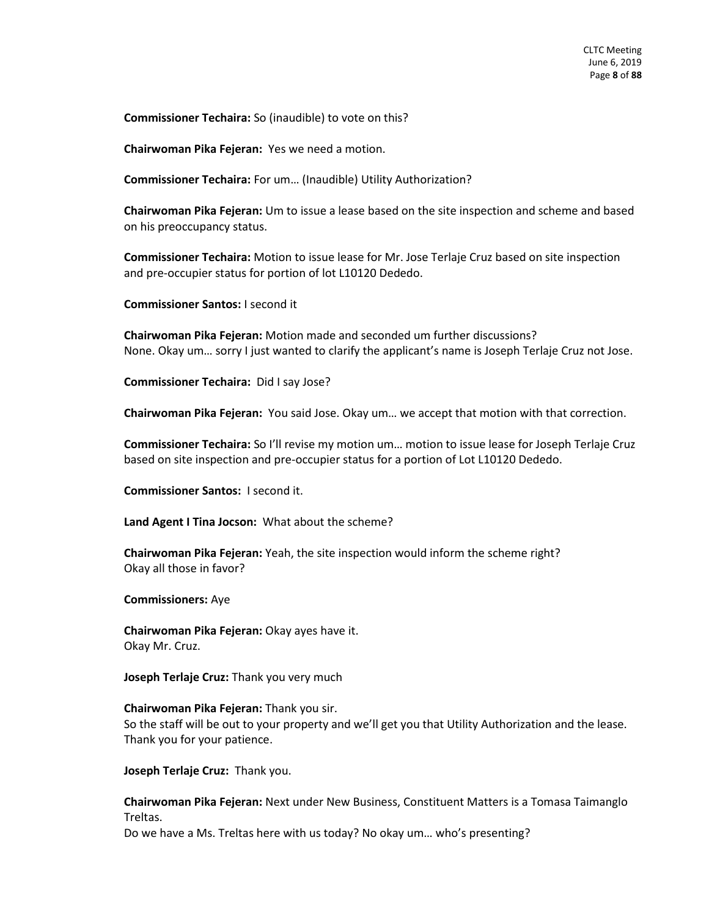**Commissioner Techaira:** So (inaudible) to vote on this?

**Chairwoman Pika Fejeran:** Yes we need a motion.

**Commissioner Techaira:** For um… (Inaudible) Utility Authorization?

**Chairwoman Pika Fejeran:** Um to issue a lease based on the site inspection and scheme and based on his preoccupancy status.

**Commissioner Techaira:** Motion to issue lease for Mr. Jose Terlaje Cruz based on site inspection and pre-occupier status for portion of lot L10120 Dededo.

**Commissioner Santos:** I second it

**Chairwoman Pika Fejeran:** Motion made and seconded um further discussions? None. Okay um… sorry I just wanted to clarify the applicant's name is Joseph Terlaje Cruz not Jose.

**Commissioner Techaira:** Did I say Jose?

**Chairwoman Pika Fejeran:** You said Jose. Okay um… we accept that motion with that correction.

**Commissioner Techaira:** So I'll revise my motion um… motion to issue lease for Joseph Terlaje Cruz based on site inspection and pre-occupier status for a portion of Lot L10120 Dededo.

**Commissioner Santos:** I second it.

**Land Agent I Tina Jocson:** What about the scheme?

**Chairwoman Pika Fejeran:** Yeah, the site inspection would inform the scheme right? Okay all those in favor?

**Commissioners:** Aye

**Chairwoman Pika Fejeran:** Okay ayes have it. Okay Mr. Cruz.

**Joseph Terlaje Cruz:** Thank you very much

**Chairwoman Pika Fejeran:** Thank you sir.

So the staff will be out to your property and we'll get you that Utility Authorization and the lease. Thank you for your patience.

**Joseph Terlaje Cruz:** Thank you.

**Chairwoman Pika Fejeran:** Next under New Business, Constituent Matters is a Tomasa Taimanglo Treltas.

Do we have a Ms. Treltas here with us today? No okay um… who's presenting?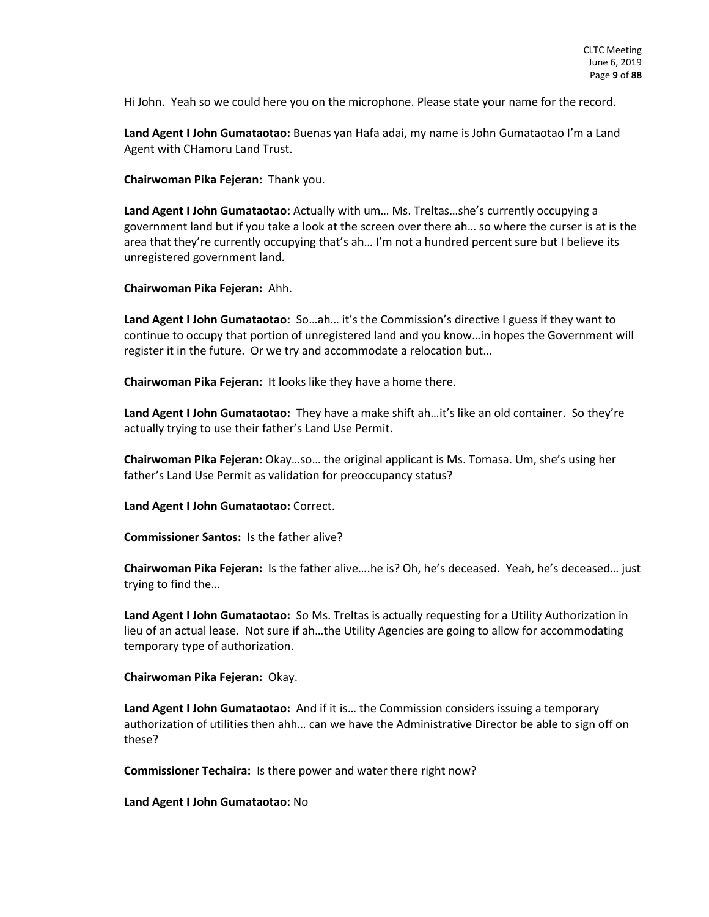Hi John. Yeah so we could here you on the microphone. Please state your name for the record.

**Land Agent I John Gumataotao:** Buenas yan Hafa adai, my name is John Gumataotao I'm a Land Agent with CHamoru Land Trust.

**Chairwoman Pika Fejeran:** Thank you.

**Land Agent I John Gumataotao:** Actually with um… Ms. Treltas…she's currently occupying a government land but if you take a look at the screen over there ah… so where the curser is at is the area that they're currently occupying that's ah... I'm not a hundred percent sure but I believe its unregistered government land.

**Chairwoman Pika Fejeran:** Ahh.

**Land Agent I John Gumataotao:** So…ah… it's the Commission's directive I guess if they want to continue to occupy that portion of unregistered land and you know…in hopes the Government will register it in the future. Or we try and accommodate a relocation but…

**Chairwoman Pika Fejeran:** It looks like they have a home there.

**Land Agent I John Gumataotao:** They have a make shift ah…it's like an old container. So they're actually trying to use their father's Land Use Permit.

**Chairwoman Pika Fejeran:** Okay…so… the original applicant is Ms. Tomasa. Um, she's using her father's Land Use Permit as validation for preoccupancy status?

**Land Agent I John Gumataotao:** Correct.

**Commissioner Santos:** Is the father alive?

**Chairwoman Pika Fejeran:** Is the father alive….he is? Oh, he's deceased. Yeah, he's deceased… just trying to find the…

**Land Agent I John Gumataotao:** So Ms. Treltas is actually requesting for a Utility Authorization in lieu of an actual lease. Not sure if ah…the Utility Agencies are going to allow for accommodating temporary type of authorization.

**Chairwoman Pika Fejeran:** Okay.

**Land Agent I John Gumataotao:** And if it is… the Commission considers issuing a temporary authorization of utilities then ahh… can we have the Administrative Director be able to sign off on these?

**Commissioner Techaira:** Is there power and water there right now?

**Land Agent I John Gumataotao:** No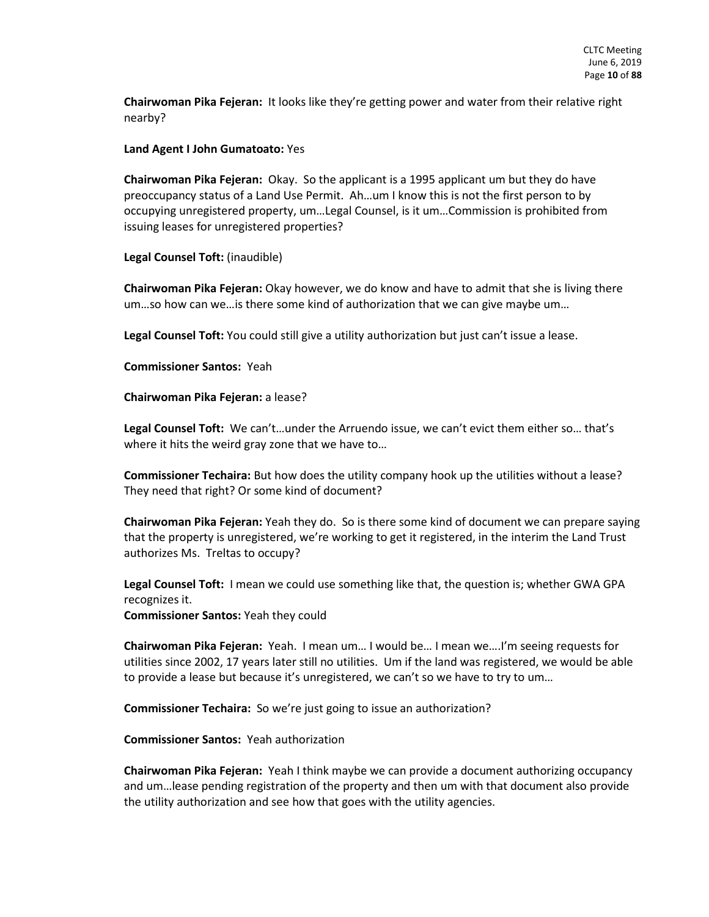**Chairwoman Pika Fejeran:** It looks like they're getting power and water from their relative right nearby?

**Land Agent I John Gumatoato:** Yes

**Chairwoman Pika Fejeran:** Okay. So the applicant is a 1995 applicant um but they do have preoccupancy status of a Land Use Permit. Ah…um I know this is not the first person to by occupying unregistered property, um…Legal Counsel, is it um…Commission is prohibited from issuing leases for unregistered properties?

**Legal Counsel Toft:** (inaudible)

**Chairwoman Pika Fejeran:** Okay however, we do know and have to admit that she is living there um…so how can we…is there some kind of authorization that we can give maybe um…

**Legal Counsel Toft:** You could still give a utility authorization but just can't issue a lease.

**Commissioner Santos:** Yeah

**Chairwoman Pika Fejeran:** a lease?

**Legal Counsel Toft:** We can't…under the Arruendo issue, we can't evict them either so… that's where it hits the weird gray zone that we have to…

**Commissioner Techaira:** But how does the utility company hook up the utilities without a lease? They need that right? Or some kind of document?

**Chairwoman Pika Fejeran:** Yeah they do. So is there some kind of document we can prepare saying that the property is unregistered, we're working to get it registered, in the interim the Land Trust authorizes Ms. Treltas to occupy?

**Legal Counsel Toft:** I mean we could use something like that, the question is; whether GWA GPA recognizes it.

**Commissioner Santos:** Yeah they could

**Chairwoman Pika Fejeran:** Yeah. I mean um… I would be… I mean we….I'm seeing requests for utilities since 2002, 17 years later still no utilities. Um if the land was registered, we would be able to provide a lease but because it's unregistered, we can't so we have to try to um…

**Commissioner Techaira:** So we're just going to issue an authorization?

**Commissioner Santos:** Yeah authorization

**Chairwoman Pika Fejeran:** Yeah I think maybe we can provide a document authorizing occupancy and um…lease pending registration of the property and then um with that document also provide the utility authorization and see how that goes with the utility agencies.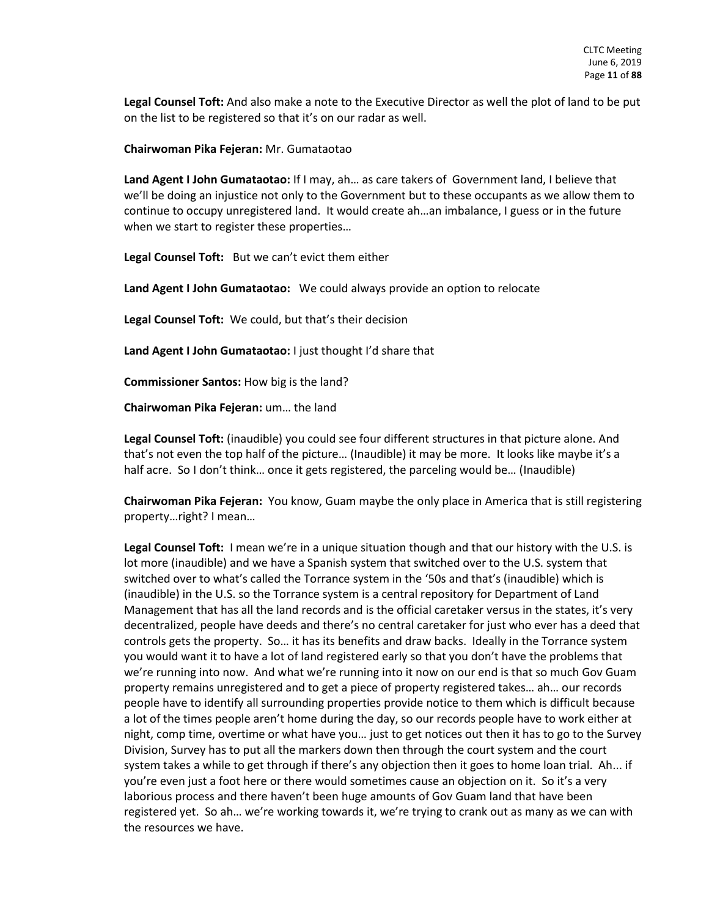**Legal Counsel Toft:** And also make a note to the Executive Director as well the plot of land to be put on the list to be registered so that it's on our radar as well.

**Chairwoman Pika Fejeran:** Mr. Gumataotao

**Land Agent I John Gumataotao:** If I may, ah… as care takers of Government land, I believe that we'll be doing an injustice not only to the Government but to these occupants as we allow them to continue to occupy unregistered land. It would create ah…an imbalance, I guess or in the future when we start to register these properties…

**Legal Counsel Toft:** But we can't evict them either

**Land Agent I John Gumataotao:** We could always provide an option to relocate

**Legal Counsel Toft:** We could, but that's their decision

**Land Agent I John Gumataotao:** I just thought I'd share that

**Commissioner Santos:** How big is the land?

**Chairwoman Pika Fejeran:** um… the land

**Legal Counsel Toft:** (inaudible) you could see four different structures in that picture alone. And that's not even the top half of the picture… (Inaudible) it may be more. It looks like maybe it's a half acre. So I don't think... once it gets registered, the parceling would be... (Inaudible)

**Chairwoman Pika Fejeran:** You know, Guam maybe the only place in America that is still registering property…right? I mean…

**Legal Counsel Toft:** I mean we're in a unique situation though and that our history with the U.S. is lot more (inaudible) and we have a Spanish system that switched over to the U.S. system that switched over to what's called the Torrance system in the '50s and that's (inaudible) which is (inaudible) in the U.S. so the Torrance system is a central repository for Department of Land Management that has all the land records and is the official caretaker versus in the states, it's very decentralized, people have deeds and there's no central caretaker for just who ever has a deed that controls gets the property. So… it has its benefits and draw backs. Ideally in the Torrance system you would want it to have a lot of land registered early so that you don't have the problems that we're running into now. And what we're running into it now on our end is that so much Gov Guam property remains unregistered and to get a piece of property registered takes… ah… our records people have to identify all surrounding properties provide notice to them which is difficult because a lot of the times people aren't home during the day, so our records people have to work either at night, comp time, overtime or what have you… just to get notices out then it has to go to the Survey Division, Survey has to put all the markers down then through the court system and the court system takes a while to get through if there's any objection then it goes to home loan trial. Ah... if you're even just a foot here or there would sometimes cause an objection on it. So it's a very laborious process and there haven't been huge amounts of Gov Guam land that have been registered yet. So ah… we're working towards it, we're trying to crank out as many as we can with the resources we have.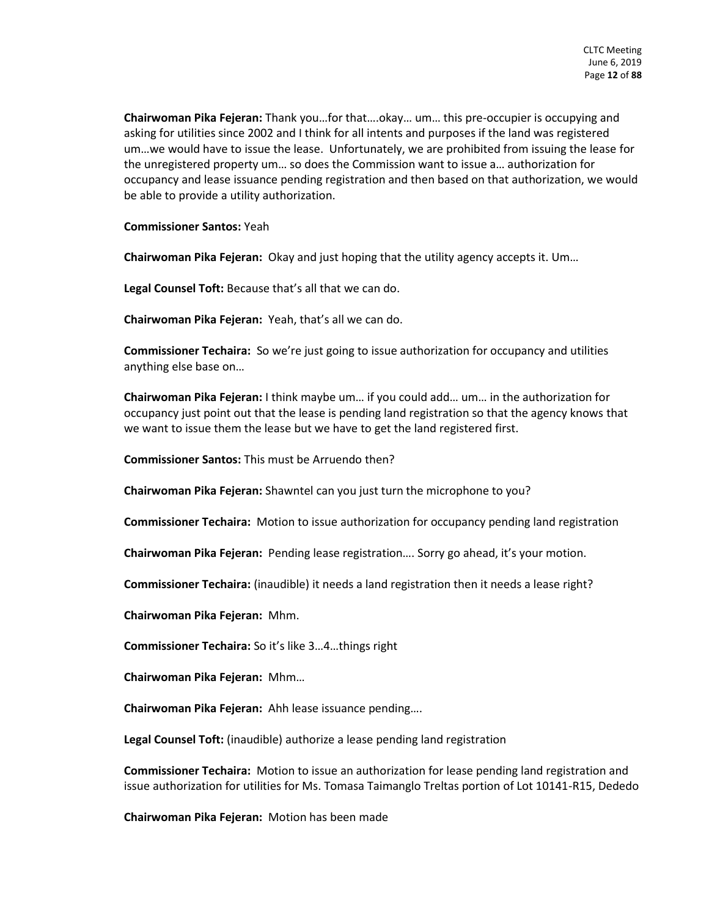**Chairwoman Pika Fejeran:** Thank you…for that….okay… um… this pre-occupier is occupying and asking for utilities since 2002 and I think for all intents and purposes if the land was registered um…we would have to issue the lease. Unfortunately, we are prohibited from issuing the lease for the unregistered property um… so does the Commission want to issue a… authorization for occupancy and lease issuance pending registration and then based on that authorization, we would be able to provide a utility authorization.

**Commissioner Santos:** Yeah

**Chairwoman Pika Fejeran:** Okay and just hoping that the utility agency accepts it. Um…

**Legal Counsel Toft:** Because that's all that we can do.

**Chairwoman Pika Fejeran:** Yeah, that's all we can do.

**Commissioner Techaira:** So we're just going to issue authorization for occupancy and utilities anything else base on…

**Chairwoman Pika Fejeran:** I think maybe um… if you could add… um… in the authorization for occupancy just point out that the lease is pending land registration so that the agency knows that we want to issue them the lease but we have to get the land registered first.

**Commissioner Santos:** This must be Arruendo then?

**Chairwoman Pika Fejeran:** Shawntel can you just turn the microphone to you?

**Commissioner Techaira:** Motion to issue authorization for occupancy pending land registration

**Chairwoman Pika Fejeran:** Pending lease registration…. Sorry go ahead, it's your motion.

**Commissioner Techaira:** (inaudible) it needs a land registration then it needs a lease right?

**Chairwoman Pika Fejeran:** Mhm.

**Commissioner Techaira:** So it's like 3…4…things right

**Chairwoman Pika Fejeran:** Mhm…

**Chairwoman Pika Fejeran:** Ahh lease issuance pending….

**Legal Counsel Toft:** (inaudible) authorize a lease pending land registration

**Commissioner Techaira:** Motion to issue an authorization for lease pending land registration and issue authorization for utilities for Ms. Tomasa Taimanglo Treltas portion of Lot 10141-R15, Dededo

**Chairwoman Pika Fejeran:** Motion has been made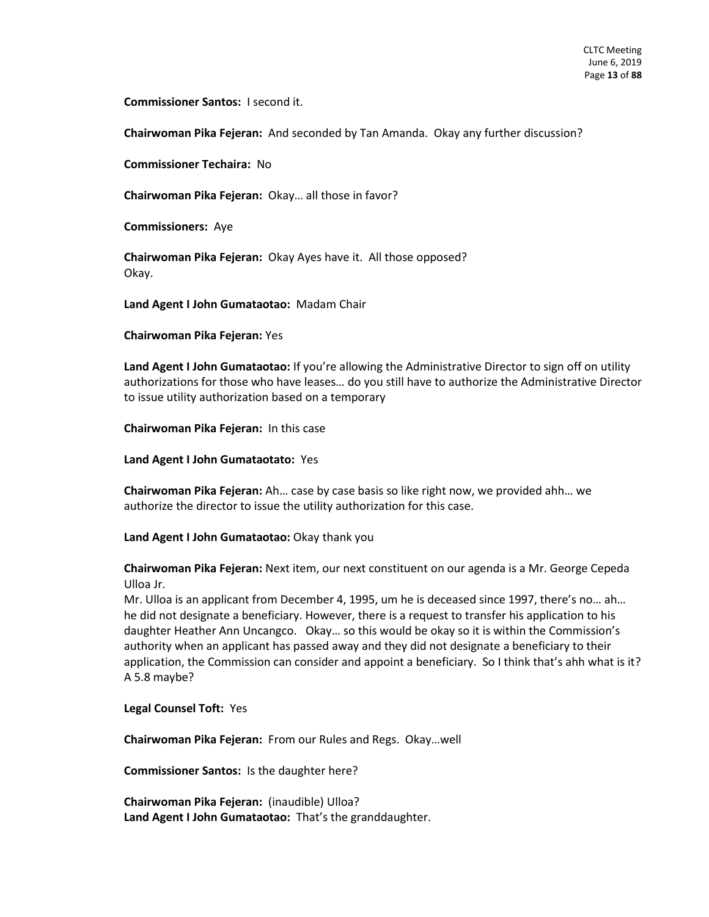CLTC Meeting June 6, 2019 Page **13** of **88**

**Commissioner Santos:** I second it.

**Chairwoman Pika Fejeran:** And seconded by Tan Amanda. Okay any further discussion?

**Commissioner Techaira:** No

**Chairwoman Pika Fejeran:** Okay… all those in favor?

**Commissioners:** Aye

**Chairwoman Pika Fejeran:** Okay Ayes have it. All those opposed? Okay.

**Land Agent I John Gumataotao:** Madam Chair

**Chairwoman Pika Fejeran:** Yes

**Land Agent I John Gumataotao:** If you're allowing the Administrative Director to sign off on utility authorizations for those who have leases… do you still have to authorize the Administrative Director to issue utility authorization based on a temporary

**Chairwoman Pika Fejeran:** In this case

**Land Agent I John Gumataotato:** Yes

**Chairwoman Pika Fejeran:** Ah… case by case basis so like right now, we provided ahh… we authorize the director to issue the utility authorization for this case.

**Land Agent I John Gumataotao:** Okay thank you

**Chairwoman Pika Fejeran:** Next item, our next constituent on our agenda is a Mr. George Cepeda Ulloa Jr.

Mr. Ulloa is an applicant from December 4, 1995, um he is deceased since 1997, there's no… ah… he did not designate a beneficiary. However, there is a request to transfer his application to his daughter Heather Ann Uncangco. Okay… so this would be okay so it is within the Commission's authority when an applicant has passed away and they did not designate a beneficiary to their application, the Commission can consider and appoint a beneficiary. So I think that's ahh what is it? A 5.8 maybe?

**Legal Counsel Toft:** Yes

**Chairwoman Pika Fejeran:** From our Rules and Regs. Okay…well

**Commissioner Santos:** Is the daughter here?

**Chairwoman Pika Fejeran:** (inaudible) Ulloa? **Land Agent I John Gumataotao:** That's the granddaughter.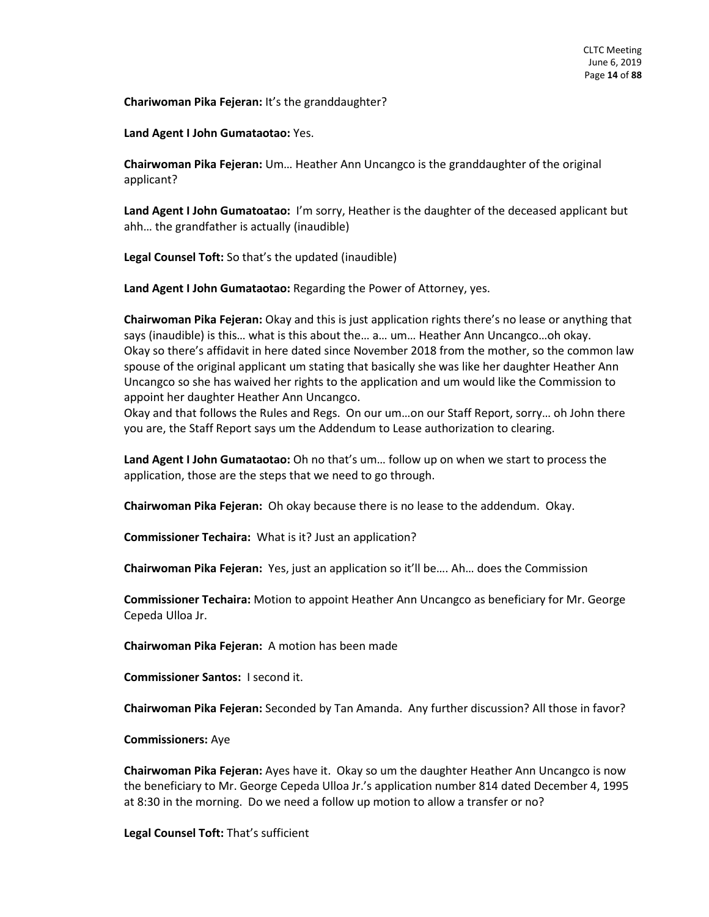**Chariwoman Pika Fejeran:** It's the granddaughter?

**Land Agent I John Gumataotao:** Yes.

**Chairwoman Pika Fejeran:** Um… Heather Ann Uncangco is the granddaughter of the original applicant?

**Land Agent I John Gumatoatao:** I'm sorry, Heather is the daughter of the deceased applicant but ahh… the grandfather is actually (inaudible)

**Legal Counsel Toft:** So that's the updated (inaudible)

**Land Agent I John Gumataotao:** Regarding the Power of Attorney, yes.

**Chairwoman Pika Fejeran:** Okay and this is just application rights there's no lease or anything that says (inaudible) is this… what is this about the… a… um… Heather Ann Uncangco…oh okay. Okay so there's affidavit in here dated since November 2018 from the mother, so the common law spouse of the original applicant um stating that basically she was like her daughter Heather Ann Uncangco so she has waived her rights to the application and um would like the Commission to appoint her daughter Heather Ann Uncangco.

Okay and that follows the Rules and Regs. On our um…on our Staff Report, sorry… oh John there you are, the Staff Report says um the Addendum to Lease authorization to clearing.

**Land Agent I John Gumataotao:** Oh no that's um… follow up on when we start to process the application, those are the steps that we need to go through.

**Chairwoman Pika Fejeran:** Oh okay because there is no lease to the addendum. Okay.

**Commissioner Techaira:** What is it? Just an application?

**Chairwoman Pika Fejeran:** Yes, just an application so it'll be…. Ah… does the Commission

**Commissioner Techaira:** Motion to appoint Heather Ann Uncangco as beneficiary for Mr. George Cepeda Ulloa Jr.

**Chairwoman Pika Fejeran:** A motion has been made

**Commissioner Santos:** I second it.

**Chairwoman Pika Fejeran:** Seconded by Tan Amanda. Any further discussion? All those in favor?

**Commissioners:** Aye

**Chairwoman Pika Fejeran:** Ayes have it. Okay so um the daughter Heather Ann Uncangco is now the beneficiary to Mr. George Cepeda Ulloa Jr.'s application number 814 dated December 4, 1995 at 8:30 in the morning. Do we need a follow up motion to allow a transfer or no?

**Legal Counsel Toft:** That's sufficient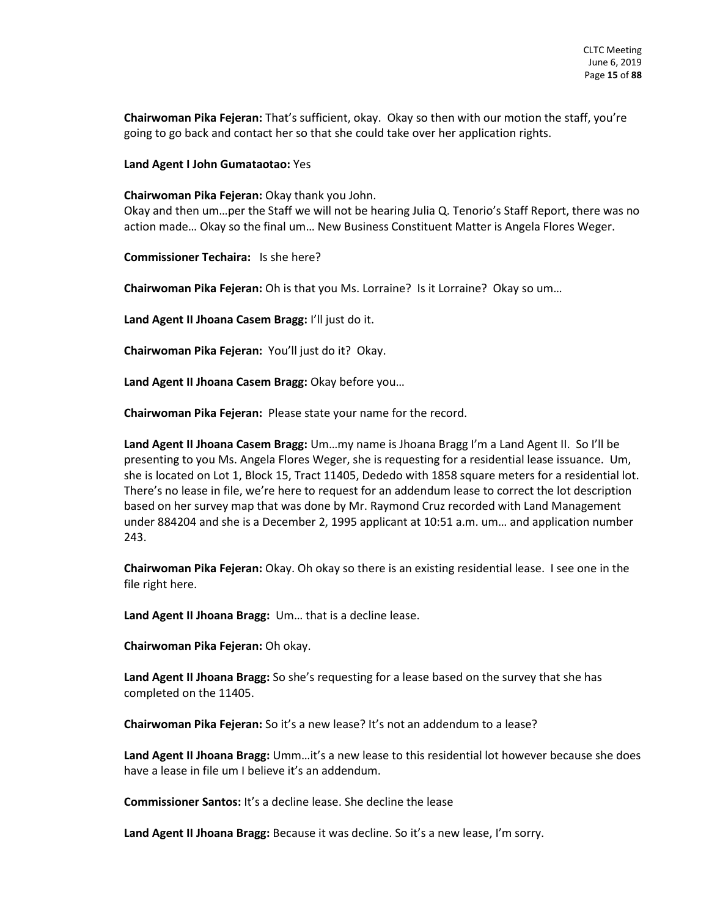**Chairwoman Pika Fejeran:** That's sufficient, okay. Okay so then with our motion the staff, you're going to go back and contact her so that she could take over her application rights.

**Land Agent I John Gumataotao:** Yes

**Chairwoman Pika Fejeran:** Okay thank you John.

Okay and then um…per the Staff we will not be hearing Julia Q. Tenorio's Staff Report, there was no action made… Okay so the final um… New Business Constituent Matter is Angela Flores Weger.

**Commissioner Techaira:** Is she here?

**Chairwoman Pika Fejeran:** Oh is that you Ms. Lorraine? Is it Lorraine? Okay so um…

**Land Agent II Jhoana Casem Bragg:** I'll just do it.

**Chairwoman Pika Fejeran:** You'll just do it? Okay.

**Land Agent II Jhoana Casem Bragg:** Okay before you…

**Chairwoman Pika Fejeran:** Please state your name for the record.

**Land Agent II Jhoana Casem Bragg:** Um…my name is Jhoana Bragg I'm a Land Agent II. So I'll be presenting to you Ms. Angela Flores Weger, she is requesting for a residential lease issuance. Um, she is located on Lot 1, Block 15, Tract 11405, Dededo with 1858 square meters for a residential lot. There's no lease in file, we're here to request for an addendum lease to correct the lot description based on her survey map that was done by Mr. Raymond Cruz recorded with Land Management under 884204 and she is a December 2, 1995 applicant at 10:51 a.m. um… and application number 243.

**Chairwoman Pika Fejeran:** Okay. Oh okay so there is an existing residential lease. I see one in the file right here.

**Land Agent II Jhoana Bragg:** Um… that is a decline lease.

**Chairwoman Pika Fejeran:** Oh okay.

**Land Agent II Jhoana Bragg:** So she's requesting for a lease based on the survey that she has completed on the 11405.

**Chairwoman Pika Fejeran:** So it's a new lease? It's not an addendum to a lease?

**Land Agent II Jhoana Bragg:** Umm…it's a new lease to this residential lot however because she does have a lease in file um I believe it's an addendum.

**Commissioner Santos:** It's a decline lease. She decline the lease

**Land Agent II Jhoana Bragg:** Because it was decline. So it's a new lease, I'm sorry.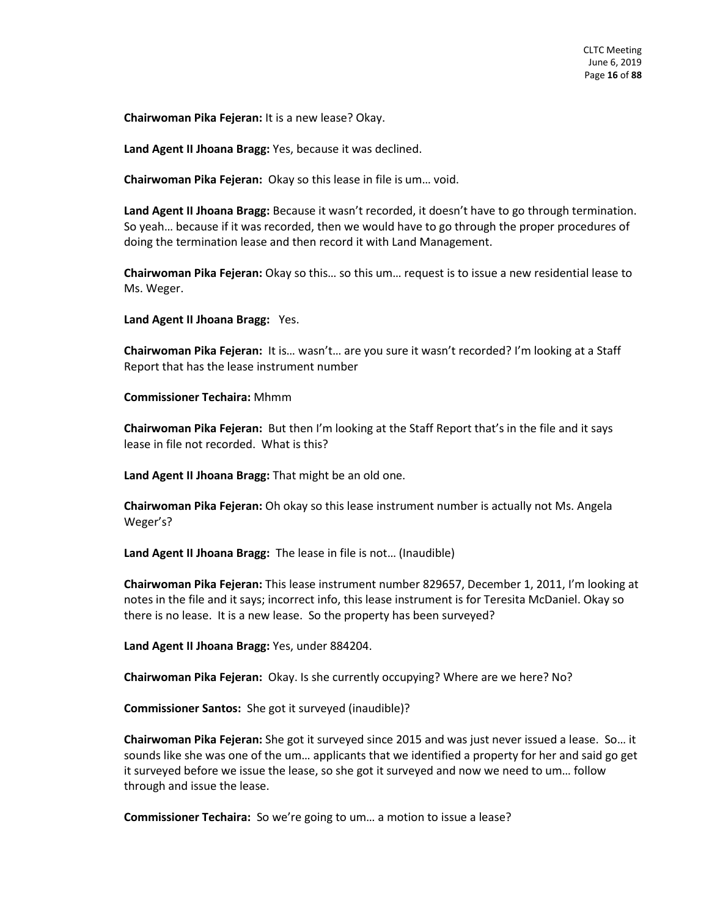**Chairwoman Pika Fejeran:** It is a new lease? Okay.

**Land Agent II Jhoana Bragg:** Yes, because it was declined.

**Chairwoman Pika Fejeran:** Okay so this lease in file is um… void.

**Land Agent II Jhoana Bragg:** Because it wasn't recorded, it doesn't have to go through termination. So yeah… because if it was recorded, then we would have to go through the proper procedures of doing the termination lease and then record it with Land Management.

**Chairwoman Pika Fejeran:** Okay so this… so this um… request is to issue a new residential lease to Ms. Weger.

**Land Agent II Jhoana Bragg:** Yes.

**Chairwoman Pika Fejeran:** It is… wasn't… are you sure it wasn't recorded? I'm looking at a Staff Report that has the lease instrument number

**Commissioner Techaira:** Mhmm

**Chairwoman Pika Fejeran:** But then I'm looking at the Staff Report that's in the file and it says lease in file not recorded. What is this?

**Land Agent II Jhoana Bragg:** That might be an old one.

**Chairwoman Pika Fejeran:** Oh okay so this lease instrument number is actually not Ms. Angela Weger's?

**Land Agent II Jhoana Bragg:** The lease in file is not… (Inaudible)

**Chairwoman Pika Fejeran:** This lease instrument number 829657, December 1, 2011, I'm looking at notes in the file and it says; incorrect info, this lease instrument is for Teresita McDaniel. Okay so there is no lease. It is a new lease. So the property has been surveyed?

**Land Agent II Jhoana Bragg:** Yes, under 884204.

**Chairwoman Pika Fejeran:** Okay. Is she currently occupying? Where are we here? No?

**Commissioner Santos:** She got it surveyed (inaudible)?

**Chairwoman Pika Fejeran:** She got it surveyed since 2015 and was just never issued a lease. So… it sounds like she was one of the um… applicants that we identified a property for her and said go get it surveyed before we issue the lease, so she got it surveyed and now we need to um… follow through and issue the lease.

**Commissioner Techaira:** So we're going to um… a motion to issue a lease?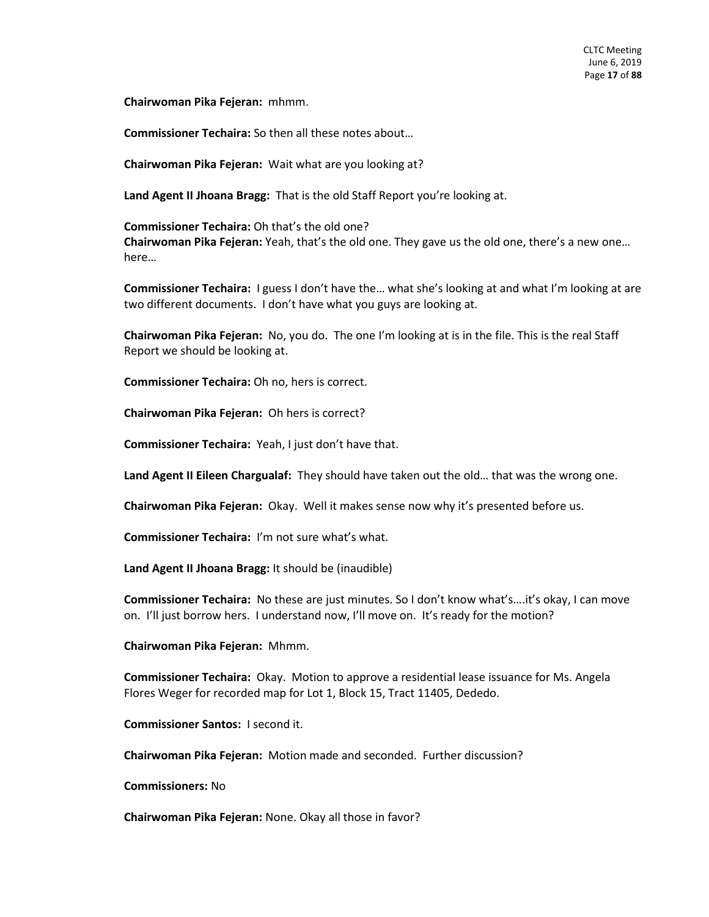**Chairwoman Pika Fejeran:** mhmm.

**Commissioner Techaira:** So then all these notes about…

**Chairwoman Pika Fejeran:** Wait what are you looking at?

**Land Agent II Jhoana Bragg:** That is the old Staff Report you're looking at.

**Commissioner Techaira:** Oh that's the old one? **Chairwoman Pika Fejeran:** Yeah, that's the old one. They gave us the old one, there's a new one… here…

**Commissioner Techaira:** I guess I don't have the… what she's looking at and what I'm looking at are two different documents. I don't have what you guys are looking at.

**Chairwoman Pika Fejeran:** No, you do. The one I'm looking at is in the file. This is the real Staff Report we should be looking at.

**Commissioner Techaira:** Oh no, hers is correct.

**Chairwoman Pika Fejeran:** Oh hers is correct?

**Commissioner Techaira:** Yeah, I just don't have that.

**Land Agent II Eileen Chargualaf:** They should have taken out the old… that was the wrong one.

**Chairwoman Pika Fejeran:** Okay. Well it makes sense now why it's presented before us.

**Commissioner Techaira:** I'm not sure what's what.

**Land Agent II Jhoana Bragg:** It should be (inaudible)

**Commissioner Techaira:** No these are just minutes. So I don't know what's….it's okay, I can move on. I'll just borrow hers. I understand now, I'll move on. It's ready for the motion?

**Chairwoman Pika Fejeran:** Mhmm.

**Commissioner Techaira:** Okay. Motion to approve a residential lease issuance for Ms. Angela Flores Weger for recorded map for Lot 1, Block 15, Tract 11405, Dededo.

**Commissioner Santos:** I second it.

**Chairwoman Pika Fejeran:** Motion made and seconded. Further discussion?

**Commissioners:** No

**Chairwoman Pika Fejeran:** None. Okay all those in favor?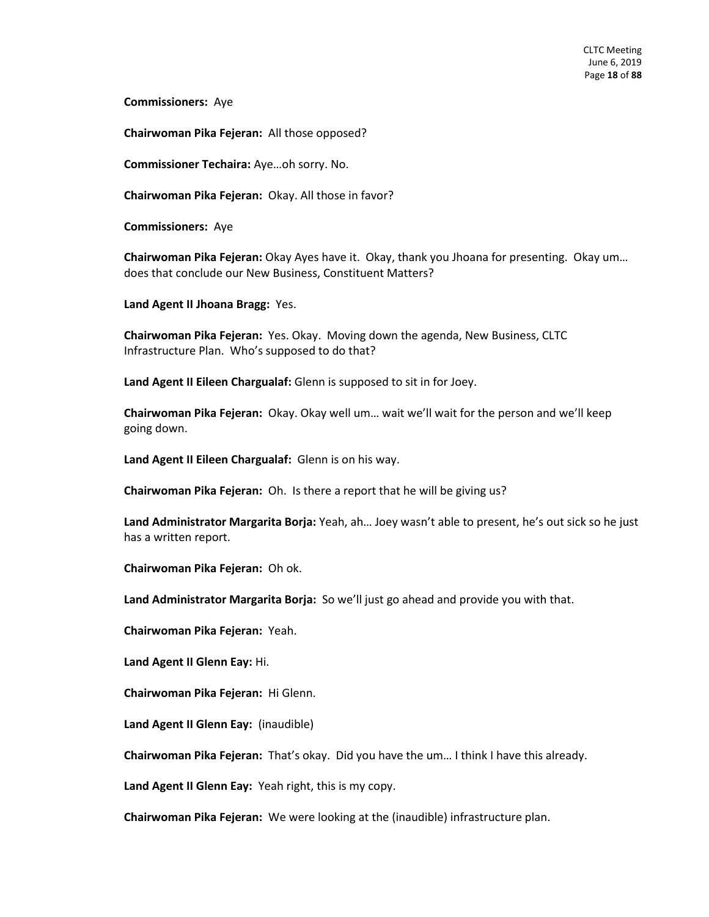**Commissioners:** Aye

**Chairwoman Pika Fejeran:** All those opposed?

**Commissioner Techaira:** Aye…oh sorry. No.

**Chairwoman Pika Fejeran:** Okay. All those in favor?

**Commissioners:** Aye

**Chairwoman Pika Fejeran:** Okay Ayes have it. Okay, thank you Jhoana for presenting. Okay um… does that conclude our New Business, Constituent Matters?

**Land Agent II Jhoana Bragg:** Yes.

**Chairwoman Pika Fejeran:** Yes. Okay. Moving down the agenda, New Business, CLTC Infrastructure Plan. Who's supposed to do that?

**Land Agent II Eileen Chargualaf:** Glenn is supposed to sit in for Joey.

**Chairwoman Pika Fejeran:** Okay. Okay well um… wait we'll wait for the person and we'll keep going down.

**Land Agent II Eileen Chargualaf:** Glenn is on his way.

**Chairwoman Pika Fejeran:** Oh. Is there a report that he will be giving us?

**Land Administrator Margarita Borja:** Yeah, ah… Joey wasn't able to present, he's out sick so he just has a written report.

**Chairwoman Pika Fejeran:** Oh ok.

**Land Administrator Margarita Borja:** So we'll just go ahead and provide you with that.

**Chairwoman Pika Fejeran:** Yeah.

**Land Agent II Glenn Eay:** Hi.

**Chairwoman Pika Fejeran:** Hi Glenn.

**Land Agent II Glenn Eay:** (inaudible)

**Chairwoman Pika Fejeran:** That's okay. Did you have the um… I think I have this already.

**Land Agent II Glenn Eay:** Yeah right, this is my copy.

**Chairwoman Pika Fejeran:** We were looking at the (inaudible) infrastructure plan.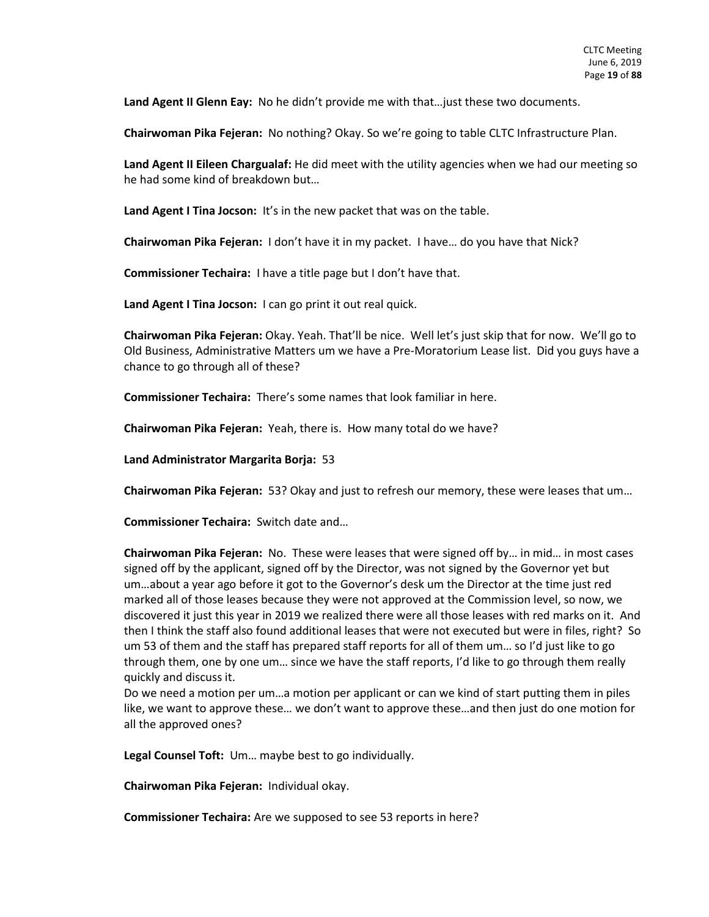**Land Agent II Glenn Eay:** No he didn't provide me with that…just these two documents.

**Chairwoman Pika Fejeran:** No nothing? Okay. So we're going to table CLTC Infrastructure Plan.

**Land Agent II Eileen Chargualaf:** He did meet with the utility agencies when we had our meeting so he had some kind of breakdown but…

**Land Agent I Tina Jocson:** It's in the new packet that was on the table.

**Chairwoman Pika Fejeran:** I don't have it in my packet. I have… do you have that Nick?

**Commissioner Techaira:** I have a title page but I don't have that.

**Land Agent I Tina Jocson:** I can go print it out real quick.

**Chairwoman Pika Fejeran:** Okay. Yeah. That'll be nice. Well let's just skip that for now. We'll go to Old Business, Administrative Matters um we have a Pre-Moratorium Lease list. Did you guys have a chance to go through all of these?

**Commissioner Techaira:** There's some names that look familiar in here.

**Chairwoman Pika Fejeran:** Yeah, there is. How many total do we have?

**Land Administrator Margarita Borja:** 53

**Chairwoman Pika Fejeran:** 53? Okay and just to refresh our memory, these were leases that um…

**Commissioner Techaira:** Switch date and…

**Chairwoman Pika Fejeran:** No. These were leases that were signed off by… in mid… in most cases signed off by the applicant, signed off by the Director, was not signed by the Governor yet but um…about a year ago before it got to the Governor's desk um the Director at the time just red marked all of those leases because they were not approved at the Commission level, so now, we discovered it just this year in 2019 we realized there were all those leases with red marks on it. And then I think the staff also found additional leases that were not executed but were in files, right? So um 53 of them and the staff has prepared staff reports for all of them um… so I'd just like to go through them, one by one um… since we have the staff reports, I'd like to go through them really quickly and discuss it.

Do we need a motion per um…a motion per applicant or can we kind of start putting them in piles like, we want to approve these… we don't want to approve these…and then just do one motion for all the approved ones?

**Legal Counsel Toft:** Um… maybe best to go individually.

**Chairwoman Pika Fejeran:** Individual okay.

**Commissioner Techaira:** Are we supposed to see 53 reports in here?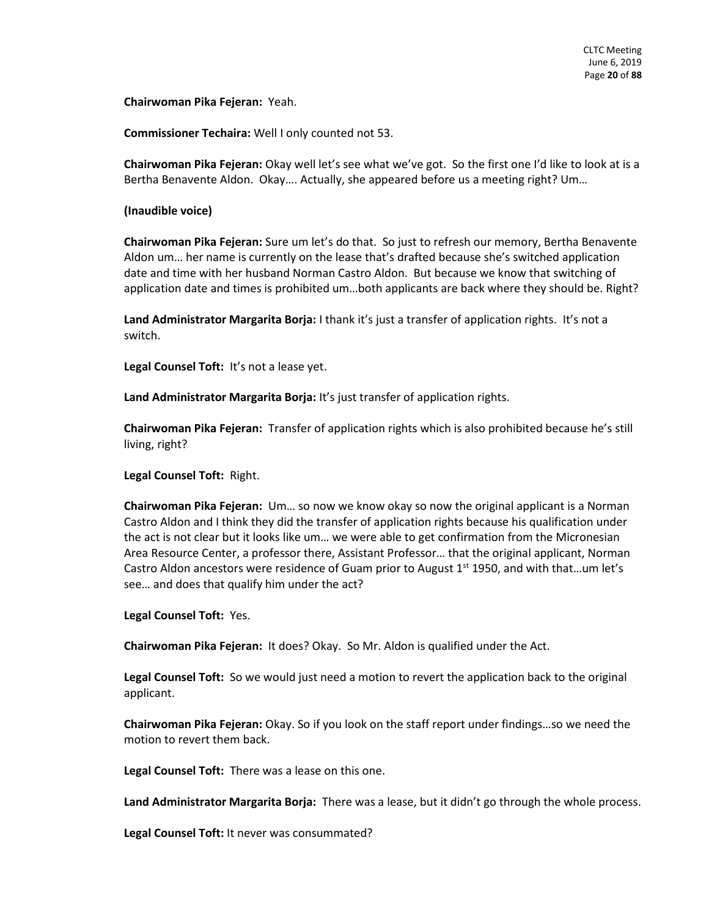**Chairwoman Pika Fejeran:** Yeah.

**Commissioner Techaira:** Well I only counted not 53.

**Chairwoman Pika Fejeran:** Okay well let's see what we've got. So the first one I'd like to look at is a Bertha Benavente Aldon. Okay…. Actually, she appeared before us a meeting right? Um…

# **(Inaudible voice)**

**Chairwoman Pika Fejeran:** Sure um let's do that. So just to refresh our memory, Bertha Benavente Aldon um… her name is currently on the lease that's drafted because she's switched application date and time with her husband Norman Castro Aldon. But because we know that switching of application date and times is prohibited um…both applicants are back where they should be. Right?

**Land Administrator Margarita Borja:** I thank it's just a transfer of application rights. It's not a switch.

**Legal Counsel Toft:** It's not a lease yet.

**Land Administrator Margarita Borja:** It's just transfer of application rights.

**Chairwoman Pika Fejeran:** Transfer of application rights which is also prohibited because he's still living, right?

**Legal Counsel Toft:** Right.

**Chairwoman Pika Fejeran:** Um… so now we know okay so now the original applicant is a Norman Castro Aldon and I think they did the transfer of application rights because his qualification under the act is not clear but it looks like um… we were able to get confirmation from the Micronesian Area Resource Center, a professor there, Assistant Professor… that the original applicant, Norman Castro Aldon ancestors were residence of Guam prior to August  $1<sup>st</sup>$  1950, and with that...um let's see… and does that qualify him under the act?

**Legal Counsel Toft:** Yes.

**Chairwoman Pika Fejeran:** It does? Okay. So Mr. Aldon is qualified under the Act.

**Legal Counsel Toft:** So we would just need a motion to revert the application back to the original applicant.

**Chairwoman Pika Fejeran:** Okay. So if you look on the staff report under findings…so we need the motion to revert them back.

**Legal Counsel Toft:** There was a lease on this one.

**Land Administrator Margarita Borja:** There was a lease, but it didn't go through the whole process.

**Legal Counsel Toft:** It never was consummated?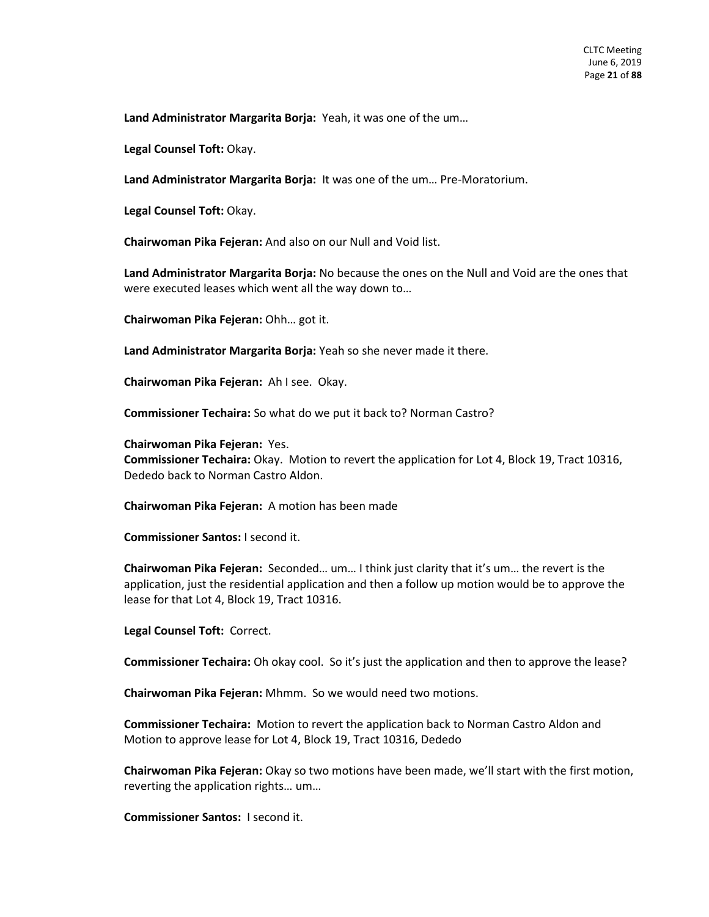**Land Administrator Margarita Borja:** Yeah, it was one of the um…

**Legal Counsel Toft:** Okay.

**Land Administrator Margarita Borja:** It was one of the um… Pre-Moratorium.

**Legal Counsel Toft:** Okay.

**Chairwoman Pika Fejeran:** And also on our Null and Void list.

**Land Administrator Margarita Borja:** No because the ones on the Null and Void are the ones that were executed leases which went all the way down to…

**Chairwoman Pika Fejeran:** Ohh… got it.

**Land Administrator Margarita Borja:** Yeah so she never made it there.

**Chairwoman Pika Fejeran:** Ah I see. Okay.

**Commissioner Techaira:** So what do we put it back to? Norman Castro?

**Chairwoman Pika Fejeran:** Yes. **Commissioner Techaira:** Okay. Motion to revert the application for Lot 4, Block 19, Tract 10316, Dededo back to Norman Castro Aldon.

**Chairwoman Pika Fejeran:** A motion has been made

**Commissioner Santos:** I second it.

**Chairwoman Pika Fejeran:** Seconded… um… I think just clarity that it's um… the revert is the application, just the residential application and then a follow up motion would be to approve the lease for that Lot 4, Block 19, Tract 10316.

**Legal Counsel Toft:** Correct.

**Commissioner Techaira:** Oh okay cool. So it's just the application and then to approve the lease?

**Chairwoman Pika Fejeran:** Mhmm. So we would need two motions.

**Commissioner Techaira:** Motion to revert the application back to Norman Castro Aldon and Motion to approve lease for Lot 4, Block 19, Tract 10316, Dededo

**Chairwoman Pika Fejeran:** Okay so two motions have been made, we'll start with the first motion, reverting the application rights… um…

**Commissioner Santos:** I second it.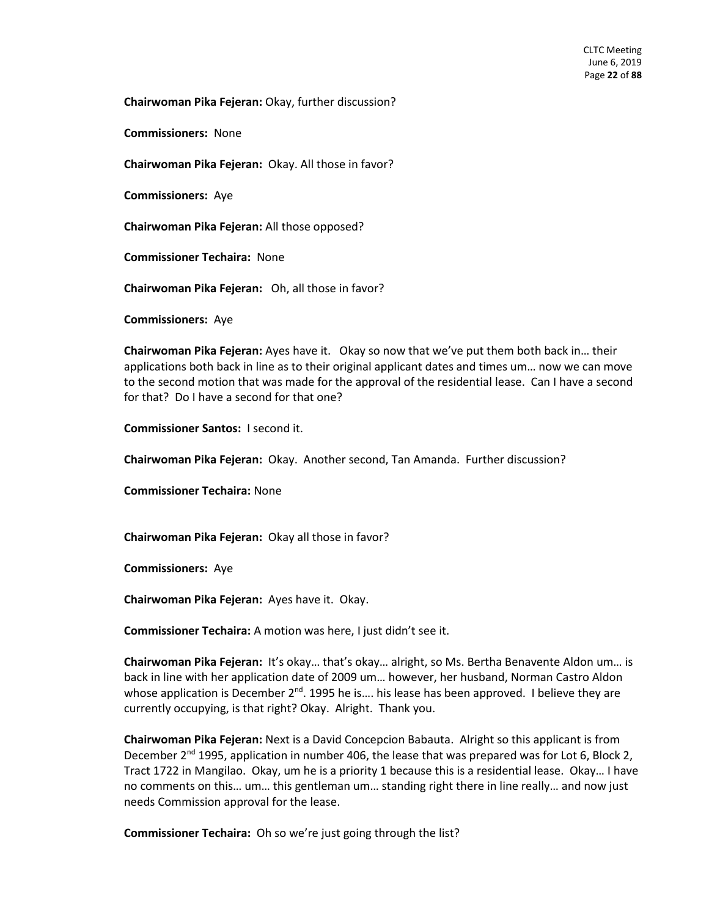**Chairwoman Pika Fejeran:** Okay, further discussion?

**Commissioners:** None

**Chairwoman Pika Fejeran:** Okay. All those in favor?

**Commissioners:** Aye

**Chairwoman Pika Fejeran:** All those opposed?

**Commissioner Techaira:** None

**Chairwoman Pika Fejeran:** Oh, all those in favor?

**Commissioners:** Aye

**Chairwoman Pika Fejeran:** Ayes have it. Okay so now that we've put them both back in… their applications both back in line as to their original applicant dates and times um… now we can move to the second motion that was made for the approval of the residential lease. Can I have a second for that? Do I have a second for that one?

**Commissioner Santos:** I second it.

**Chairwoman Pika Fejeran:** Okay. Another second, Tan Amanda. Further discussion?

**Commissioner Techaira:** None

**Chairwoman Pika Fejeran:** Okay all those in favor?

**Commissioners:** Aye

**Chairwoman Pika Fejeran:** Ayes have it. Okay.

**Commissioner Techaira:** A motion was here, I just didn't see it.

**Chairwoman Pika Fejeran:** It's okay… that's okay… alright, so Ms. Bertha Benavente Aldon um… is back in line with her application date of 2009 um… however, her husband, Norman Castro Aldon whose application is December 2<sup>nd</sup>. 1995 he is.... his lease has been approved. I believe they are currently occupying, is that right? Okay. Alright. Thank you.

**Chairwoman Pika Fejeran:** Next is a David Concepcion Babauta. Alright so this applicant is from December  $2^{nd}$  1995, application in number 406, the lease that was prepared was for Lot 6, Block 2, Tract 1722 in Mangilao. Okay, um he is a priority 1 because this is a residential lease. Okay… I have no comments on this… um… this gentleman um… standing right there in line really… and now just needs Commission approval for the lease.

**Commissioner Techaira:** Oh so we're just going through the list?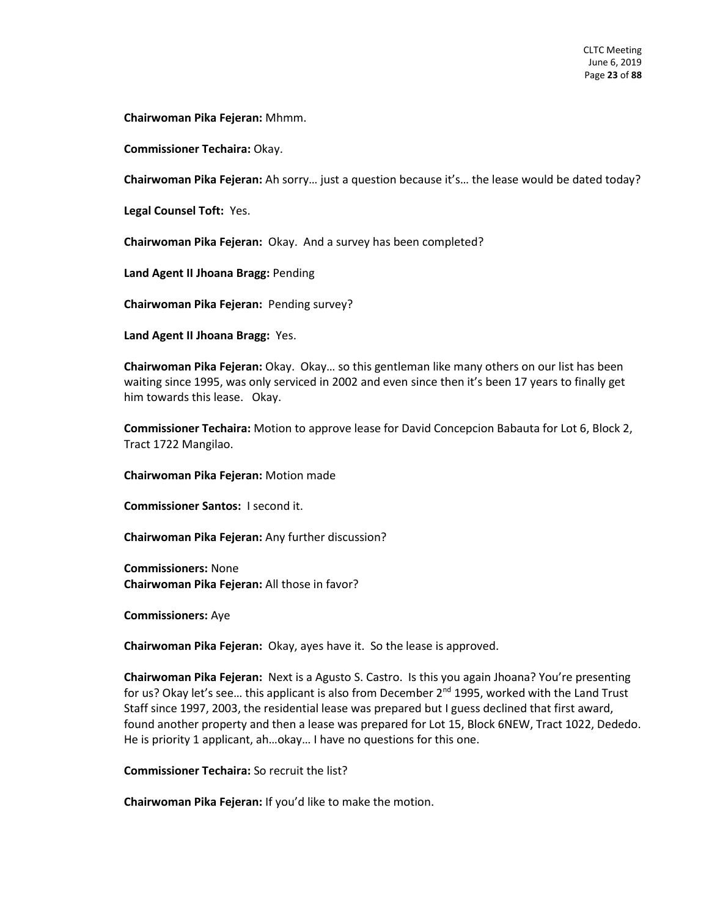**Chairwoman Pika Fejeran:** Mhmm.

**Commissioner Techaira:** Okay.

**Chairwoman Pika Fejeran:** Ah sorry… just a question because it's… the lease would be dated today?

**Legal Counsel Toft:** Yes.

**Chairwoman Pika Fejeran:** Okay. And a survey has been completed?

**Land Agent II Jhoana Bragg:** Pending

**Chairwoman Pika Fejeran:** Pending survey?

**Land Agent II Jhoana Bragg:** Yes.

**Chairwoman Pika Fejeran:** Okay. Okay… so this gentleman like many others on our list has been waiting since 1995, was only serviced in 2002 and even since then it's been 17 years to finally get him towards this lease. Okay.

**Commissioner Techaira:** Motion to approve lease for David Concepcion Babauta for Lot 6, Block 2, Tract 1722 Mangilao.

**Chairwoman Pika Fejeran:** Motion made

**Commissioner Santos:** I second it.

**Chairwoman Pika Fejeran:** Any further discussion?

**Commissioners:** None **Chairwoman Pika Fejeran:** All those in favor?

**Commissioners:** Aye

**Chairwoman Pika Fejeran:** Okay, ayes have it. So the lease is approved.

**Chairwoman Pika Fejeran:** Next is a Agusto S. Castro. Is this you again Jhoana? You're presenting for us? Okay let's see... this applicant is also from December 2<sup>nd</sup> 1995, worked with the Land Trust Staff since 1997, 2003, the residential lease was prepared but I guess declined that first award, found another property and then a lease was prepared for Lot 15, Block 6NEW, Tract 1022, Dededo. He is priority 1 applicant, ah…okay… I have no questions for this one.

**Commissioner Techaira:** So recruit the list?

**Chairwoman Pika Fejeran:** If you'd like to make the motion.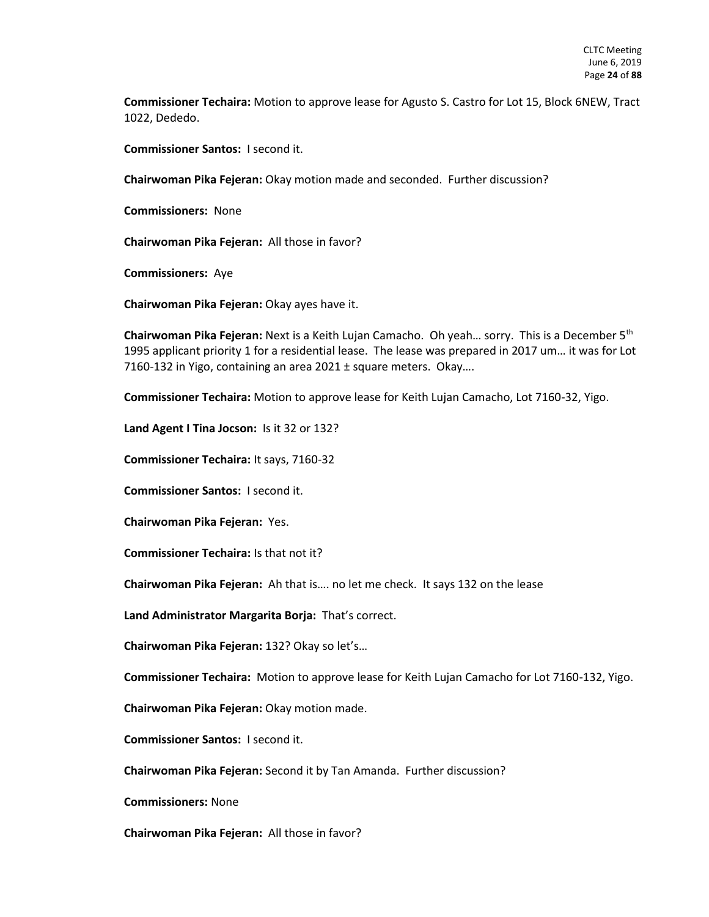**Commissioner Techaira:** Motion to approve lease for Agusto S. Castro for Lot 15, Block 6NEW, Tract 1022, Dededo.

**Commissioner Santos:** I second it.

**Chairwoman Pika Fejeran:** Okay motion made and seconded. Further discussion?

**Commissioners:** None

**Chairwoman Pika Fejeran:** All those in favor?

**Commissioners:** Aye

**Chairwoman Pika Fejeran:** Okay ayes have it.

**Chairwoman Pika Fejeran:** Next is a Keith Lujan Camacho. Oh yeah… sorry. This is a December 5th 1995 applicant priority 1 for a residential lease. The lease was prepared in 2017 um… it was for Lot 7160-132 in Yigo, containing an area 2021 ± square meters. Okay….

**Commissioner Techaira:** Motion to approve lease for Keith Lujan Camacho, Lot 7160-32, Yigo.

**Land Agent I Tina Jocson:** Is it 32 or 132?

**Commissioner Techaira:** It says, 7160-32

**Commissioner Santos:** I second it.

**Chairwoman Pika Fejeran:** Yes.

**Commissioner Techaira:** Is that not it?

**Chairwoman Pika Fejeran:** Ah that is…. no let me check. It says 132 on the lease

**Land Administrator Margarita Borja:** That's correct.

**Chairwoman Pika Fejeran:** 132? Okay so let's…

**Commissioner Techaira:** Motion to approve lease for Keith Lujan Camacho for Lot 7160-132, Yigo.

**Chairwoman Pika Fejeran:** Okay motion made.

**Commissioner Santos:** I second it.

**Chairwoman Pika Fejeran:** Second it by Tan Amanda. Further discussion?

**Commissioners:** None

**Chairwoman Pika Fejeran:** All those in favor?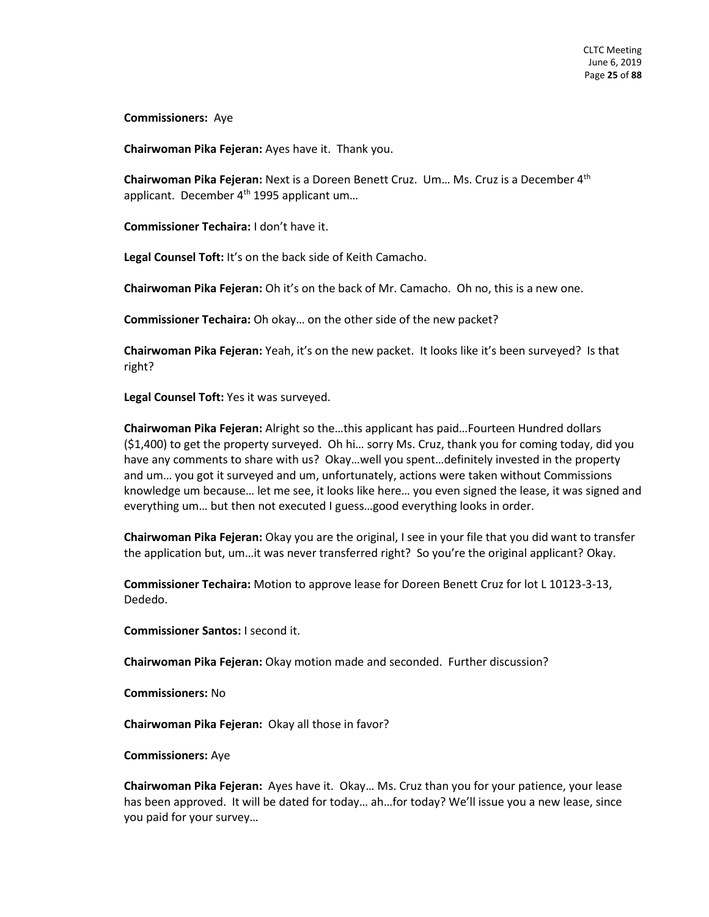**Commissioners:** Aye

**Chairwoman Pika Fejeran:** Ayes have it. Thank you.

**Chairwoman Pika Fejeran:** Next is a Doreen Benett Cruz. Um… Ms. Cruz is a December 4th applicant. December 4<sup>th</sup> 1995 applicant um...

**Commissioner Techaira:** I don't have it.

**Legal Counsel Toft:** It's on the back side of Keith Camacho.

**Chairwoman Pika Fejeran:** Oh it's on the back of Mr. Camacho. Oh no, this is a new one.

**Commissioner Techaira:** Oh okay… on the other side of the new packet?

**Chairwoman Pika Fejeran:** Yeah, it's on the new packet. It looks like it's been surveyed? Is that right?

**Legal Counsel Toft:** Yes it was surveyed.

**Chairwoman Pika Fejeran:** Alright so the…this applicant has paid…Fourteen Hundred dollars (\$1,400) to get the property surveyed. Oh hi… sorry Ms. Cruz, thank you for coming today, did you have any comments to share with us? Okay…well you spent…definitely invested in the property and um… you got it surveyed and um, unfortunately, actions were taken without Commissions knowledge um because… let me see, it looks like here… you even signed the lease, it was signed and everything um… but then not executed I guess…good everything looks in order.

**Chairwoman Pika Fejeran:** Okay you are the original, I see in your file that you did want to transfer the application but, um…it was never transferred right? So you're the original applicant? Okay.

**Commissioner Techaira:** Motion to approve lease for Doreen Benett Cruz for lot L 10123-3-13, Dededo.

**Commissioner Santos:** I second it.

**Chairwoman Pika Fejeran:** Okay motion made and seconded. Further discussion?

**Commissioners:** No

**Chairwoman Pika Fejeran:** Okay all those in favor?

**Commissioners:** Aye

**Chairwoman Pika Fejeran:** Ayes have it. Okay… Ms. Cruz than you for your patience, your lease has been approved. It will be dated for today… ah…for today? We'll issue you a new lease, since you paid for your survey…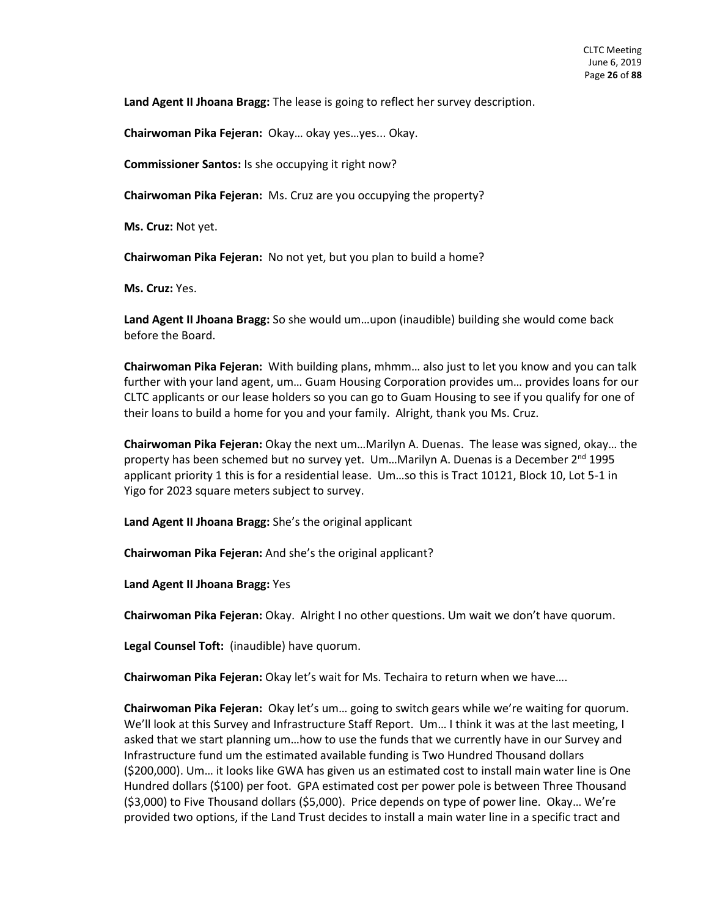**Land Agent II Jhoana Bragg:** The lease is going to reflect her survey description.

**Chairwoman Pika Fejeran:** Okay… okay yes…yes... Okay.

**Commissioner Santos:** Is she occupying it right now?

**Chairwoman Pika Fejeran:** Ms. Cruz are you occupying the property?

**Ms. Cruz:** Not yet.

**Chairwoman Pika Fejeran:** No not yet, but you plan to build a home?

**Ms. Cruz:** Yes.

**Land Agent II Jhoana Bragg:** So she would um…upon (inaudible) building she would come back before the Board.

**Chairwoman Pika Fejeran:** With building plans, mhmm… also just to let you know and you can talk further with your land agent, um... Guam Housing Corporation provides um... provides loans for our CLTC applicants or our lease holders so you can go to Guam Housing to see if you qualify for one of their loans to build a home for you and your family. Alright, thank you Ms. Cruz.

**Chairwoman Pika Fejeran:** Okay the next um…Marilyn A. Duenas. The lease was signed, okay… the property has been schemed but no survey yet. Um... Marilyn A. Duenas is a December  $2^{nd}$  1995 applicant priority 1 this is for a residential lease. Um…so this is Tract 10121, Block 10, Lot 5-1 in Yigo for 2023 square meters subject to survey.

**Land Agent II Jhoana Bragg:** She's the original applicant

**Chairwoman Pika Fejeran:** And she's the original applicant?

**Land Agent II Jhoana Bragg:** Yes

**Chairwoman Pika Fejeran:** Okay. Alright I no other questions. Um wait we don't have quorum.

**Legal Counsel Toft:** (inaudible) have quorum.

**Chairwoman Pika Fejeran:** Okay let's wait for Ms. Techaira to return when we have….

**Chairwoman Pika Fejeran:** Okay let's um… going to switch gears while we're waiting for quorum. We'll look at this Survey and Infrastructure Staff Report. Um… I think it was at the last meeting, I asked that we start planning um…how to use the funds that we currently have in our Survey and Infrastructure fund um the estimated available funding is Two Hundred Thousand dollars (\$200,000). Um… it looks like GWA has given us an estimated cost to install main water line is One Hundred dollars (\$100) per foot. GPA estimated cost per power pole is between Three Thousand (\$3,000) to Five Thousand dollars (\$5,000). Price depends on type of power line. Okay… We're provided two options, if the Land Trust decides to install a main water line in a specific tract and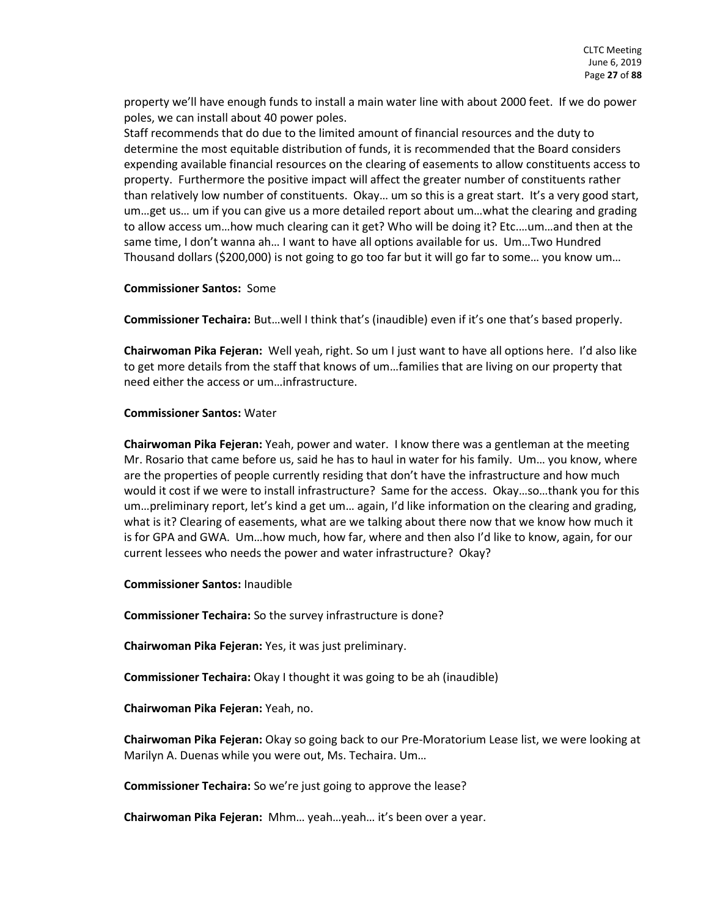property we'll have enough funds to install a main water line with about 2000 feet. If we do power poles, we can install about 40 power poles.

Staff recommends that do due to the limited amount of financial resources and the duty to determine the most equitable distribution of funds, it is recommended that the Board considers expending available financial resources on the clearing of easements to allow constituents access to property. Furthermore the positive impact will affect the greater number of constituents rather than relatively low number of constituents. Okay… um so this is a great start. It's a very good start, um…get us… um if you can give us a more detailed report about um…what the clearing and grading to allow access um…how much clearing can it get? Who will be doing it? Etc.…um…and then at the same time, I don't wanna ah… I want to have all options available for us. Um…Two Hundred Thousand dollars (\$200,000) is not going to go too far but it will go far to some… you know um…

## **Commissioner Santos:** Some

**Commissioner Techaira:** But…well I think that's (inaudible) even if it's one that's based properly.

**Chairwoman Pika Fejeran:** Well yeah, right. So um I just want to have all options here. I'd also like to get more details from the staff that knows of um…families that are living on our property that need either the access or um…infrastructure.

# **Commissioner Santos:** Water

**Chairwoman Pika Fejeran:** Yeah, power and water. I know there was a gentleman at the meeting Mr. Rosario that came before us, said he has to haul in water for his family. Um… you know, where are the properties of people currently residing that don't have the infrastructure and how much would it cost if we were to install infrastructure? Same for the access. Okay…so…thank you for this um…preliminary report, let's kind a get um… again, I'd like information on the clearing and grading, what is it? Clearing of easements, what are we talking about there now that we know how much it is for GPA and GWA. Um…how much, how far, where and then also I'd like to know, again, for our current lessees who needs the power and water infrastructure? Okay?

**Commissioner Santos:** Inaudible

**Commissioner Techaira:** So the survey infrastructure is done?

**Chairwoman Pika Fejeran:** Yes, it was just preliminary.

**Commissioner Techaira:** Okay I thought it was going to be ah (inaudible)

**Chairwoman Pika Fejeran:** Yeah, no.

**Chairwoman Pika Fejeran:** Okay so going back to our Pre-Moratorium Lease list, we were looking at Marilyn A. Duenas while you were out, Ms. Techaira. Um…

**Commissioner Techaira:** So we're just going to approve the lease?

**Chairwoman Pika Fejeran:** Mhm… yeah…yeah… it's been over a year.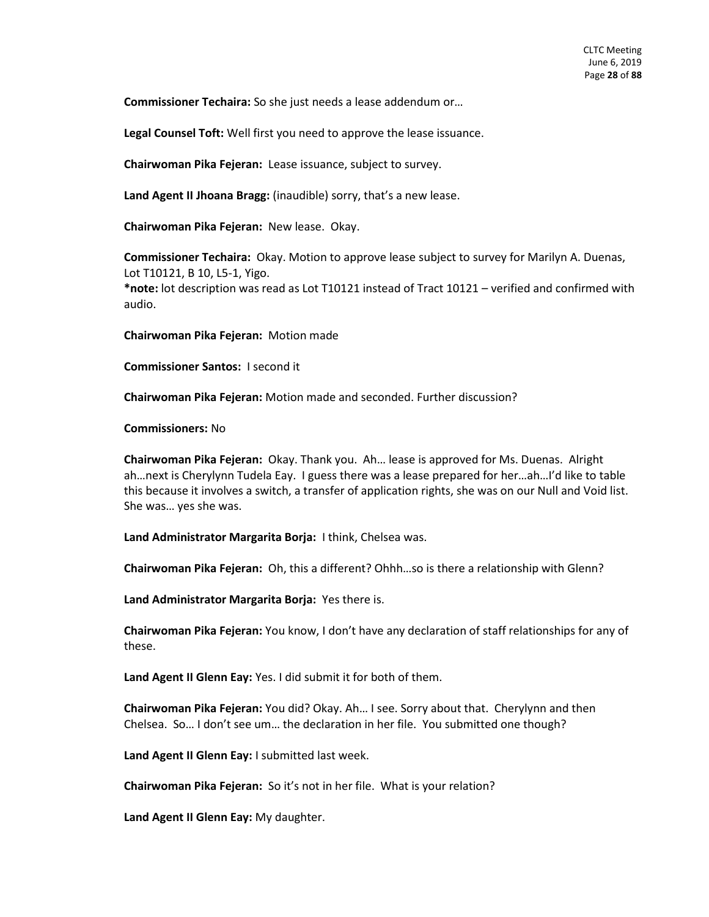**Commissioner Techaira:** So she just needs a lease addendum or…

**Legal Counsel Toft:** Well first you need to approve the lease issuance.

**Chairwoman Pika Fejeran:** Lease issuance, subject to survey.

**Land Agent II Jhoana Bragg:** (inaudible) sorry, that's a new lease.

**Chairwoman Pika Fejeran:** New lease. Okay.

**Commissioner Techaira:** Okay. Motion to approve lease subject to survey for Marilyn A. Duenas, Lot T10121, B 10, L5-1, Yigo.

**\*note:** lot description was read as Lot T10121 instead of Tract 10121 – verified and confirmed with audio.

**Chairwoman Pika Fejeran:** Motion made

**Commissioner Santos:** I second it

**Chairwoman Pika Fejeran:** Motion made and seconded. Further discussion?

**Commissioners:** No

**Chairwoman Pika Fejeran:** Okay. Thank you. Ah… lease is approved for Ms. Duenas. Alright ah…next is Cherylynn Tudela Eay. I guess there was a lease prepared for her…ah…I'd like to table this because it involves a switch, a transfer of application rights, she was on our Null and Void list. She was… yes she was.

**Land Administrator Margarita Borja:** I think, Chelsea was.

**Chairwoman Pika Fejeran:** Oh, this a different? Ohhh…so is there a relationship with Glenn?

**Land Administrator Margarita Borja:** Yes there is.

**Chairwoman Pika Fejeran:** You know, I don't have any declaration of staff relationships for any of these.

**Land Agent II Glenn Eay:** Yes. I did submit it for both of them.

**Chairwoman Pika Fejeran:** You did? Okay. Ah… I see. Sorry about that. Cherylynn and then Chelsea. So… I don't see um… the declaration in her file. You submitted one though?

**Land Agent II Glenn Eay:** I submitted last week.

**Chairwoman Pika Fejeran:** So it's not in her file. What is your relation?

**Land Agent II Glenn Eay:** My daughter.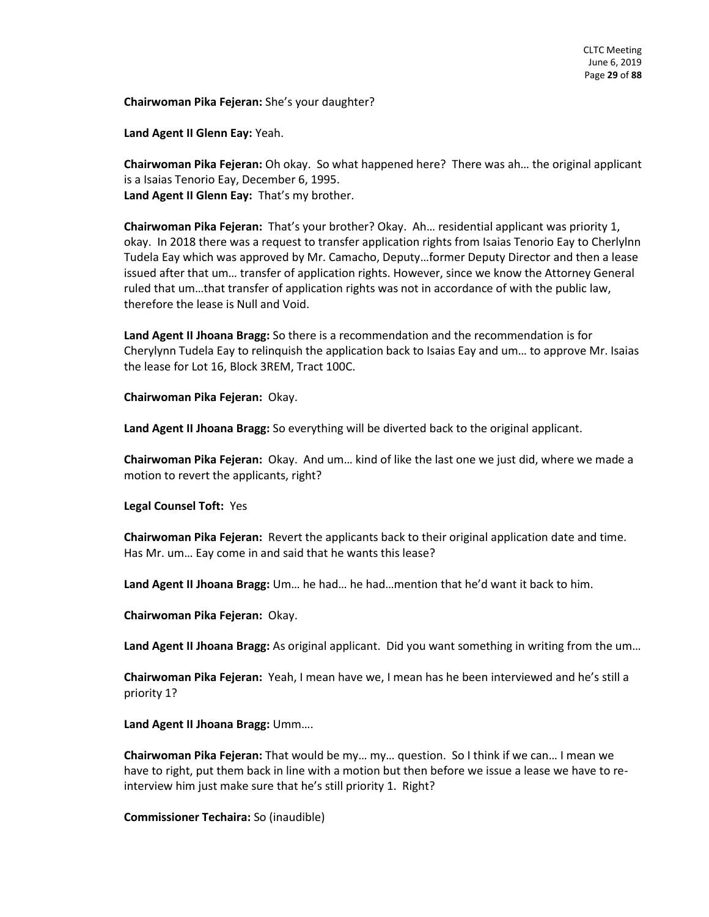**Chairwoman Pika Fejeran:** She's your daughter?

**Land Agent II Glenn Eay:** Yeah.

**Chairwoman Pika Fejeran:** Oh okay. So what happened here? There was ah… the original applicant is a Isaias Tenorio Eay, December 6, 1995. **Land Agent II Glenn Eay:** That's my brother.

**Chairwoman Pika Fejeran:** That's your brother? Okay. Ah… residential applicant was priority 1, okay. In 2018 there was a request to transfer application rights from Isaias Tenorio Eay to Cherlylnn Tudela Eay which was approved by Mr. Camacho, Deputy…former Deputy Director and then a lease issued after that um… transfer of application rights. However, since we know the Attorney General ruled that um…that transfer of application rights was not in accordance of with the public law, therefore the lease is Null and Void.

**Land Agent II Jhoana Bragg:** So there is a recommendation and the recommendation is for Cherylynn Tudela Eay to relinquish the application back to Isaias Eay and um… to approve Mr. Isaias the lease for Lot 16, Block 3REM, Tract 100C.

**Chairwoman Pika Fejeran:** Okay.

**Land Agent II Jhoana Bragg:** So everything will be diverted back to the original applicant.

**Chairwoman Pika Fejeran:** Okay. And um… kind of like the last one we just did, where we made a motion to revert the applicants, right?

**Legal Counsel Toft:** Yes

**Chairwoman Pika Fejeran:** Revert the applicants back to their original application date and time. Has Mr. um… Eay come in and said that he wants this lease?

**Land Agent II Jhoana Bragg:** Um… he had… he had…mention that he'd want it back to him.

**Chairwoman Pika Fejeran:** Okay.

**Land Agent II Jhoana Bragg:** As original applicant. Did you want something in writing from the um…

**Chairwoman Pika Fejeran:** Yeah, I mean have we, I mean has he been interviewed and he's still a priority 1?

**Land Agent II Jhoana Bragg:** Umm….

**Chairwoman Pika Fejeran:** That would be my… my… question. So I think if we can… I mean we have to right, put them back in line with a motion but then before we issue a lease we have to reinterview him just make sure that he's still priority 1. Right?

**Commissioner Techaira:** So (inaudible)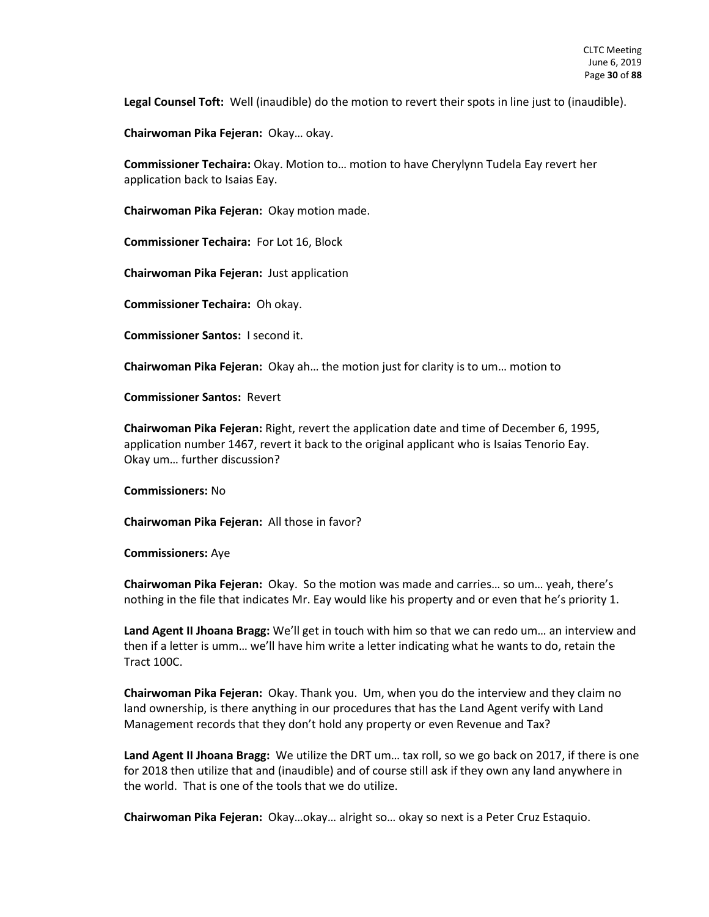**Legal Counsel Toft:** Well (inaudible) do the motion to revert their spots in line just to (inaudible).

**Chairwoman Pika Fejeran:** Okay… okay.

**Commissioner Techaira:** Okay. Motion to… motion to have Cherylynn Tudela Eay revert her application back to Isaias Eay.

**Chairwoman Pika Fejeran:** Okay motion made.

**Commissioner Techaira:** For Lot 16, Block

**Chairwoman Pika Fejeran:** Just application

**Commissioner Techaira:** Oh okay.

**Commissioner Santos:** I second it.

**Chairwoman Pika Fejeran:** Okay ah… the motion just for clarity is to um… motion to

**Commissioner Santos:** Revert

**Chairwoman Pika Fejeran:** Right, revert the application date and time of December 6, 1995, application number 1467, revert it back to the original applicant who is Isaias Tenorio Eay. Okay um… further discussion?

**Commissioners:** No

**Chairwoman Pika Fejeran:** All those in favor?

**Commissioners:** Aye

**Chairwoman Pika Fejeran:** Okay. So the motion was made and carries… so um… yeah, there's nothing in the file that indicates Mr. Eay would like his property and or even that he's priority 1.

**Land Agent II Jhoana Bragg:** We'll get in touch with him so that we can redo um… an interview and then if a letter is umm… we'll have him write a letter indicating what he wants to do, retain the Tract 100C.

**Chairwoman Pika Fejeran:** Okay. Thank you. Um, when you do the interview and they claim no land ownership, is there anything in our procedures that has the Land Agent verify with Land Management records that they don't hold any property or even Revenue and Tax?

**Land Agent II Jhoana Bragg:** We utilize the DRT um… tax roll, so we go back on 2017, if there is one for 2018 then utilize that and (inaudible) and of course still ask if they own any land anywhere in the world. That is one of the tools that we do utilize.

**Chairwoman Pika Fejeran:** Okay…okay… alright so… okay so next is a Peter Cruz Estaquio.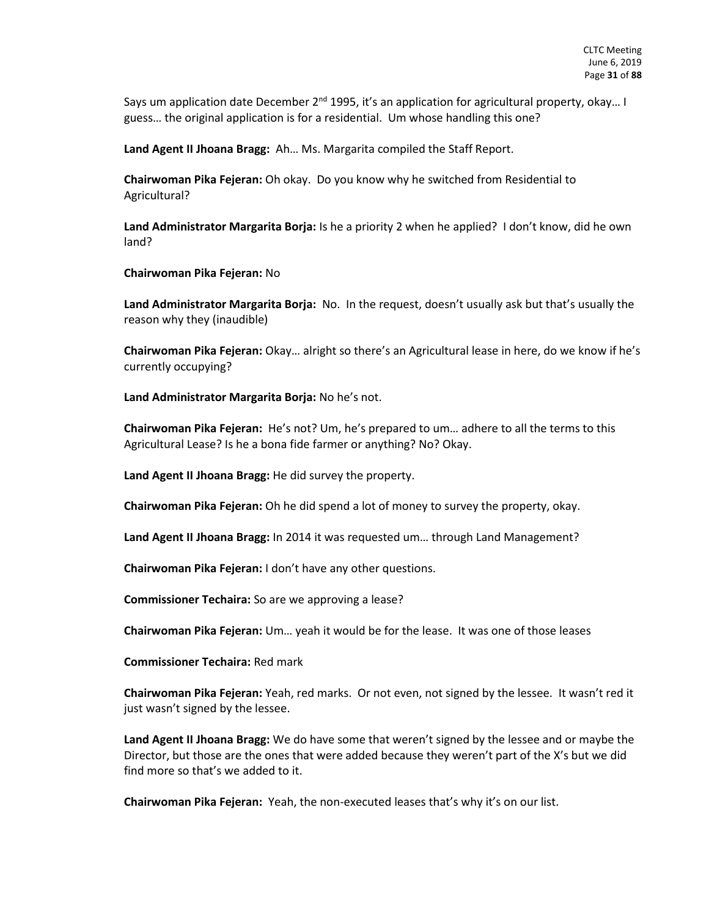Says um application date December  $2^{nd}$  1995, it's an application for agricultural property, okay... I guess… the original application is for a residential. Um whose handling this one?

**Land Agent II Jhoana Bragg:** Ah… Ms. Margarita compiled the Staff Report.

**Chairwoman Pika Fejeran:** Oh okay. Do you know why he switched from Residential to Agricultural?

**Land Administrator Margarita Borja:** Is he a priority 2 when he applied? I don't know, did he own land?

**Chairwoman Pika Fejeran:** No

**Land Administrator Margarita Borja:** No. In the request, doesn't usually ask but that's usually the reason why they (inaudible)

**Chairwoman Pika Fejeran:** Okay… alright so there's an Agricultural lease in here, do we know if he's currently occupying?

**Land Administrator Margarita Borja:** No he's not.

**Chairwoman Pika Fejeran:** He's not? Um, he's prepared to um… adhere to all the terms to this Agricultural Lease? Is he a bona fide farmer or anything? No? Okay.

**Land Agent II Jhoana Bragg:** He did survey the property.

**Chairwoman Pika Fejeran:** Oh he did spend a lot of money to survey the property, okay.

**Land Agent II Jhoana Bragg:** In 2014 it was requested um… through Land Management?

**Chairwoman Pika Fejeran:** I don't have any other questions.

**Commissioner Techaira:** So are we approving a lease?

**Chairwoman Pika Fejeran:** Um… yeah it would be for the lease. It was one of those leases

**Commissioner Techaira:** Red mark

**Chairwoman Pika Fejeran:** Yeah, red marks. Or not even, not signed by the lessee. It wasn't red it just wasn't signed by the lessee.

**Land Agent II Jhoana Bragg:** We do have some that weren't signed by the lessee and or maybe the Director, but those are the ones that were added because they weren't part of the X's but we did find more so that's we added to it.

**Chairwoman Pika Fejeran:** Yeah, the non-executed leases that's why it's on our list.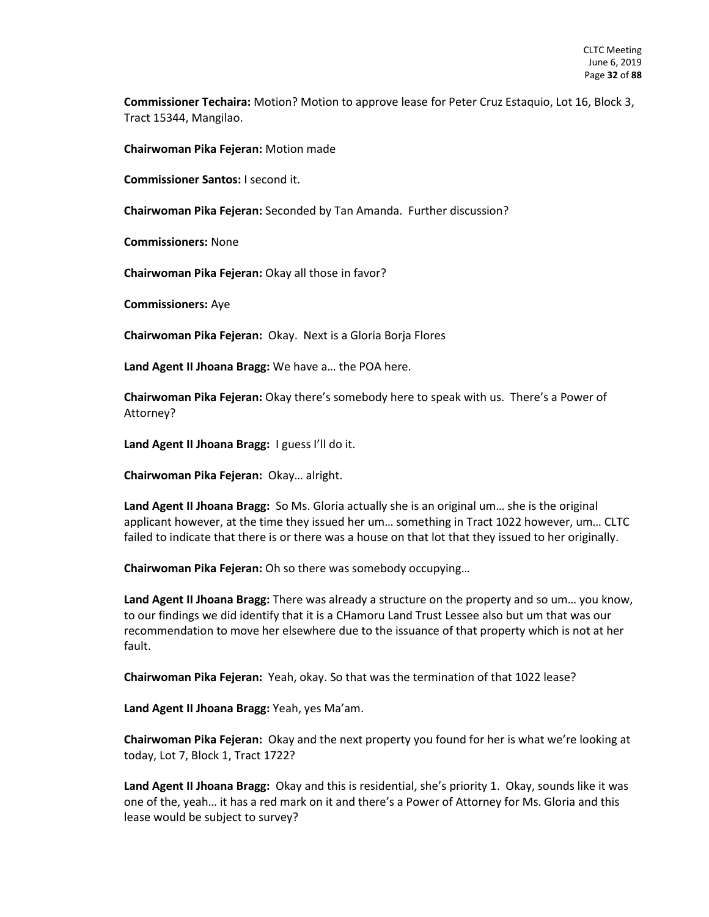**Commissioner Techaira:** Motion? Motion to approve lease for Peter Cruz Estaquio, Lot 16, Block 3, Tract 15344, Mangilao.

**Chairwoman Pika Fejeran:** Motion made

**Commissioner Santos:** I second it.

**Chairwoman Pika Fejeran:** Seconded by Tan Amanda. Further discussion?

**Commissioners:** None

**Chairwoman Pika Fejeran:** Okay all those in favor?

**Commissioners:** Aye

**Chairwoman Pika Fejeran:** Okay. Next is a Gloria Borja Flores

**Land Agent II Jhoana Bragg:** We have a… the POA here.

**Chairwoman Pika Fejeran:** Okay there's somebody here to speak with us. There's a Power of Attorney?

**Land Agent II Jhoana Bragg:** I guess I'll do it.

**Chairwoman Pika Fejeran:** Okay… alright.

**Land Agent II Jhoana Bragg:** So Ms. Gloria actually she is an original um… she is the original applicant however, at the time they issued her um… something in Tract 1022 however, um… CLTC failed to indicate that there is or there was a house on that lot that they issued to her originally.

**Chairwoman Pika Fejeran:** Oh so there was somebody occupying…

**Land Agent II Jhoana Bragg:** There was already a structure on the property and so um… you know, to our findings we did identify that it is a CHamoru Land Trust Lessee also but um that was our recommendation to move her elsewhere due to the issuance of that property which is not at her fault.

**Chairwoman Pika Fejeran:** Yeah, okay. So that was the termination of that 1022 lease?

**Land Agent II Jhoana Bragg:** Yeah, yes Ma'am.

**Chairwoman Pika Fejeran:** Okay and the next property you found for her is what we're looking at today, Lot 7, Block 1, Tract 1722?

**Land Agent II Jhoana Bragg:** Okay and this is residential, she's priority 1. Okay, sounds like it was one of the, yeah… it has a red mark on it and there's a Power of Attorney for Ms. Gloria and this lease would be subject to survey?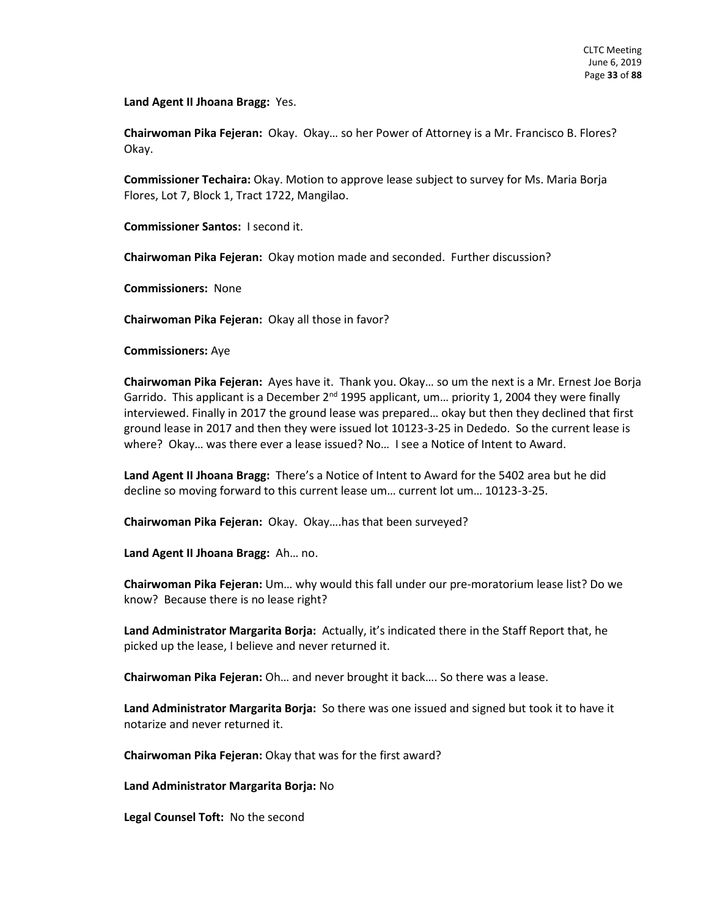**Land Agent II Jhoana Bragg:** Yes.

**Chairwoman Pika Fejeran:** Okay. Okay… so her Power of Attorney is a Mr. Francisco B. Flores? Okay.

**Commissioner Techaira:** Okay. Motion to approve lease subject to survey for Ms. Maria Borja Flores, Lot 7, Block 1, Tract 1722, Mangilao.

**Commissioner Santos:** I second it.

**Chairwoman Pika Fejeran:** Okay motion made and seconded. Further discussion?

**Commissioners:** None

**Chairwoman Pika Fejeran:** Okay all those in favor?

**Commissioners:** Aye

**Chairwoman Pika Fejeran:** Ayes have it. Thank you. Okay… so um the next is a Mr. Ernest Joe Borja Garrido. This applicant is a December  $2^{nd}$  1995 applicant, um... priority 1, 2004 they were finally interviewed. Finally in 2017 the ground lease was prepared… okay but then they declined that first ground lease in 2017 and then they were issued lot 10123-3-25 in Dededo. So the current lease is where? Okay… was there ever a lease issued? No… I see a Notice of Intent to Award.

**Land Agent II Jhoana Bragg:** There's a Notice of Intent to Award for the 5402 area but he did decline so moving forward to this current lease um… current lot um… 10123-3-25.

**Chairwoman Pika Fejeran:** Okay. Okay….has that been surveyed?

**Land Agent II Jhoana Bragg:** Ah… no.

**Chairwoman Pika Fejeran:** Um… why would this fall under our pre-moratorium lease list? Do we know? Because there is no lease right?

**Land Administrator Margarita Borja:** Actually, it's indicated there in the Staff Report that, he picked up the lease, I believe and never returned it.

**Chairwoman Pika Fejeran:** Oh… and never brought it back…. So there was a lease.

**Land Administrator Margarita Borja:** So there was one issued and signed but took it to have it notarize and never returned it.

**Chairwoman Pika Fejeran:** Okay that was for the first award?

**Land Administrator Margarita Borja:** No

**Legal Counsel Toft:** No the second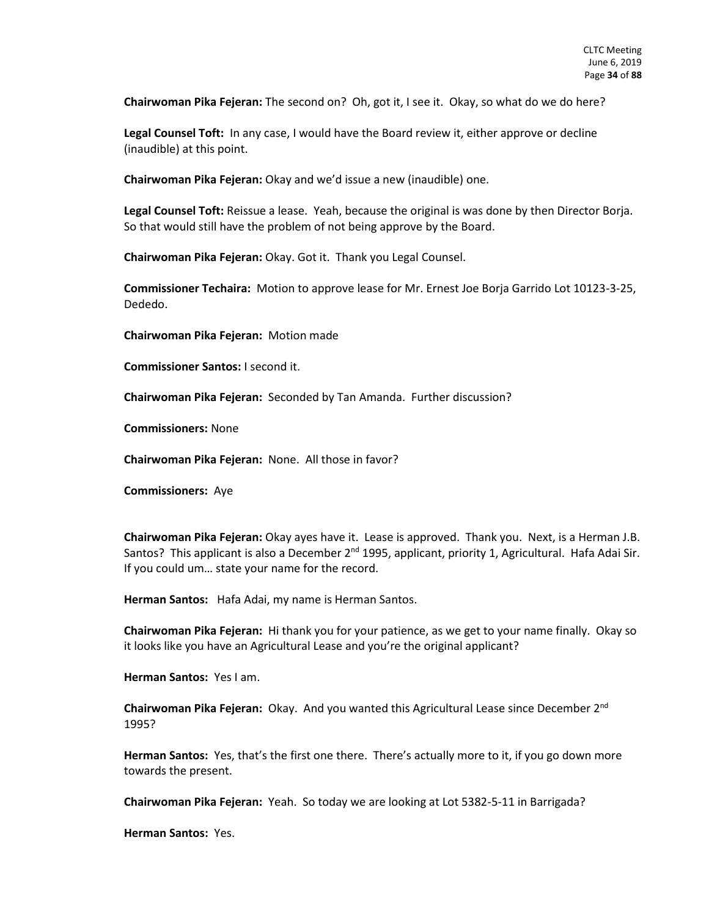**Chairwoman Pika Fejeran:** The second on? Oh, got it, I see it. Okay, so what do we do here?

**Legal Counsel Toft:** In any case, I would have the Board review it, either approve or decline (inaudible) at this point.

**Chairwoman Pika Fejeran:** Okay and we'd issue a new (inaudible) one.

**Legal Counsel Toft:** Reissue a lease. Yeah, because the original is was done by then Director Borja. So that would still have the problem of not being approve by the Board.

**Chairwoman Pika Fejeran:** Okay. Got it. Thank you Legal Counsel.

**Commissioner Techaira:** Motion to approve lease for Mr. Ernest Joe Borja Garrido Lot 10123-3-25, Dededo.

**Chairwoman Pika Fejeran:** Motion made

**Commissioner Santos:** I second it.

**Chairwoman Pika Fejeran:** Seconded by Tan Amanda. Further discussion?

**Commissioners:** None

**Chairwoman Pika Fejeran:** None. All those in favor?

**Commissioners:** Aye

**Chairwoman Pika Fejeran:** Okay ayes have it. Lease is approved. Thank you. Next, is a Herman J.B. Santos? This applicant is also a December 2<sup>nd</sup> 1995, applicant, priority 1, Agricultural. Hafa Adai Sir. If you could um… state your name for the record.

**Herman Santos:** Hafa Adai, my name is Herman Santos.

**Chairwoman Pika Fejeran:** Hi thank you for your patience, as we get to your name finally. Okay so it looks like you have an Agricultural Lease and you're the original applicant?

**Herman Santos:** Yes I am.

**Chairwoman Pika Fejeran:** Okay. And you wanted this Agricultural Lease since December 2nd 1995?

**Herman Santos:** Yes, that's the first one there. There's actually more to it, if you go down more towards the present.

**Chairwoman Pika Fejeran:** Yeah. So today we are looking at Lot 5382-5-11 in Barrigada?

**Herman Santos:** Yes.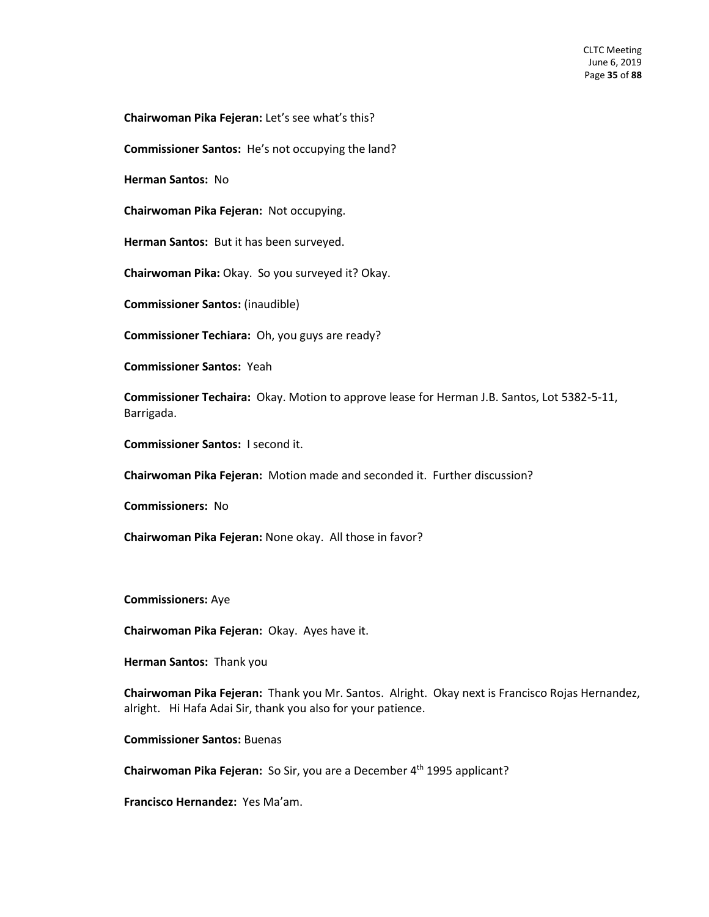**Chairwoman Pika Fejeran:** Let's see what's this?

**Commissioner Santos:** He's not occupying the land?

**Herman Santos:** No

**Chairwoman Pika Fejeran:** Not occupying.

**Herman Santos:** But it has been surveyed.

**Chairwoman Pika:** Okay. So you surveyed it? Okay.

**Commissioner Santos:** (inaudible)

**Commissioner Techiara:** Oh, you guys are ready?

**Commissioner Santos:** Yeah

**Commissioner Techaira:** Okay. Motion to approve lease for Herman J.B. Santos, Lot 5382-5-11, Barrigada.

**Commissioner Santos:** I second it.

**Chairwoman Pika Fejeran:** Motion made and seconded it. Further discussion?

**Commissioners:** No

**Chairwoman Pika Fejeran:** None okay. All those in favor?

**Commissioners:** Aye

**Chairwoman Pika Fejeran:** Okay. Ayes have it.

**Herman Santos:** Thank you

**Chairwoman Pika Fejeran:** Thank you Mr. Santos. Alright. Okay next is Francisco Rojas Hernandez, alright. Hi Hafa Adai Sir, thank you also for your patience.

**Commissioner Santos:** Buenas

Chairwoman Pika Fejeran: So Sir, you are a December 4<sup>th</sup> 1995 applicant?

**Francisco Hernandez:** Yes Ma'am.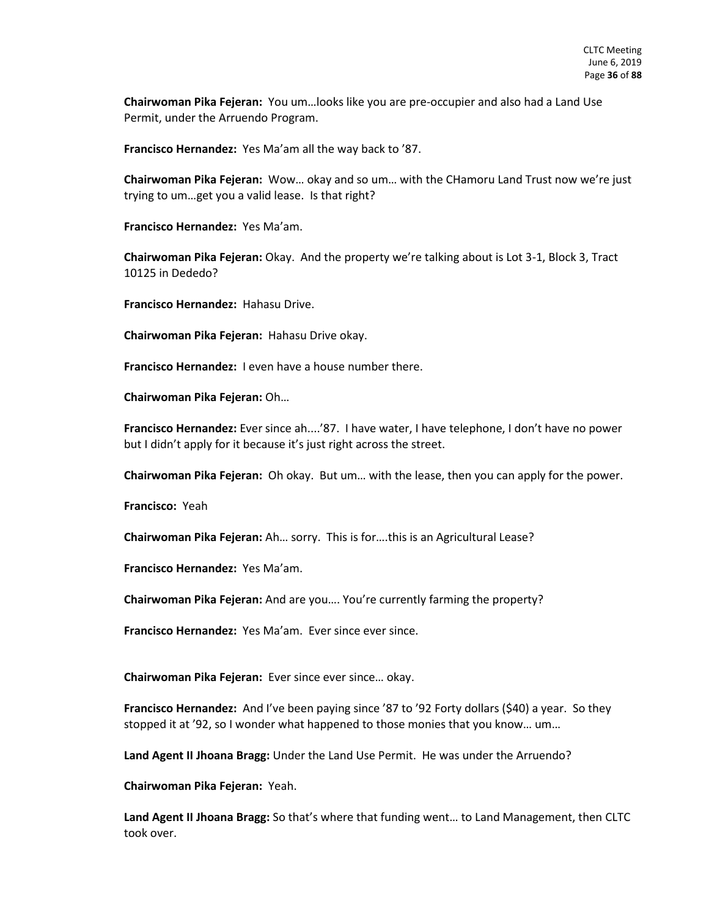**Chairwoman Pika Fejeran:** You um…looks like you are pre-occupier and also had a Land Use Permit, under the Arruendo Program.

**Francisco Hernandez:** Yes Ma'am all the way back to '87.

**Chairwoman Pika Fejeran:** Wow… okay and so um… with the CHamoru Land Trust now we're just trying to um…get you a valid lease. Is that right?

**Francisco Hernandez:** Yes Ma'am.

**Chairwoman Pika Fejeran:** Okay. And the property we're talking about is Lot 3-1, Block 3, Tract 10125 in Dededo?

**Francisco Hernandez:** Hahasu Drive.

**Chairwoman Pika Fejeran:** Hahasu Drive okay.

**Francisco Hernandez:** I even have a house number there.

**Chairwoman Pika Fejeran:** Oh…

**Francisco Hernandez:** Ever since ah....'87. I have water, I have telephone, I don't have no power but I didn't apply for it because it's just right across the street.

**Chairwoman Pika Fejeran:** Oh okay. But um… with the lease, then you can apply for the power.

**Francisco:** Yeah

**Chairwoman Pika Fejeran:** Ah… sorry. This is for….this is an Agricultural Lease?

**Francisco Hernandez:** Yes Ma'am.

**Chairwoman Pika Fejeran:** And are you…. You're currently farming the property?

**Francisco Hernandez:** Yes Ma'am. Ever since ever since.

**Chairwoman Pika Fejeran:** Ever since ever since… okay.

**Francisco Hernandez:** And I've been paying since '87 to '92 Forty dollars (\$40) a year. So they stopped it at '92, so I wonder what happened to those monies that you know… um…

**Land Agent II Jhoana Bragg:** Under the Land Use Permit. He was under the Arruendo?

**Chairwoman Pika Fejeran:** Yeah.

**Land Agent II Jhoana Bragg:** So that's where that funding went… to Land Management, then CLTC took over.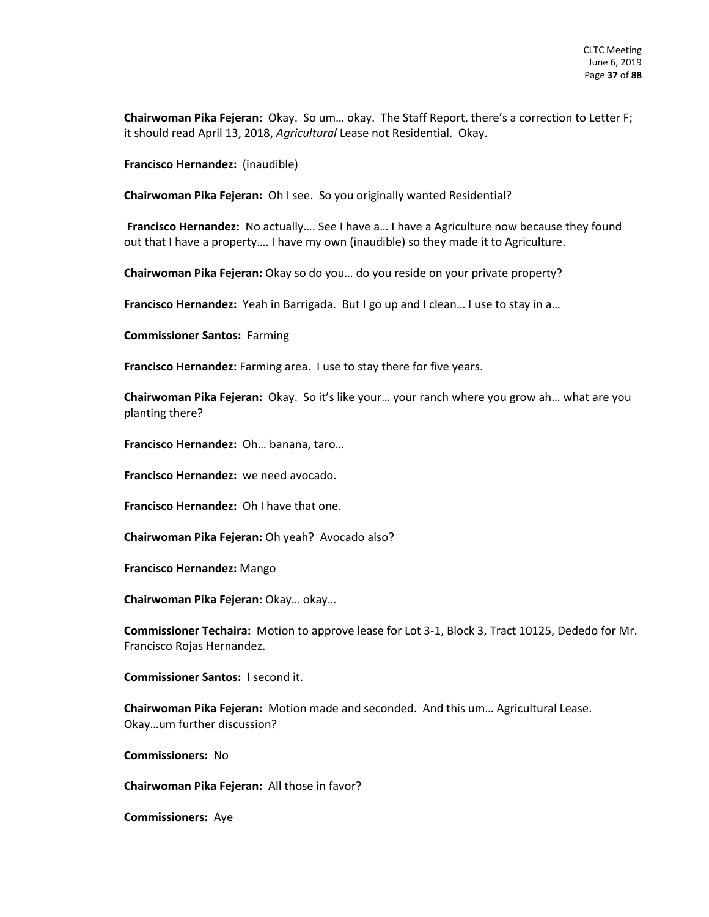**Chairwoman Pika Fejeran:** Okay. So um… okay. The Staff Report, there's a correction to Letter F; it should read April 13, 2018, *Agricultural* Lease not Residential. Okay.

**Francisco Hernandez:** (inaudible)

**Chairwoman Pika Fejeran:** Oh I see. So you originally wanted Residential?

**Francisco Hernandez:** No actually…. See I have a… I have a Agriculture now because they found out that I have a property…. I have my own (inaudible) so they made it to Agriculture.

**Chairwoman Pika Fejeran:** Okay so do you… do you reside on your private property?

**Francisco Hernandez:** Yeah in Barrigada. But I go up and I clean… I use to stay in a…

**Commissioner Santos:** Farming

**Francisco Hernandez:** Farming area. I use to stay there for five years.

**Chairwoman Pika Fejeran:** Okay. So it's like your… your ranch where you grow ah… what are you planting there?

**Francisco Hernandez:** Oh… banana, taro…

**Francisco Hernandez:** we need avocado.

**Francisco Hernandez:** Oh I have that one.

**Chairwoman Pika Fejeran:** Oh yeah? Avocado also?

**Francisco Hernandez:** Mango

**Chairwoman Pika Fejeran:** Okay… okay…

**Commissioner Techaira:** Motion to approve lease for Lot 3-1, Block 3, Tract 10125, Dededo for Mr. Francisco Rojas Hernandez.

**Commissioner Santos:** I second it.

**Chairwoman Pika Fejeran:** Motion made and seconded. And this um… Agricultural Lease. Okay…um further discussion?

**Commissioners:** No

**Chairwoman Pika Fejeran:** All those in favor?

**Commissioners:** Aye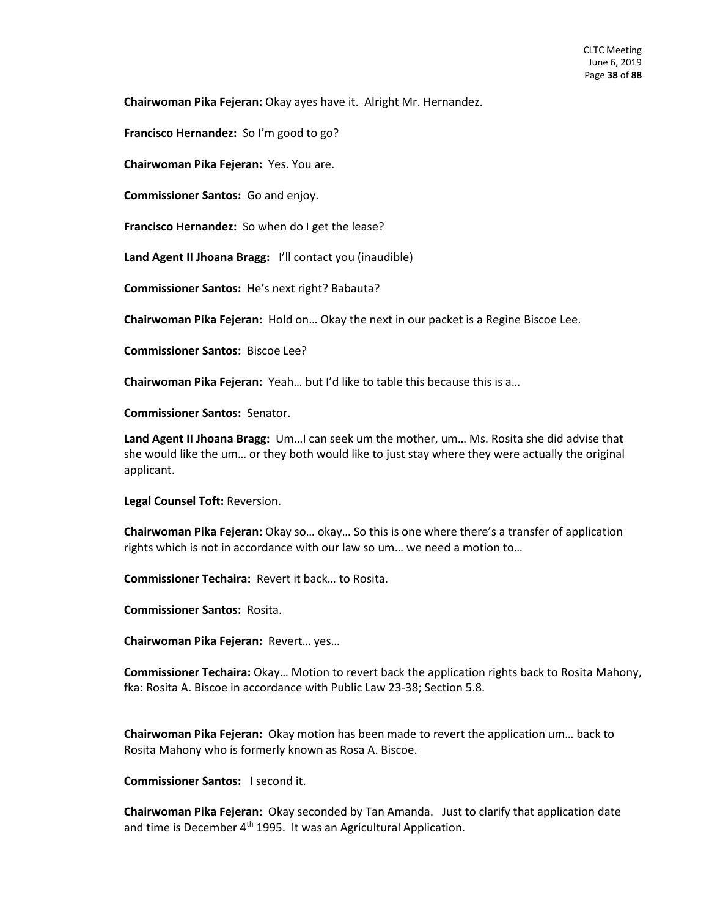**Chairwoman Pika Fejeran:** Okay ayes have it. Alright Mr. Hernandez.

**Francisco Hernandez:** So I'm good to go?

**Chairwoman Pika Fejeran:** Yes. You are.

**Commissioner Santos:** Go and enjoy.

**Francisco Hernandez:** So when do I get the lease?

**Land Agent II Jhoana Bragg:** I'll contact you (inaudible)

**Commissioner Santos:** He's next right? Babauta?

**Chairwoman Pika Fejeran:** Hold on… Okay the next in our packet is a Regine Biscoe Lee.

**Commissioner Santos:** Biscoe Lee?

**Chairwoman Pika Fejeran:** Yeah… but I'd like to table this because this is a…

**Commissioner Santos:** Senator.

**Land Agent II Jhoana Bragg:** Um…I can seek um the mother, um… Ms. Rosita she did advise that she would like the um… or they both would like to just stay where they were actually the original applicant.

**Legal Counsel Toft:** Reversion.

**Chairwoman Pika Fejeran:** Okay so… okay… So this is one where there's a transfer of application rights which is not in accordance with our law so um… we need a motion to…

**Commissioner Techaira:** Revert it back… to Rosita.

**Commissioner Santos:** Rosita.

**Chairwoman Pika Fejeran:** Revert… yes…

**Commissioner Techaira:** Okay… Motion to revert back the application rights back to Rosita Mahony, fka: Rosita A. Biscoe in accordance with Public Law 23-38; Section 5.8.

**Chairwoman Pika Fejeran:** Okay motion has been made to revert the application um… back to Rosita Mahony who is formerly known as Rosa A. Biscoe.

**Commissioner Santos:** I second it.

**Chairwoman Pika Fejeran:** Okay seconded by Tan Amanda. Just to clarify that application date and time is December  $4<sup>th</sup>$  1995. It was an Agricultural Application.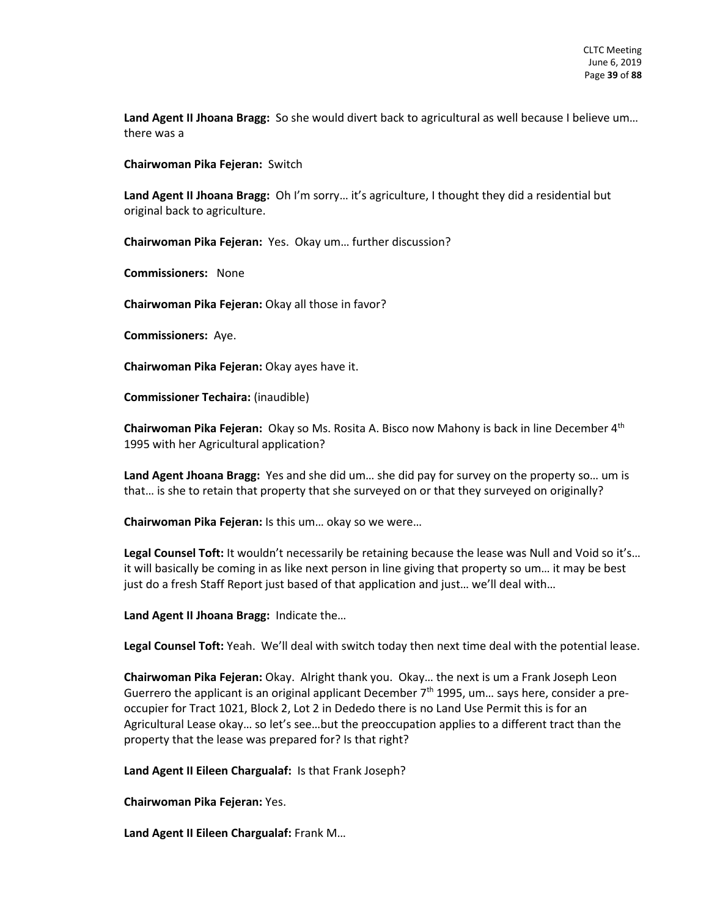**Land Agent II Jhoana Bragg:** So she would divert back to agricultural as well because I believe um… there was a

**Chairwoman Pika Fejeran:** Switch

**Land Agent II Jhoana Bragg:** Oh I'm sorry… it's agriculture, I thought they did a residential but original back to agriculture.

**Chairwoman Pika Fejeran:** Yes. Okay um… further discussion?

**Commissioners:** None

**Chairwoman Pika Fejeran:** Okay all those in favor?

**Commissioners:** Aye.

**Chairwoman Pika Fejeran:** Okay ayes have it.

**Commissioner Techaira:** (inaudible)

**Chairwoman Pika Fejeran:** Okay so Ms. Rosita A. Bisco now Mahony is back in line December 4th 1995 with her Agricultural application?

**Land Agent Jhoana Bragg:** Yes and she did um… she did pay for survey on the property so… um is that… is she to retain that property that she surveyed on or that they surveyed on originally?

**Chairwoman Pika Fejeran:** Is this um… okay so we were…

**Legal Counsel Toft:** It wouldn't necessarily be retaining because the lease was Null and Void so it's… it will basically be coming in as like next person in line giving that property so um… it may be best just do a fresh Staff Report just based of that application and just… we'll deal with…

**Land Agent II Jhoana Bragg:** Indicate the…

**Legal Counsel Toft:** Yeah. We'll deal with switch today then next time deal with the potential lease.

**Chairwoman Pika Fejeran:** Okay. Alright thank you. Okay… the next is um a Frank Joseph Leon Guerrero the applicant is an original applicant December  $7<sup>th</sup>$  1995, um... says here, consider a preoccupier for Tract 1021, Block 2, Lot 2 in Dededo there is no Land Use Permit this is for an Agricultural Lease okay… so let's see…but the preoccupation applies to a different tract than the property that the lease was prepared for? Is that right?

**Land Agent II Eileen Chargualaf:** Is that Frank Joseph?

**Chairwoman Pika Fejeran:** Yes.

**Land Agent II Eileen Chargualaf:** Frank M…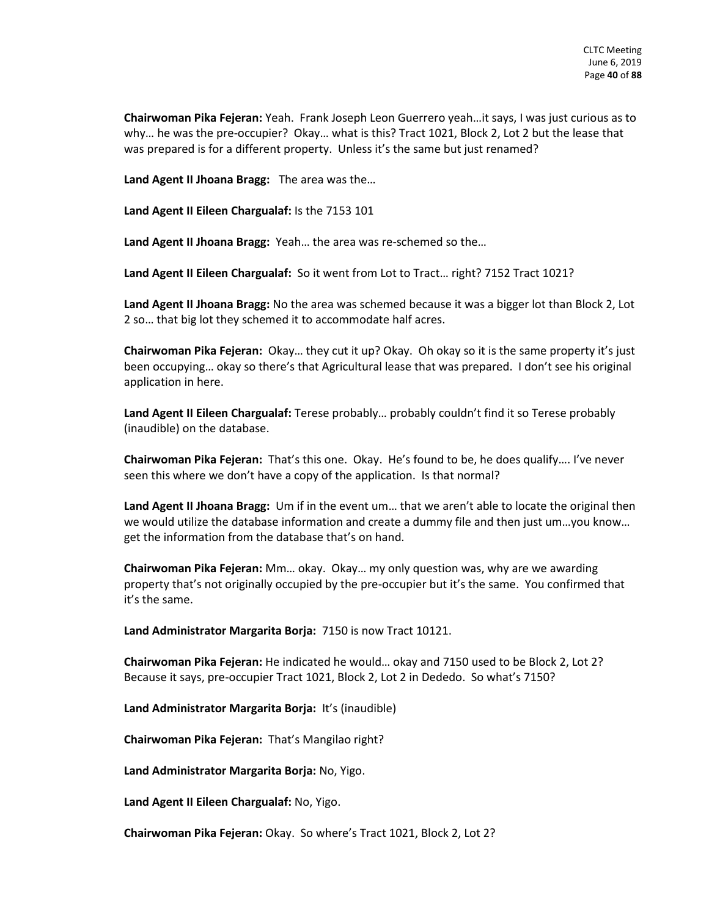**Chairwoman Pika Fejeran:** Yeah. Frank Joseph Leon Guerrero yeah…it says, I was just curious as to why… he was the pre-occupier? Okay… what is this? Tract 1021, Block 2, Lot 2 but the lease that was prepared is for a different property. Unless it's the same but just renamed?

**Land Agent II Jhoana Bragg:** The area was the…

**Land Agent II Eileen Chargualaf:** Is the 7153 101

**Land Agent II Jhoana Bragg:** Yeah… the area was re-schemed so the…

**Land Agent II Eileen Chargualaf:** So it went from Lot to Tract… right? 7152 Tract 1021?

**Land Agent II Jhoana Bragg:** No the area was schemed because it was a bigger lot than Block 2, Lot 2 so… that big lot they schemed it to accommodate half acres.

**Chairwoman Pika Fejeran:** Okay… they cut it up? Okay. Oh okay so it is the same property it's just been occupying… okay so there's that Agricultural lease that was prepared. I don't see his original application in here.

**Land Agent II Eileen Chargualaf:** Terese probably… probably couldn't find it so Terese probably (inaudible) on the database.

**Chairwoman Pika Fejeran:** That's this one. Okay. He's found to be, he does qualify…. I've never seen this where we don't have a copy of the application. Is that normal?

**Land Agent II Jhoana Bragg:** Um if in the event um… that we aren't able to locate the original then we would utilize the database information and create a dummy file and then just um…you know… get the information from the database that's on hand.

**Chairwoman Pika Fejeran:** Mm… okay. Okay… my only question was, why are we awarding property that's not originally occupied by the pre-occupier but it's the same. You confirmed that it's the same.

**Land Administrator Margarita Borja:** 7150 is now Tract 10121.

**Chairwoman Pika Fejeran:** He indicated he would… okay and 7150 used to be Block 2, Lot 2? Because it says, pre-occupier Tract 1021, Block 2, Lot 2 in Dededo. So what's 7150?

**Land Administrator Margarita Borja:** It's (inaudible)

**Chairwoman Pika Fejeran:** That's Mangilao right?

**Land Administrator Margarita Borja:** No, Yigo.

**Land Agent II Eileen Chargualaf:** No, Yigo.

**Chairwoman Pika Fejeran:** Okay. So where's Tract 1021, Block 2, Lot 2?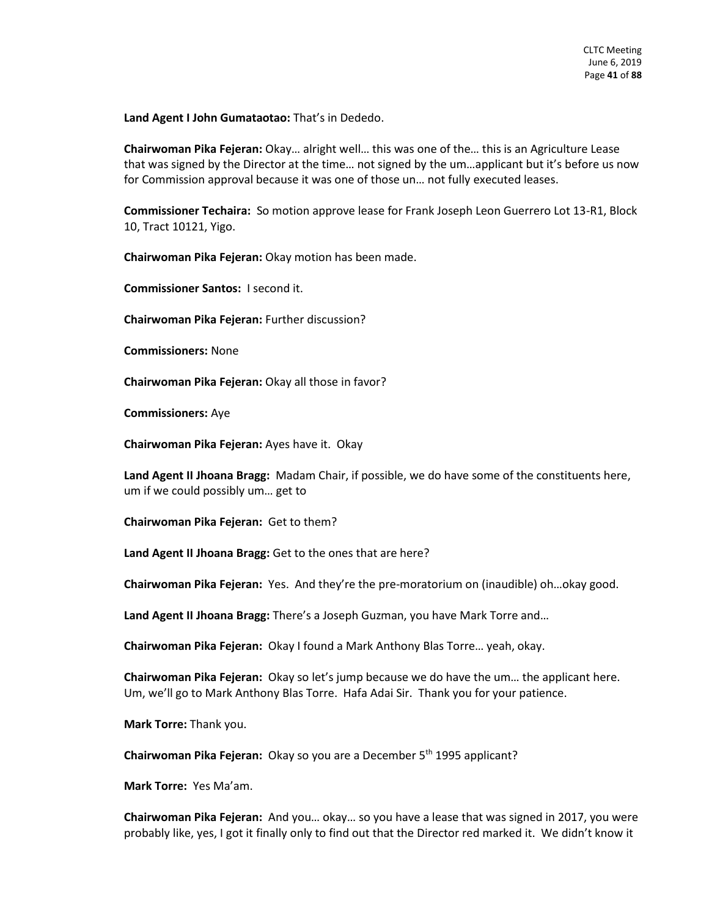**Land Agent I John Gumataotao:** That's in Dededo.

**Chairwoman Pika Fejeran:** Okay… alright well… this was one of the… this is an Agriculture Lease that was signed by the Director at the time… not signed by the um…applicant but it's before us now for Commission approval because it was one of those un… not fully executed leases.

**Commissioner Techaira:** So motion approve lease for Frank Joseph Leon Guerrero Lot 13-R1, Block 10, Tract 10121, Yigo.

**Chairwoman Pika Fejeran:** Okay motion has been made.

**Commissioner Santos:** I second it.

**Chairwoman Pika Fejeran:** Further discussion?

**Commissioners:** None

**Chairwoman Pika Fejeran:** Okay all those in favor?

**Commissioners:** Aye

**Chairwoman Pika Fejeran:** Ayes have it. Okay

**Land Agent II Jhoana Bragg:** Madam Chair, if possible, we do have some of the constituents here, um if we could possibly um… get to

**Chairwoman Pika Fejeran:** Get to them?

**Land Agent II Jhoana Bragg:** Get to the ones that are here?

**Chairwoman Pika Fejeran:** Yes. And they're the pre-moratorium on (inaudible) oh…okay good.

**Land Agent II Jhoana Bragg:** There's a Joseph Guzman, you have Mark Torre and…

**Chairwoman Pika Fejeran:** Okay I found a Mark Anthony Blas Torre… yeah, okay.

**Chairwoman Pika Fejeran:** Okay so let's jump because we do have the um… the applicant here. Um, we'll go to Mark Anthony Blas Torre. Hafa Adai Sir. Thank you for your patience.

**Mark Torre:** Thank you.

**Chairwoman Pika Fejeran:** Okay so you are a December 5th 1995 applicant?

**Mark Torre:** Yes Ma'am.

**Chairwoman Pika Fejeran:** And you… okay… so you have a lease that was signed in 2017, you were probably like, yes, I got it finally only to find out that the Director red marked it. We didn't know it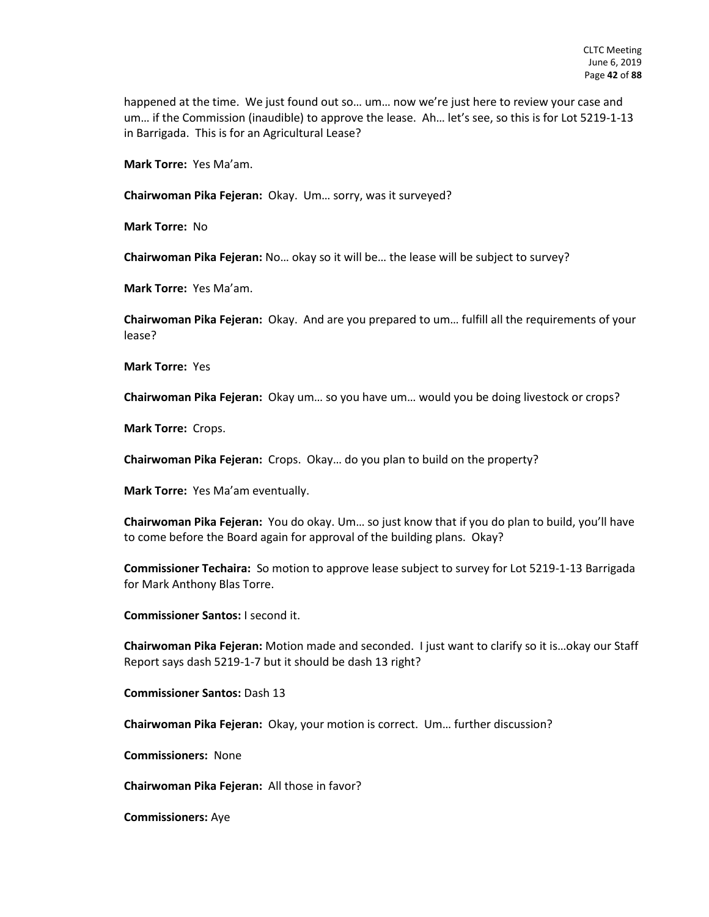happened at the time. We just found out so... um... now we're just here to review your case and um… if the Commission (inaudible) to approve the lease. Ah… let's see, so this is for Lot 5219-1-13 in Barrigada. This is for an Agricultural Lease?

**Mark Torre:** Yes Ma'am.

**Chairwoman Pika Fejeran:** Okay. Um… sorry, was it surveyed?

**Mark Torre:** No

**Chairwoman Pika Fejeran:** No… okay so it will be… the lease will be subject to survey?

**Mark Torre:** Yes Ma'am.

**Chairwoman Pika Fejeran:** Okay. And are you prepared to um… fulfill all the requirements of your lease?

**Mark Torre:** Yes

**Chairwoman Pika Fejeran:** Okay um… so you have um… would you be doing livestock or crops?

**Mark Torre:** Crops.

**Chairwoman Pika Fejeran:** Crops. Okay… do you plan to build on the property?

**Mark Torre:** Yes Ma'am eventually.

**Chairwoman Pika Fejeran:** You do okay. Um… so just know that if you do plan to build, you'll have to come before the Board again for approval of the building plans. Okay?

**Commissioner Techaira:** So motion to approve lease subject to survey for Lot 5219-1-13 Barrigada for Mark Anthony Blas Torre.

**Commissioner Santos:** I second it.

**Chairwoman Pika Fejeran:** Motion made and seconded. I just want to clarify so it is…okay our Staff Report says dash 5219-1-7 but it should be dash 13 right?

**Commissioner Santos:** Dash 13

**Chairwoman Pika Fejeran:** Okay, your motion is correct. Um… further discussion?

**Commissioners:** None

**Chairwoman Pika Fejeran:** All those in favor?

**Commissioners:** Aye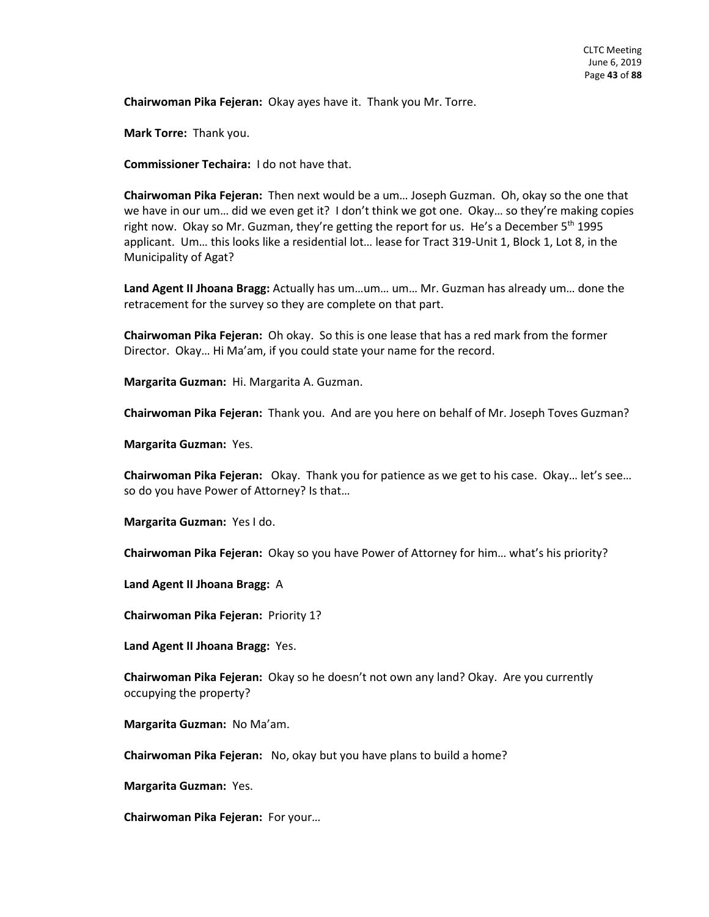**Chairwoman Pika Fejeran:** Okay ayes have it. Thank you Mr. Torre.

**Mark Torre:** Thank you.

**Commissioner Techaira:** I do not have that.

**Chairwoman Pika Fejeran:** Then next would be a um… Joseph Guzman. Oh, okay so the one that we have in our um… did we even get it? I don't think we got one. Okay… so they're making copies right now. Okay so Mr. Guzman, they're getting the report for us. He's a December  $5<sup>th</sup> 1995$ applicant. Um… this looks like a residential lot… lease for Tract 319-Unit 1, Block 1, Lot 8, in the Municipality of Agat?

**Land Agent II Jhoana Bragg:** Actually has um…um… um… Mr. Guzman has already um… done the retracement for the survey so they are complete on that part.

**Chairwoman Pika Fejeran:** Oh okay. So this is one lease that has a red mark from the former Director. Okay… Hi Ma'am, if you could state your name for the record.

**Margarita Guzman:** Hi. Margarita A. Guzman.

**Chairwoman Pika Fejeran:** Thank you. And are you here on behalf of Mr. Joseph Toves Guzman?

**Margarita Guzman:** Yes.

**Chairwoman Pika Fejeran:** Okay. Thank you for patience as we get to his case. Okay… let's see… so do you have Power of Attorney? Is that…

**Margarita Guzman:** Yes I do.

**Chairwoman Pika Fejeran:** Okay so you have Power of Attorney for him… what's his priority?

**Land Agent II Jhoana Bragg:** A

**Chairwoman Pika Fejeran:** Priority 1?

**Land Agent II Jhoana Bragg:** Yes.

**Chairwoman Pika Fejeran:** Okay so he doesn't not own any land? Okay. Are you currently occupying the property?

**Margarita Guzman:** No Ma'am.

**Chairwoman Pika Fejeran:** No, okay but you have plans to build a home?

**Margarita Guzman:** Yes.

**Chairwoman Pika Fejeran:** For your…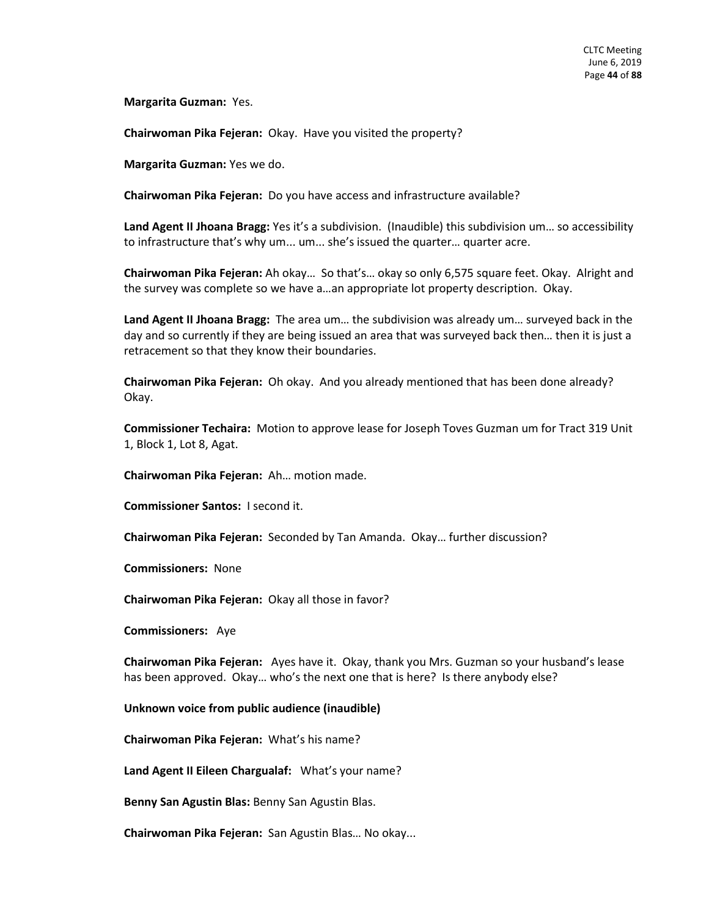**Margarita Guzman:** Yes.

**Chairwoman Pika Fejeran:** Okay. Have you visited the property?

**Margarita Guzman:** Yes we do.

**Chairwoman Pika Fejeran:** Do you have access and infrastructure available?

**Land Agent II Jhoana Bragg:** Yes it's a subdivision. (Inaudible) this subdivision um… so accessibility to infrastructure that's why um... um... she's issued the quarter… quarter acre.

**Chairwoman Pika Fejeran:** Ah okay… So that's… okay so only 6,575 square feet. Okay. Alright and the survey was complete so we have a…an appropriate lot property description. Okay.

**Land Agent II Jhoana Bragg:** The area um… the subdivision was already um… surveyed back in the day and so currently if they are being issued an area that was surveyed back then… then it is just a retracement so that they know their boundaries.

**Chairwoman Pika Fejeran:** Oh okay. And you already mentioned that has been done already? Okay.

**Commissioner Techaira:** Motion to approve lease for Joseph Toves Guzman um for Tract 319 Unit 1, Block 1, Lot 8, Agat.

**Chairwoman Pika Fejeran:** Ah… motion made.

**Commissioner Santos:** I second it.

**Chairwoman Pika Fejeran:** Seconded by Tan Amanda. Okay… further discussion?

**Commissioners:** None

**Chairwoman Pika Fejeran:** Okay all those in favor?

**Commissioners:** Aye

**Chairwoman Pika Fejeran:** Ayes have it. Okay, thank you Mrs. Guzman so your husband's lease has been approved. Okay… who's the next one that is here? Is there anybody else?

**Unknown voice from public audience (inaudible)**

**Chairwoman Pika Fejeran:** What's his name?

**Land Agent II Eileen Chargualaf:** What's your name?

**Benny San Agustin Blas:** Benny San Agustin Blas.

**Chairwoman Pika Fejeran:** San Agustin Blas… No okay...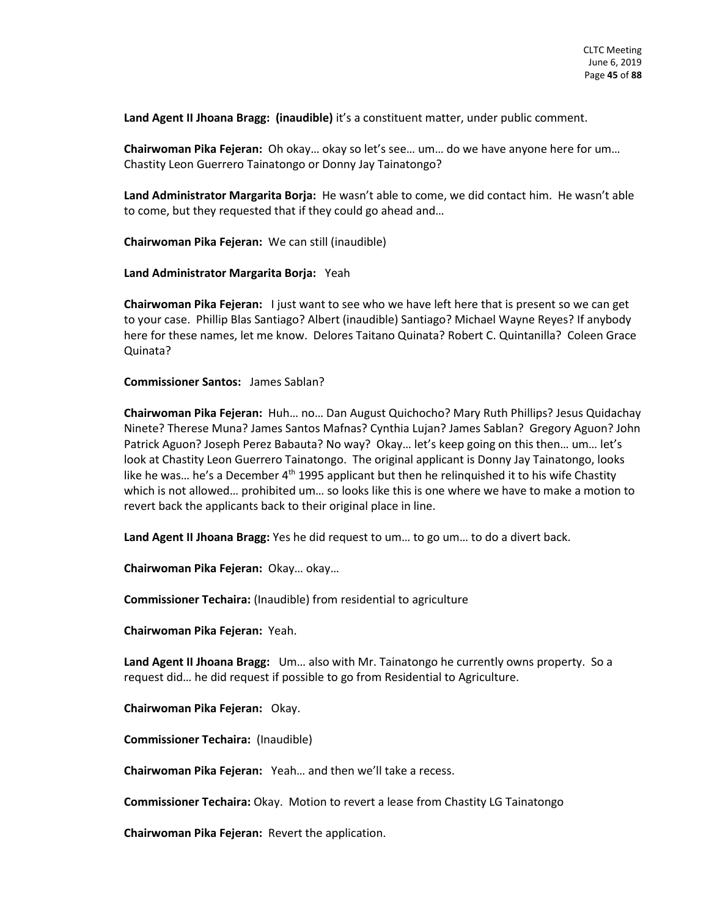**Land Agent II Jhoana Bragg: (inaudible)** it's a constituent matter, under public comment.

**Chairwoman Pika Fejeran:** Oh okay… okay so let's see… um… do we have anyone here for um… Chastity Leon Guerrero Tainatongo or Donny Jay Tainatongo?

**Land Administrator Margarita Borja:** He wasn't able to come, we did contact him. He wasn't able to come, but they requested that if they could go ahead and…

**Chairwoman Pika Fejeran:** We can still (inaudible)

**Land Administrator Margarita Borja:** Yeah

**Chairwoman Pika Fejeran:** I just want to see who we have left here that is present so we can get to your case. Phillip Blas Santiago? Albert (inaudible) Santiago? Michael Wayne Reyes? If anybody here for these names, let me know. Delores Taitano Quinata? Robert C. Quintanilla? Coleen Grace Quinata?

**Commissioner Santos:** James Sablan?

**Chairwoman Pika Fejeran:** Huh… no… Dan August Quichocho? Mary Ruth Phillips? Jesus Quidachay Ninete? Therese Muna? James Santos Mafnas? Cynthia Lujan? James Sablan? Gregory Aguon? John Patrick Aguon? Joseph Perez Babauta? No way? Okay… let's keep going on this then… um… let's look at Chastity Leon Guerrero Tainatongo. The original applicant is Donny Jay Tainatongo, looks like he was... he's a December  $4<sup>th</sup>$  1995 applicant but then he relinguished it to his wife Chastity which is not allowed… prohibited um… so looks like this is one where we have to make a motion to revert back the applicants back to their original place in line.

**Land Agent II Jhoana Bragg:** Yes he did request to um… to go um… to do a divert back.

**Chairwoman Pika Fejeran:** Okay… okay…

**Commissioner Techaira:** (Inaudible) from residential to agriculture

**Chairwoman Pika Fejeran:** Yeah.

**Land Agent II Jhoana Bragg:** Um… also with Mr. Tainatongo he currently owns property. So a request did… he did request if possible to go from Residential to Agriculture.

**Chairwoman Pika Fejeran:** Okay.

**Commissioner Techaira:** (Inaudible)

**Chairwoman Pika Fejeran:** Yeah… and then we'll take a recess.

**Commissioner Techaira:** Okay. Motion to revert a lease from Chastity LG Tainatongo

**Chairwoman Pika Fejeran:** Revert the application.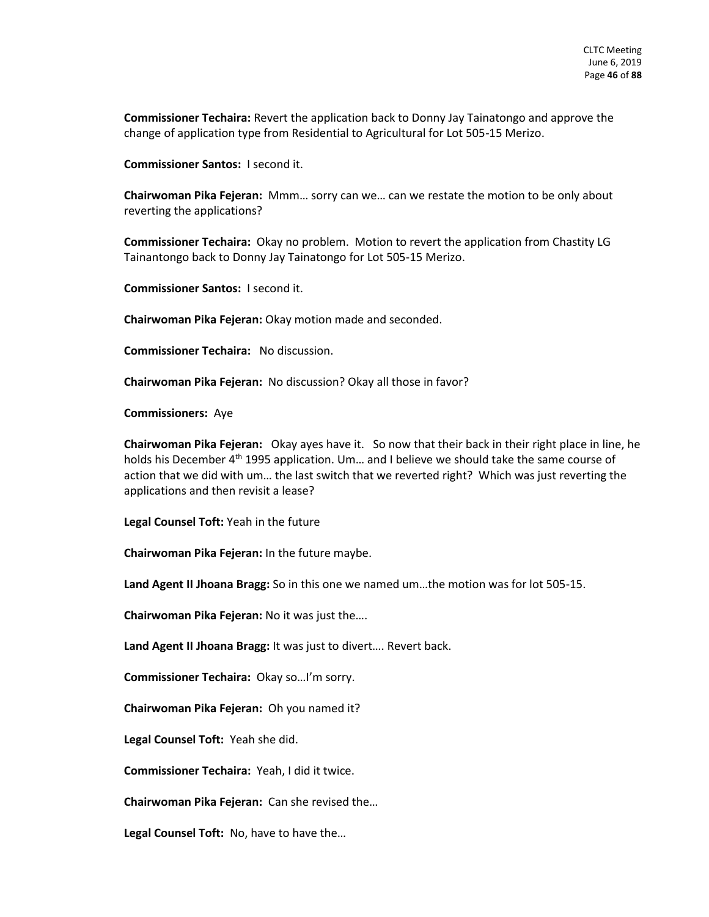**Commissioner Techaira:** Revert the application back to Donny Jay Tainatongo and approve the change of application type from Residential to Agricultural for Lot 505-15 Merizo.

**Commissioner Santos:** I second it.

**Chairwoman Pika Fejeran:** Mmm… sorry can we… can we restate the motion to be only about reverting the applications?

**Commissioner Techaira:** Okay no problem. Motion to revert the application from Chastity LG Tainantongo back to Donny Jay Tainatongo for Lot 505-15 Merizo.

**Commissioner Santos:** I second it.

**Chairwoman Pika Fejeran:** Okay motion made and seconded.

**Commissioner Techaira:** No discussion.

**Chairwoman Pika Fejeran:** No discussion? Okay all those in favor?

**Commissioners:** Aye

**Chairwoman Pika Fejeran:** Okay ayes have it. So now that their back in their right place in line, he holds his December 4<sup>th</sup> 1995 application. Um... and I believe we should take the same course of action that we did with um… the last switch that we reverted right? Which was just reverting the applications and then revisit a lease?

**Legal Counsel Toft:** Yeah in the future

**Chairwoman Pika Fejeran:** In the future maybe.

**Land Agent II Jhoana Bragg:** So in this one we named um…the motion was for lot 505-15.

**Chairwoman Pika Fejeran:** No it was just the….

**Land Agent II Jhoana Bragg:** It was just to divert…. Revert back.

**Commissioner Techaira:** Okay so…I'm sorry.

**Chairwoman Pika Fejeran:** Oh you named it?

**Legal Counsel Toft:** Yeah she did.

**Commissioner Techaira:** Yeah, I did it twice.

**Chairwoman Pika Fejeran:** Can she revised the…

**Legal Counsel Toft:** No, have to have the…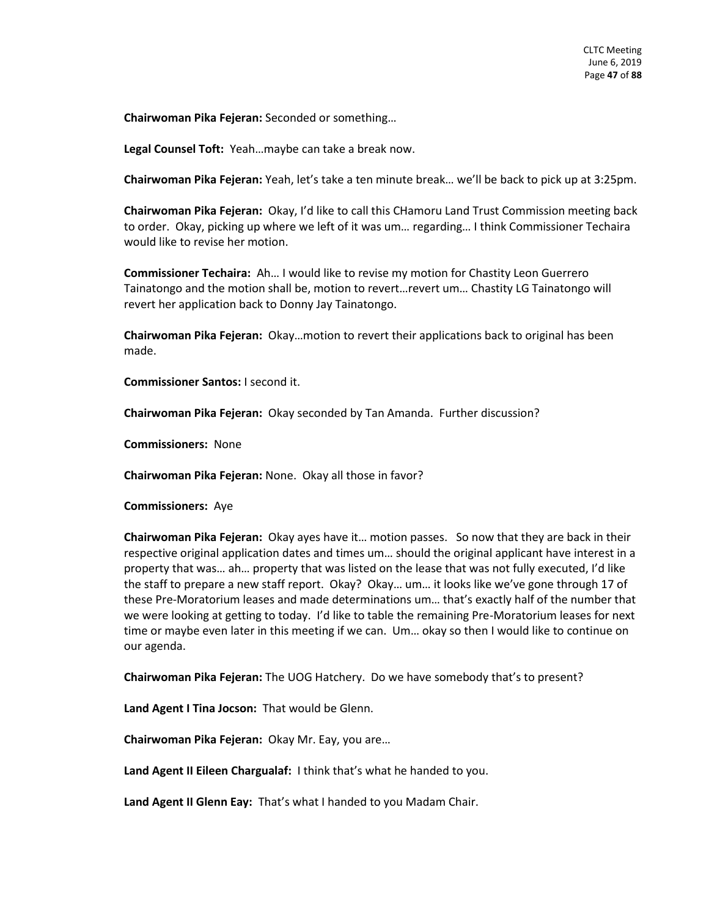**Chairwoman Pika Fejeran:** Seconded or something…

**Legal Counsel Toft:** Yeah…maybe can take a break now.

**Chairwoman Pika Fejeran:** Yeah, let's take a ten minute break… we'll be back to pick up at 3:25pm.

**Chairwoman Pika Fejeran:** Okay, I'd like to call this CHamoru Land Trust Commission meeting back to order. Okay, picking up where we left of it was um… regarding… I think Commissioner Techaira would like to revise her motion.

**Commissioner Techaira:** Ah… I would like to revise my motion for Chastity Leon Guerrero Tainatongo and the motion shall be, motion to revert…revert um… Chastity LG Tainatongo will revert her application back to Donny Jay Tainatongo.

**Chairwoman Pika Fejeran:** Okay…motion to revert their applications back to original has been made.

**Commissioner Santos:** I second it.

**Chairwoman Pika Fejeran:** Okay seconded by Tan Amanda. Further discussion?

**Commissioners:** None

**Chairwoman Pika Fejeran:** None. Okay all those in favor?

**Commissioners:** Aye

**Chairwoman Pika Fejeran:** Okay ayes have it… motion passes. So now that they are back in their respective original application dates and times um… should the original applicant have interest in a property that was… ah… property that was listed on the lease that was not fully executed, I'd like the staff to prepare a new staff report. Okay? Okay… um… it looks like we've gone through 17 of these Pre-Moratorium leases and made determinations um… that's exactly half of the number that we were looking at getting to today. I'd like to table the remaining Pre-Moratorium leases for next time or maybe even later in this meeting if we can. Um… okay so then I would like to continue on our agenda.

**Chairwoman Pika Fejeran:** The UOG Hatchery. Do we have somebody that's to present?

**Land Agent I Tina Jocson:** That would be Glenn.

**Chairwoman Pika Fejeran:** Okay Mr. Eay, you are…

**Land Agent II Eileen Chargualaf:** I think that's what he handed to you.

**Land Agent II Glenn Eay:** That's what I handed to you Madam Chair.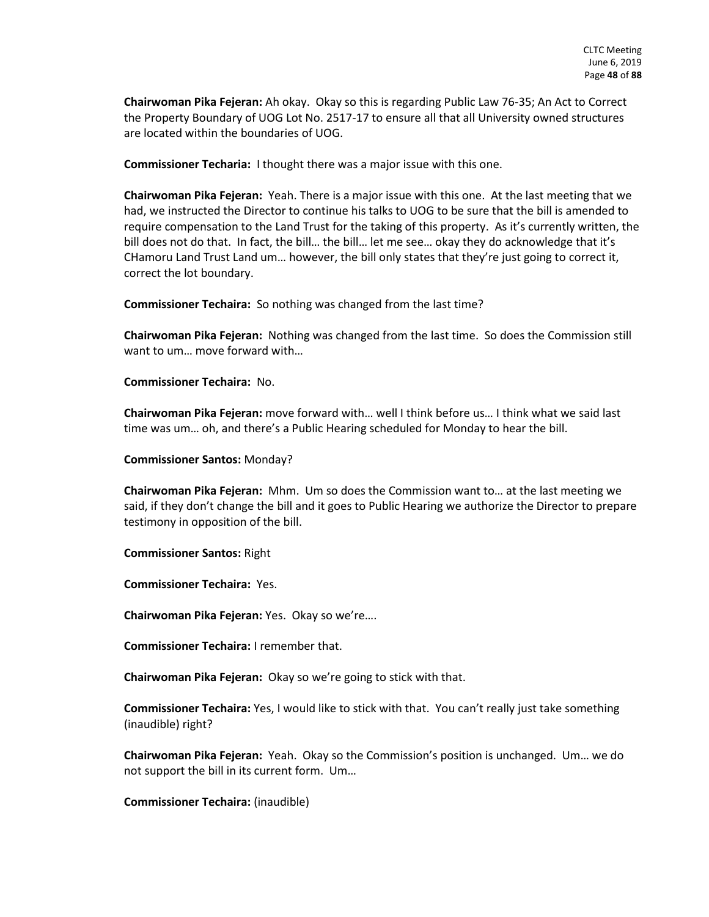**Chairwoman Pika Fejeran:** Ah okay. Okay so this is regarding Public Law 76-35; An Act to Correct the Property Boundary of UOG Lot No. 2517-17 to ensure all that all University owned structures are located within the boundaries of UOG.

**Commissioner Techaria:** I thought there was a major issue with this one.

**Chairwoman Pika Fejeran:** Yeah. There is a major issue with this one. At the last meeting that we had, we instructed the Director to continue his talks to UOG to be sure that the bill is amended to require compensation to the Land Trust for the taking of this property. As it's currently written, the bill does not do that. In fact, the bill… the bill… let me see… okay they do acknowledge that it's CHamoru Land Trust Land um… however, the bill only states that they're just going to correct it, correct the lot boundary.

**Commissioner Techaira:** So nothing was changed from the last time?

**Chairwoman Pika Fejeran:** Nothing was changed from the last time. So does the Commission still want to um… move forward with…

**Commissioner Techaira:** No.

**Chairwoman Pika Fejeran:** move forward with… well I think before us… I think what we said last time was um… oh, and there's a Public Hearing scheduled for Monday to hear the bill.

**Commissioner Santos:** Monday?

**Chairwoman Pika Fejeran:** Mhm. Um so does the Commission want to… at the last meeting we said, if they don't change the bill and it goes to Public Hearing we authorize the Director to prepare testimony in opposition of the bill.

**Commissioner Santos:** Right

**Commissioner Techaira:** Yes.

**Chairwoman Pika Fejeran:** Yes. Okay so we're….

**Commissioner Techaira:** I remember that.

**Chairwoman Pika Fejeran:** Okay so we're going to stick with that.

**Commissioner Techaira:** Yes, I would like to stick with that. You can't really just take something (inaudible) right?

**Chairwoman Pika Fejeran:** Yeah. Okay so the Commission's position is unchanged. Um… we do not support the bill in its current form. Um…

**Commissioner Techaira:** (inaudible)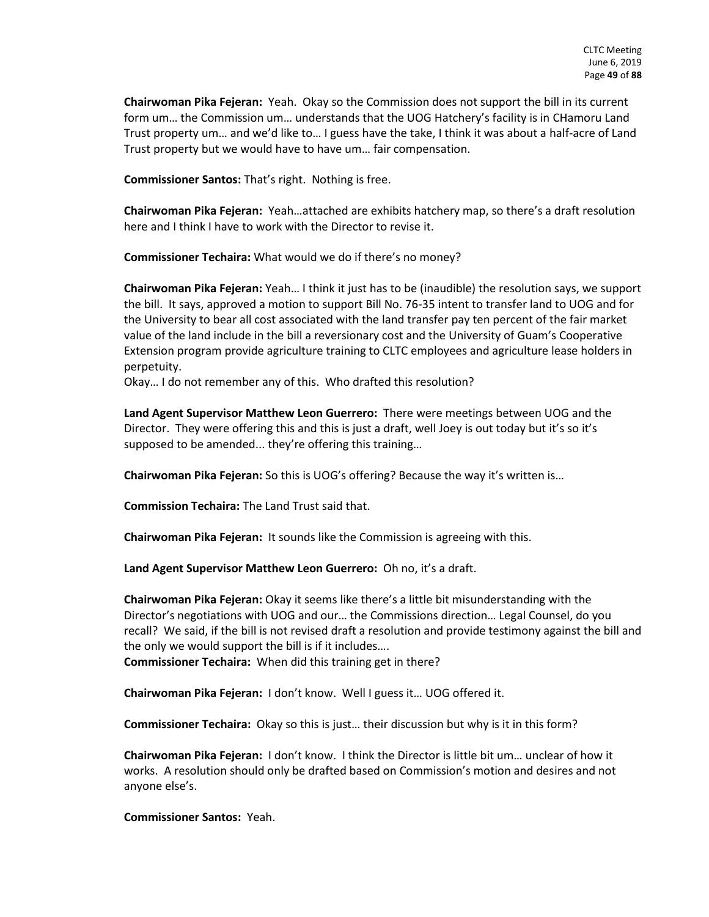**Chairwoman Pika Fejeran:** Yeah. Okay so the Commission does not support the bill in its current form um… the Commission um… understands that the UOG Hatchery's facility is in CHamoru Land Trust property um… and we'd like to… I guess have the take, I think it was about a half-acre of Land Trust property but we would have to have um… fair compensation.

**Commissioner Santos:** That's right. Nothing is free.

**Chairwoman Pika Fejeran:** Yeah…attached are exhibits hatchery map, so there's a draft resolution here and I think I have to work with the Director to revise it.

**Commissioner Techaira:** What would we do if there's no money?

**Chairwoman Pika Fejeran:** Yeah… I think it just has to be (inaudible) the resolution says, we support the bill. It says, approved a motion to support Bill No. 76-35 intent to transfer land to UOG and for the University to bear all cost associated with the land transfer pay ten percent of the fair market value of the land include in the bill a reversionary cost and the University of Guam's Cooperative Extension program provide agriculture training to CLTC employees and agriculture lease holders in perpetuity.

Okay… I do not remember any of this. Who drafted this resolution?

**Land Agent Supervisor Matthew Leon Guerrero:** There were meetings between UOG and the Director. They were offering this and this is just a draft, well Joey is out today but it's so it's supposed to be amended... they're offering this training…

**Chairwoman Pika Fejeran:** So this is UOG's offering? Because the way it's written is…

**Commission Techaira:** The Land Trust said that.

**Chairwoman Pika Fejeran:** It sounds like the Commission is agreeing with this.

**Land Agent Supervisor Matthew Leon Guerrero:** Oh no, it's a draft.

**Chairwoman Pika Fejeran:** Okay it seems like there's a little bit misunderstanding with the Director's negotiations with UOG and our… the Commissions direction… Legal Counsel, do you recall? We said, if the bill is not revised draft a resolution and provide testimony against the bill and the only we would support the bill is if it includes….

**Commissioner Techaira:** When did this training get in there?

**Chairwoman Pika Fejeran:** I don't know. Well I guess it… UOG offered it.

**Commissioner Techaira:** Okay so this is just… their discussion but why is it in this form?

**Chairwoman Pika Fejeran:** I don't know. I think the Director is little bit um… unclear of how it works. A resolution should only be drafted based on Commission's motion and desires and not anyone else's.

**Commissioner Santos:** Yeah.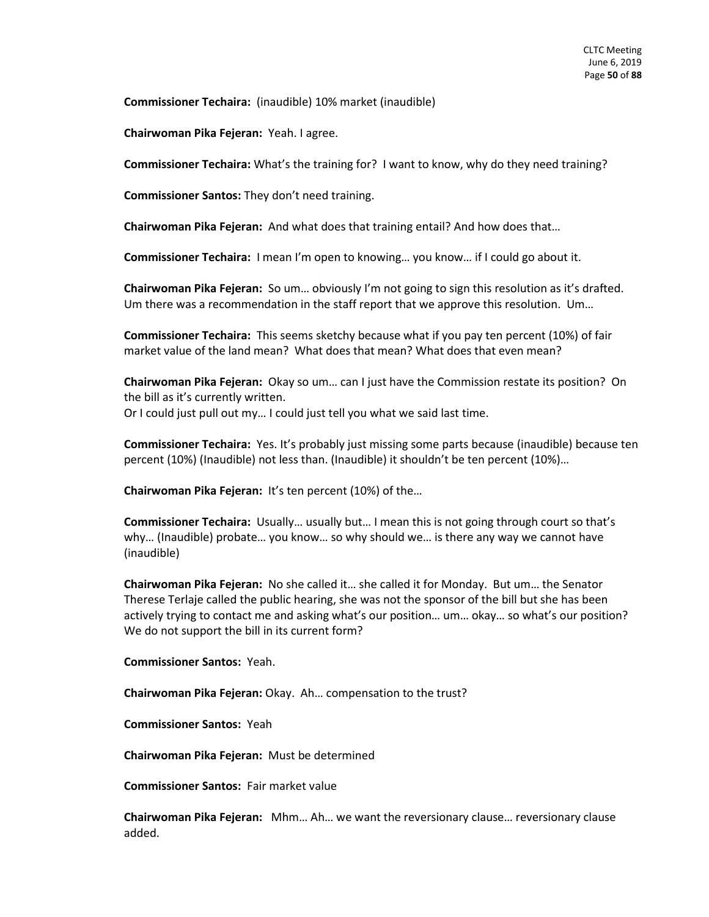**Commissioner Techaira:** (inaudible) 10% market (inaudible)

**Chairwoman Pika Fejeran:** Yeah. I agree.

**Commissioner Techaira:** What's the training for? I want to know, why do they need training?

**Commissioner Santos:** They don't need training.

**Chairwoman Pika Fejeran:** And what does that training entail? And how does that…

**Commissioner Techaira:** I mean I'm open to knowing… you know… if I could go about it.

**Chairwoman Pika Fejeran:** So um… obviously I'm not going to sign this resolution as it's drafted. Um there was a recommendation in the staff report that we approve this resolution. Um…

**Commissioner Techaira:** This seems sketchy because what if you pay ten percent (10%) of fair market value of the land mean? What does that mean? What does that even mean?

**Chairwoman Pika Fejeran:** Okay so um… can I just have the Commission restate its position? On the bill as it's currently written. Or I could just pull out my… I could just tell you what we said last time.

**Commissioner Techaira:** Yes. It's probably just missing some parts because (inaudible) because ten percent (10%) (Inaudible) not less than. (Inaudible) it shouldn't be ten percent (10%)…

**Chairwoman Pika Fejeran:** It's ten percent (10%) of the…

**Commissioner Techaira:** Usually… usually but… I mean this is not going through court so that's why… (Inaudible) probate… you know… so why should we… is there any way we cannot have (inaudible)

**Chairwoman Pika Fejeran:** No she called it… she called it for Monday. But um… the Senator Therese Terlaje called the public hearing, she was not the sponsor of the bill but she has been actively trying to contact me and asking what's our position… um… okay… so what's our position? We do not support the bill in its current form?

**Commissioner Santos:** Yeah.

**Chairwoman Pika Fejeran:** Okay. Ah… compensation to the trust?

**Commissioner Santos:** Yeah

**Chairwoman Pika Fejeran:** Must be determined

**Commissioner Santos:** Fair market value

**Chairwoman Pika Fejeran:** Mhm… Ah… we want the reversionary clause… reversionary clause added.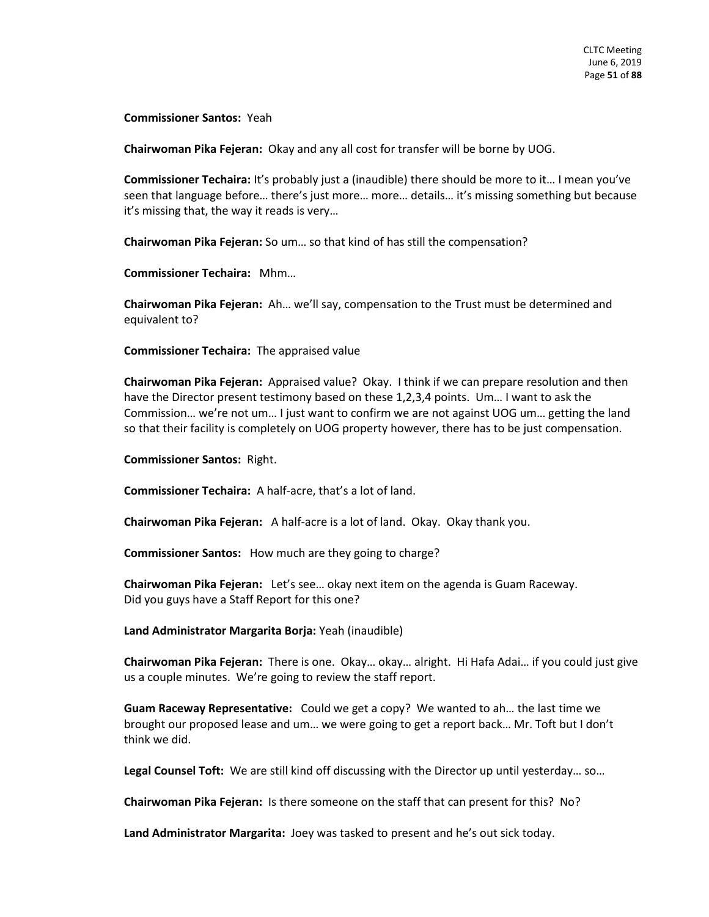**Commissioner Santos:** Yeah

**Chairwoman Pika Fejeran:** Okay and any all cost for transfer will be borne by UOG.

**Commissioner Techaira:** It's probably just a (inaudible) there should be more to it… I mean you've seen that language before… there's just more… more… details… it's missing something but because it's missing that, the way it reads is very…

**Chairwoman Pika Fejeran:** So um… so that kind of has still the compensation?

**Commissioner Techaira:** Mhm…

**Chairwoman Pika Fejeran:** Ah… we'll say, compensation to the Trust must be determined and equivalent to?

**Commissioner Techaira:** The appraised value

**Chairwoman Pika Fejeran:** Appraised value? Okay. I think if we can prepare resolution and then have the Director present testimony based on these 1,2,3,4 points. Um… I want to ask the Commission… we're not um… I just want to confirm we are not against UOG um… getting the land so that their facility is completely on UOG property however, there has to be just compensation.

**Commissioner Santos:** Right.

**Commissioner Techaira:** A half-acre, that's a lot of land.

**Chairwoman Pika Fejeran:** A half-acre is a lot of land. Okay. Okay thank you.

**Commissioner Santos:** How much are they going to charge?

**Chairwoman Pika Fejeran:** Let's see… okay next item on the agenda is Guam Raceway. Did you guys have a Staff Report for this one?

**Land Administrator Margarita Borja:** Yeah (inaudible)

**Chairwoman Pika Fejeran:** There is one. Okay… okay… alright. Hi Hafa Adai… if you could just give us a couple minutes. We're going to review the staff report.

**Guam Raceway Representative:** Could we get a copy? We wanted to ah… the last time we brought our proposed lease and um… we were going to get a report back… Mr. Toft but I don't think we did.

**Legal Counsel Toft:** We are still kind off discussing with the Director up until yesterday… so…

**Chairwoman Pika Fejeran:** Is there someone on the staff that can present for this? No?

**Land Administrator Margarita:** Joey was tasked to present and he's out sick today.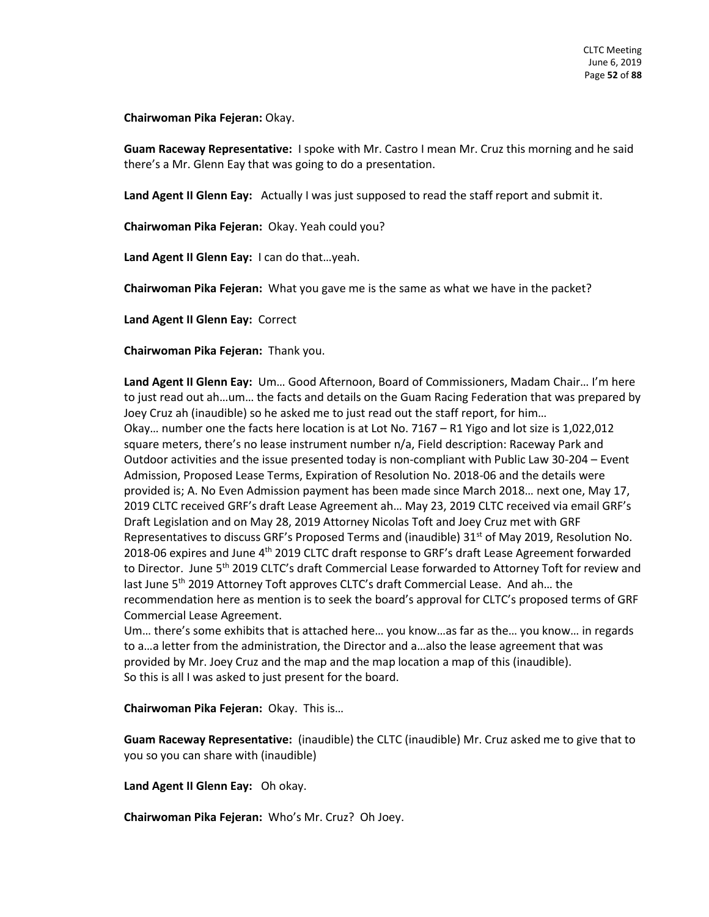**Chairwoman Pika Fejeran:** Okay.

**Guam Raceway Representative:** I spoke with Mr. Castro I mean Mr. Cruz this morning and he said there's a Mr. Glenn Eay that was going to do a presentation.

**Land Agent II Glenn Eay:** Actually I was just supposed to read the staff report and submit it.

**Chairwoman Pika Fejeran:** Okay. Yeah could you?

**Land Agent II Glenn Eay:** I can do that…yeah.

**Chairwoman Pika Fejeran:** What you gave me is the same as what we have in the packet?

**Land Agent II Glenn Eay:** Correct

**Chairwoman Pika Fejeran:** Thank you.

**Land Agent II Glenn Eay:** Um… Good Afternoon, Board of Commissioners, Madam Chair… I'm here to just read out ah…um… the facts and details on the Guam Racing Federation that was prepared by Joey Cruz ah (inaudible) so he asked me to just read out the staff report, for him… Okay… number one the facts here location is at Lot No. 7167 – R1 Yigo and lot size is 1,022,012 square meters, there's no lease instrument number n/a, Field description: Raceway Park and Outdoor activities and the issue presented today is non-compliant with Public Law 30-204 – Event Admission, Proposed Lease Terms, Expiration of Resolution No. 2018-06 and the details were provided is; A. No Even Admission payment has been made since March 2018… next one, May 17, 2019 CLTC received GRF's draft Lease Agreement ah… May 23, 2019 CLTC received via email GRF's Draft Legislation and on May 28, 2019 Attorney Nicolas Toft and Joey Cruz met with GRF Representatives to discuss GRF's Proposed Terms and (inaudible)  $31<sup>st</sup>$  of May 2019, Resolution No. 2018-06 expires and June 4<sup>th</sup> 2019 CLTC draft response to GRF's draft Lease Agreement forwarded to Director. June 5<sup>th</sup> 2019 CLTC's draft Commercial Lease forwarded to Attorney Toft for review and last June 5<sup>th</sup> 2019 Attorney Toft approves CLTC's draft Commercial Lease. And ah... the recommendation here as mention is to seek the board's approval for CLTC's proposed terms of GRF Commercial Lease Agreement.

Um… there's some exhibits that is attached here… you know…as far as the… you know… in regards to a…a letter from the administration, the Director and a…also the lease agreement that was provided by Mr. Joey Cruz and the map and the map location a map of this (inaudible). So this is all I was asked to just present for the board.

**Chairwoman Pika Fejeran:** Okay. This is…

**Guam Raceway Representative:** (inaudible) the CLTC (inaudible) Mr. Cruz asked me to give that to you so you can share with (inaudible)

**Land Agent II Glenn Eay:** Oh okay.

**Chairwoman Pika Fejeran:** Who's Mr. Cruz? Oh Joey.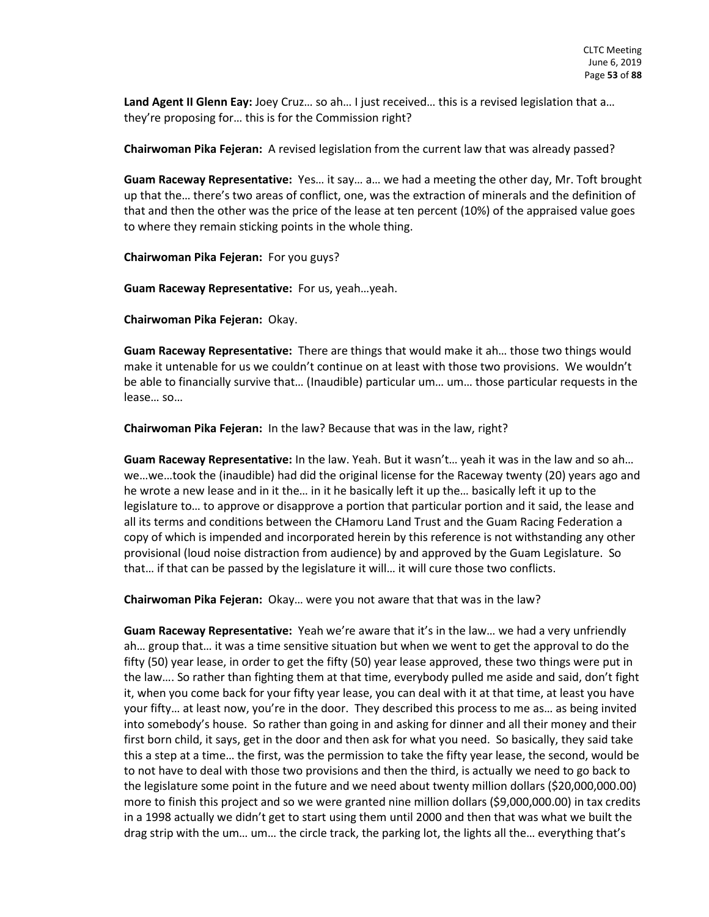**Land Agent II Glenn Eay:** Joey Cruz… so ah… I just received… this is a revised legislation that a… they're proposing for… this is for the Commission right?

**Chairwoman Pika Fejeran:** A revised legislation from the current law that was already passed?

**Guam Raceway Representative:** Yes… it say… a… we had a meeting the other day, Mr. Toft brought up that the… there's two areas of conflict, one, was the extraction of minerals and the definition of that and then the other was the price of the lease at ten percent (10%) of the appraised value goes to where they remain sticking points in the whole thing.

**Chairwoman Pika Fejeran:** For you guys?

**Guam Raceway Representative:** For us, yeah…yeah.

**Chairwoman Pika Fejeran:** Okay.

**Guam Raceway Representative:** There are things that would make it ah… those two things would make it untenable for us we couldn't continue on at least with those two provisions. We wouldn't be able to financially survive that… (Inaudible) particular um… um… those particular requests in the lease… so…

**Chairwoman Pika Fejeran:** In the law? Because that was in the law, right?

**Guam Raceway Representative:** In the law. Yeah. But it wasn't… yeah it was in the law and so ah… we…we…took the (inaudible) had did the original license for the Raceway twenty (20) years ago and he wrote a new lease and in it the… in it he basically left it up the… basically left it up to the legislature to… to approve or disapprove a portion that particular portion and it said, the lease and all its terms and conditions between the CHamoru Land Trust and the Guam Racing Federation a copy of which is impended and incorporated herein by this reference is not withstanding any other provisional (loud noise distraction from audience) by and approved by the Guam Legislature. So that… if that can be passed by the legislature it will… it will cure those two conflicts.

**Chairwoman Pika Fejeran:** Okay… were you not aware that that was in the law?

**Guam Raceway Representative:** Yeah we're aware that it's in the law… we had a very unfriendly ah… group that… it was a time sensitive situation but when we went to get the approval to do the fifty (50) year lease, in order to get the fifty (50) year lease approved, these two things were put in the law…. So rather than fighting them at that time, everybody pulled me aside and said, don't fight it, when you come back for your fifty year lease, you can deal with it at that time, at least you have your fifty… at least now, you're in the door. They described this process to me as… as being invited into somebody's house. So rather than going in and asking for dinner and all their money and their first born child, it says, get in the door and then ask for what you need. So basically, they said take this a step at a time… the first, was the permission to take the fifty year lease, the second, would be to not have to deal with those two provisions and then the third, is actually we need to go back to the legislature some point in the future and we need about twenty million dollars (\$20,000,000.00) more to finish this project and so we were granted nine million dollars (\$9,000,000.00) in tax credits in a 1998 actually we didn't get to start using them until 2000 and then that was what we built the drag strip with the um… um… the circle track, the parking lot, the lights all the… everything that's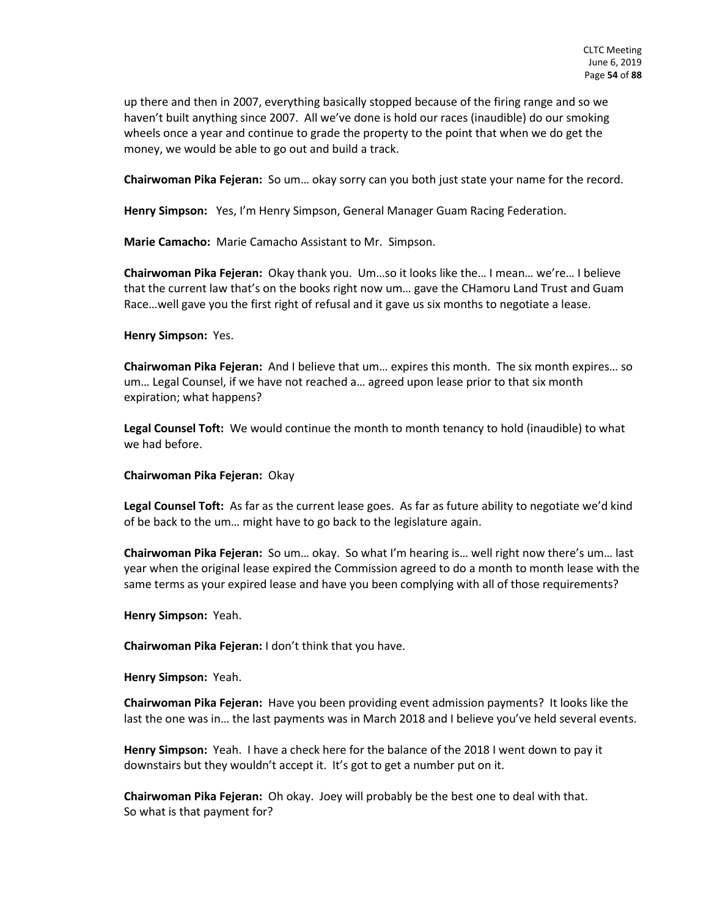up there and then in 2007, everything basically stopped because of the firing range and so we haven't built anything since 2007. All we've done is hold our races (inaudible) do our smoking wheels once a year and continue to grade the property to the point that when we do get the money, we would be able to go out and build a track.

**Chairwoman Pika Fejeran:** So um… okay sorry can you both just state your name for the record.

**Henry Simpson:** Yes, I'm Henry Simpson, General Manager Guam Racing Federation.

**Marie Camacho:** Marie Camacho Assistant to Mr. Simpson.

**Chairwoman Pika Fejeran:** Okay thank you. Um…so it looks like the… I mean… we're… I believe that the current law that's on the books right now um… gave the CHamoru Land Trust and Guam Race…well gave you the first right of refusal and it gave us six months to negotiate a lease.

**Henry Simpson:** Yes.

**Chairwoman Pika Fejeran:** And I believe that um… expires this month. The six month expires… so um… Legal Counsel, if we have not reached a… agreed upon lease prior to that six month expiration; what happens?

**Legal Counsel Toft:** We would continue the month to month tenancy to hold (inaudible) to what we had before.

**Chairwoman Pika Fejeran:** Okay

**Legal Counsel Toft:** As far as the current lease goes. As far as future ability to negotiate we'd kind of be back to the um… might have to go back to the legislature again.

**Chairwoman Pika Fejeran:** So um… okay. So what I'm hearing is… well right now there's um… last year when the original lease expired the Commission agreed to do a month to month lease with the same terms as your expired lease and have you been complying with all of those requirements?

**Henry Simpson:** Yeah.

**Chairwoman Pika Fejeran:** I don't think that you have.

**Henry Simpson:** Yeah.

**Chairwoman Pika Fejeran:** Have you been providing event admission payments? It looks like the last the one was in… the last payments was in March 2018 and I believe you've held several events.

**Henry Simpson:** Yeah. I have a check here for the balance of the 2018 I went down to pay it downstairs but they wouldn't accept it. It's got to get a number put on it.

**Chairwoman Pika Fejeran:** Oh okay. Joey will probably be the best one to deal with that. So what is that payment for?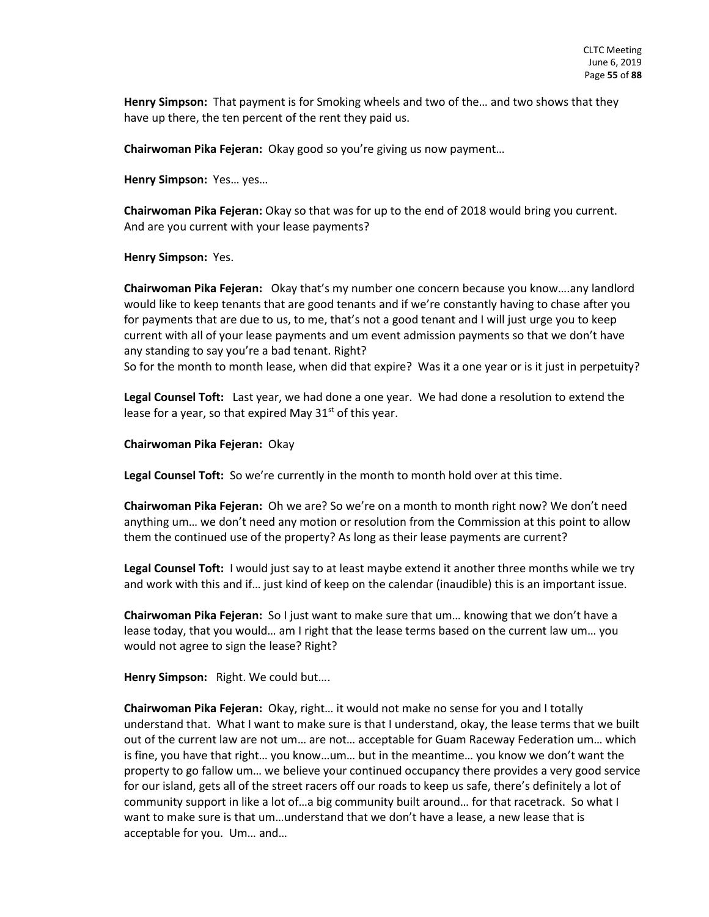**Henry Simpson:** That payment is for Smoking wheels and two of the… and two shows that they have up there, the ten percent of the rent they paid us.

**Chairwoman Pika Fejeran:** Okay good so you're giving us now payment…

**Henry Simpson:** Yes… yes…

**Chairwoman Pika Fejeran:** Okay so that was for up to the end of 2018 would bring you current. And are you current with your lease payments?

**Henry Simpson:** Yes.

**Chairwoman Pika Fejeran:** Okay that's my number one concern because you know….any landlord would like to keep tenants that are good tenants and if we're constantly having to chase after you for payments that are due to us, to me, that's not a good tenant and I will just urge you to keep current with all of your lease payments and um event admission payments so that we don't have any standing to say you're a bad tenant. Right?

So for the month to month lease, when did that expire? Was it a one year or is it just in perpetuity?

**Legal Counsel Toft:** Last year, we had done a one year. We had done a resolution to extend the lease for a year, so that expired May  $31<sup>st</sup>$  of this year.

**Chairwoman Pika Fejeran:** Okay

**Legal Counsel Toft:** So we're currently in the month to month hold over at this time.

**Chairwoman Pika Fejeran:** Oh we are? So we're on a month to month right now? We don't need anything um… we don't need any motion or resolution from the Commission at this point to allow them the continued use of the property? As long as their lease payments are current?

**Legal Counsel Toft:** I would just say to at least maybe extend it another three months while we try and work with this and if… just kind of keep on the calendar (inaudible) this is an important issue.

**Chairwoman Pika Fejeran:** So I just want to make sure that um… knowing that we don't have a lease today, that you would… am I right that the lease terms based on the current law um… you would not agree to sign the lease? Right?

**Henry Simpson:** Right. We could but….

**Chairwoman Pika Fejeran:** Okay, right… it would not make no sense for you and I totally understand that. What I want to make sure is that I understand, okay, the lease terms that we built out of the current law are not um… are not… acceptable for Guam Raceway Federation um… which is fine, you have that right… you know…um… but in the meantime… you know we don't want the property to go fallow um… we believe your continued occupancy there provides a very good service for our island, gets all of the street racers off our roads to keep us safe, there's definitely a lot of community support in like a lot of…a big community built around… for that racetrack. So what I want to make sure is that um…understand that we don't have a lease, a new lease that is acceptable for you. Um… and…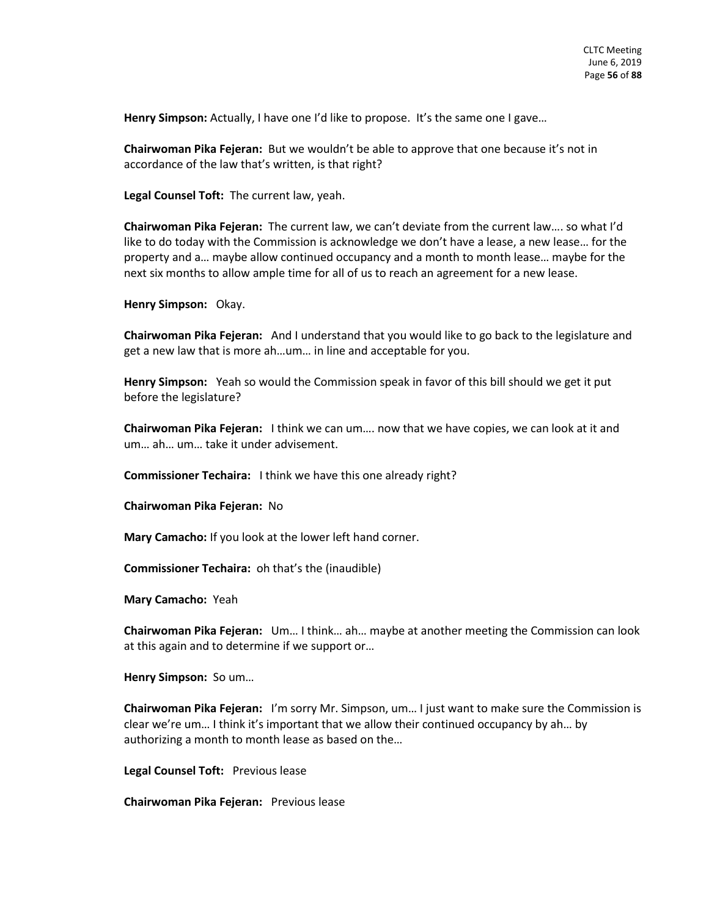**Henry Simpson:** Actually, I have one I'd like to propose. It's the same one I gave...

**Chairwoman Pika Fejeran:** But we wouldn't be able to approve that one because it's not in accordance of the law that's written, is that right?

**Legal Counsel Toft:** The current law, yeah.

**Chairwoman Pika Fejeran:** The current law, we can't deviate from the current law…. so what I'd like to do today with the Commission is acknowledge we don't have a lease, a new lease… for the property and a… maybe allow continued occupancy and a month to month lease… maybe for the next six months to allow ample time for all of us to reach an agreement for a new lease.

**Henry Simpson:** Okay.

**Chairwoman Pika Fejeran:** And I understand that you would like to go back to the legislature and get a new law that is more ah…um… in line and acceptable for you.

**Henry Simpson:** Yeah so would the Commission speak in favor of this bill should we get it put before the legislature?

**Chairwoman Pika Fejeran:** I think we can um…. now that we have copies, we can look at it and um… ah… um… take it under advisement.

**Commissioner Techaira:** I think we have this one already right?

**Chairwoman Pika Fejeran:** No

**Mary Camacho:** If you look at the lower left hand corner.

**Commissioner Techaira:** oh that's the (inaudible)

**Mary Camacho:** Yeah

**Chairwoman Pika Fejeran:** Um… I think… ah… maybe at another meeting the Commission can look at this again and to determine if we support or…

**Henry Simpson:** So um…

**Chairwoman Pika Fejeran:** I'm sorry Mr. Simpson, um… I just want to make sure the Commission is clear we're um… I think it's important that we allow their continued occupancy by ah… by authorizing a month to month lease as based on the…

**Legal Counsel Toft:** Previous lease

**Chairwoman Pika Fejeran:** Previous lease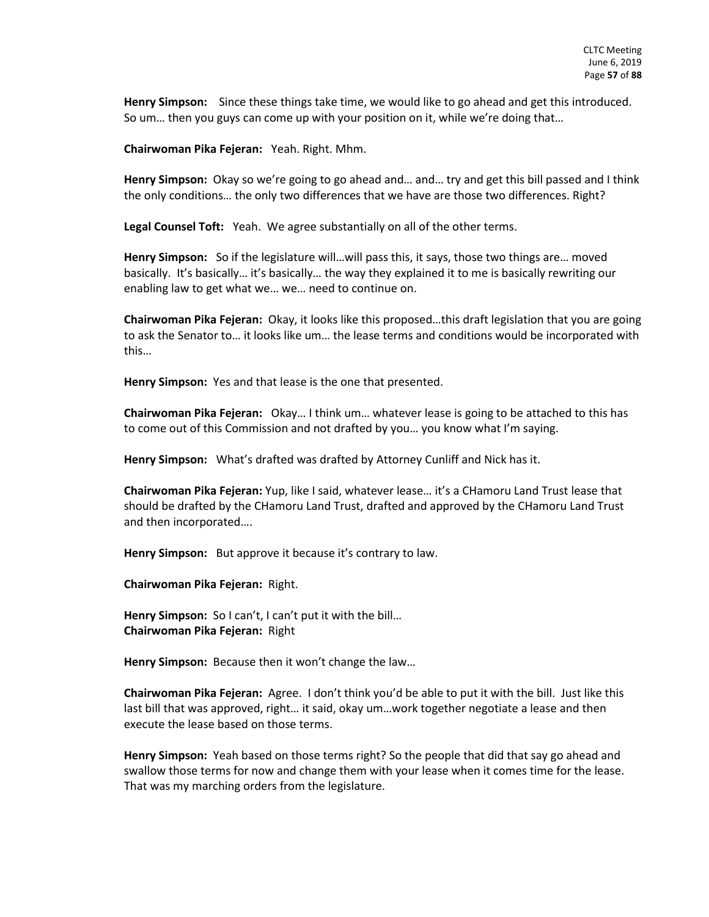**Henry Simpson:** Since these things take time, we would like to go ahead and get this introduced. So um… then you guys can come up with your position on it, while we're doing that…

**Chairwoman Pika Fejeran:** Yeah. Right. Mhm.

**Henry Simpson:** Okay so we're going to go ahead and… and… try and get this bill passed and I think the only conditions… the only two differences that we have are those two differences. Right?

**Legal Counsel Toft:** Yeah. We agree substantially on all of the other terms.

**Henry Simpson:** So if the legislature will…will pass this, it says, those two things are… moved basically. It's basically… it's basically… the way they explained it to me is basically rewriting our enabling law to get what we… we… need to continue on.

**Chairwoman Pika Fejeran:** Okay, it looks like this proposed…this draft legislation that you are going to ask the Senator to… it looks like um… the lease terms and conditions would be incorporated with this…

**Henry Simpson:** Yes and that lease is the one that presented.

**Chairwoman Pika Fejeran:** Okay… I think um… whatever lease is going to be attached to this has to come out of this Commission and not drafted by you… you know what I'm saying.

**Henry Simpson:** What's drafted was drafted by Attorney Cunliff and Nick has it.

**Chairwoman Pika Fejeran:** Yup, like I said, whatever lease… it's a CHamoru Land Trust lease that should be drafted by the CHamoru Land Trust, drafted and approved by the CHamoru Land Trust and then incorporated….

Henry Simpson: But approve it because it's contrary to law.

**Chairwoman Pika Fejeran:** Right.

**Henry Simpson:** So I can't, I can't put it with the bill… **Chairwoman Pika Fejeran:** Right

**Henry Simpson:** Because then it won't change the law…

**Chairwoman Pika Fejeran:** Agree. I don't think you'd be able to put it with the bill. Just like this last bill that was approved, right… it said, okay um…work together negotiate a lease and then execute the lease based on those terms.

**Henry Simpson:** Yeah based on those terms right? So the people that did that say go ahead and swallow those terms for now and change them with your lease when it comes time for the lease. That was my marching orders from the legislature.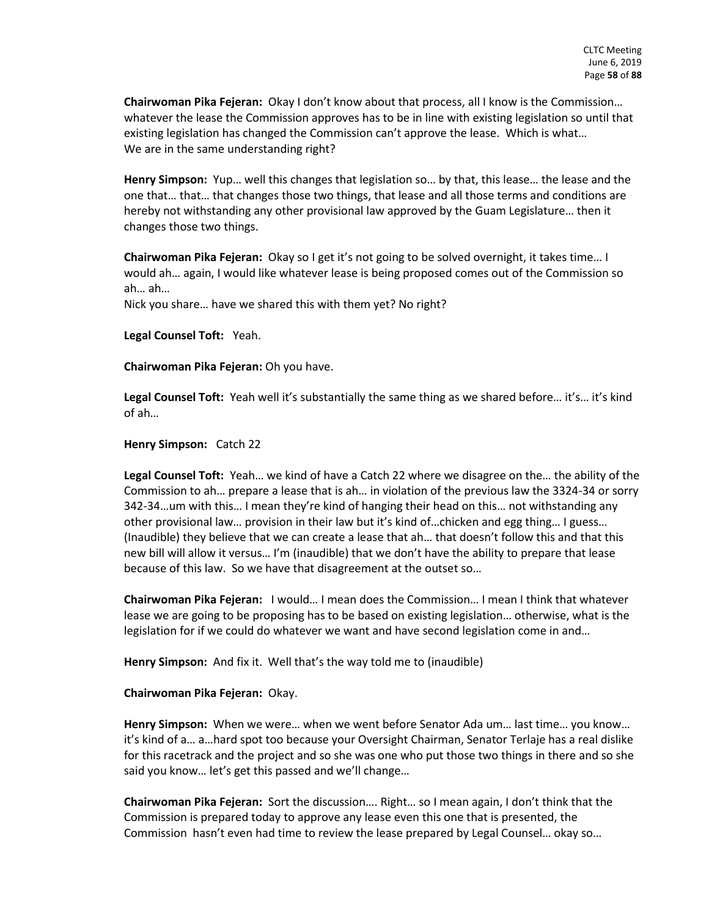**Chairwoman Pika Fejeran:** Okay I don't know about that process, all I know is the Commission… whatever the lease the Commission approves has to be in line with existing legislation so until that existing legislation has changed the Commission can't approve the lease. Which is what… We are in the same understanding right?

**Henry Simpson:** Yup… well this changes that legislation so… by that, this lease… the lease and the one that… that… that changes those two things, that lease and all those terms and conditions are hereby not withstanding any other provisional law approved by the Guam Legislature… then it changes those two things.

**Chairwoman Pika Fejeran:** Okay so I get it's not going to be solved overnight, it takes time… I would ah… again, I would like whatever lease is being proposed comes out of the Commission so ah… ah…

Nick you share… have we shared this with them yet? No right?

**Legal Counsel Toft:** Yeah.

**Chairwoman Pika Fejeran:** Oh you have.

**Legal Counsel Toft:** Yeah well it's substantially the same thing as we shared before… it's… it's kind of ah…

## **Henry Simpson:** Catch 22

**Legal Counsel Toft:** Yeah… we kind of have a Catch 22 where we disagree on the… the ability of the Commission to ah… prepare a lease that is ah… in violation of the previous law the 3324-34 or sorry 342-34…um with this… I mean they're kind of hanging their head on this… not withstanding any other provisional law… provision in their law but it's kind of…chicken and egg thing… I guess… (Inaudible) they believe that we can create a lease that ah… that doesn't follow this and that this new bill will allow it versus… I'm (inaudible) that we don't have the ability to prepare that lease because of this law. So we have that disagreement at the outset so…

**Chairwoman Pika Fejeran:** I would… I mean does the Commission… I mean I think that whatever lease we are going to be proposing has to be based on existing legislation… otherwise, what is the legislation for if we could do whatever we want and have second legislation come in and…

**Henry Simpson:** And fix it. Well that's the way told me to (inaudible)

## **Chairwoman Pika Fejeran:** Okay.

**Henry Simpson:** When we were… when we went before Senator Ada um… last time… you know… it's kind of a… a…hard spot too because your Oversight Chairman, Senator Terlaje has a real dislike for this racetrack and the project and so she was one who put those two things in there and so she said you know… let's get this passed and we'll change…

**Chairwoman Pika Fejeran:** Sort the discussion…. Right… so I mean again, I don't think that the Commission is prepared today to approve any lease even this one that is presented, the Commission hasn't even had time to review the lease prepared by Legal Counsel… okay so…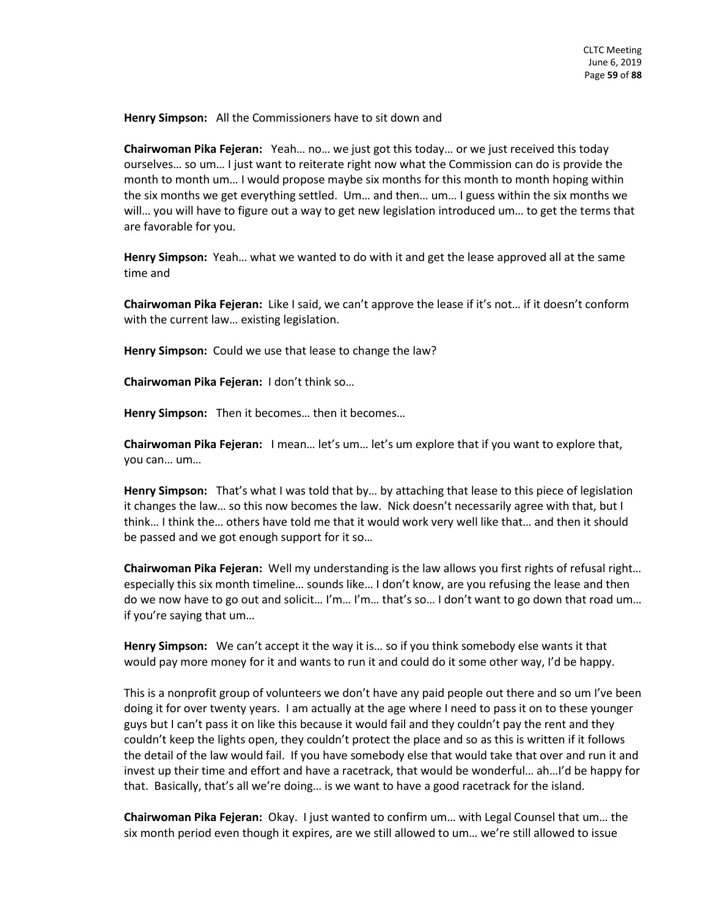**Henry Simpson:** All the Commissioners have to sit down and

**Chairwoman Pika Fejeran:** Yeah… no… we just got this today… or we just received this today ourselves… so um… I just want to reiterate right now what the Commission can do is provide the month to month um… I would propose maybe six months for this month to month hoping within the six months we get everything settled. Um… and then… um… I guess within the six months we will… you will have to figure out a way to get new legislation introduced um… to get the terms that are favorable for you.

**Henry Simpson:** Yeah… what we wanted to do with it and get the lease approved all at the same time and

**Chairwoman Pika Fejeran:** Like I said, we can't approve the lease if it's not… if it doesn't conform with the current law… existing legislation.

**Henry Simpson:** Could we use that lease to change the law?

**Chairwoman Pika Fejeran:** I don't think so…

**Henry Simpson:** Then it becomes… then it becomes…

**Chairwoman Pika Fejeran:** I mean… let's um… let's um explore that if you want to explore that, you can… um…

**Henry Simpson:** That's what I was told that by… by attaching that lease to this piece of legislation it changes the law… so this now becomes the law. Nick doesn't necessarily agree with that, but I think… I think the… others have told me that it would work very well like that… and then it should be passed and we got enough support for it so…

**Chairwoman Pika Fejeran:** Well my understanding is the law allows you first rights of refusal right... especially this six month timeline… sounds like… I don't know, are you refusing the lease and then do we now have to go out and solicit… I'm… I'm… that's so… I don't want to go down that road um… if you're saying that um…

**Henry Simpson:** We can't accept it the way it is… so if you think somebody else wants it that would pay more money for it and wants to run it and could do it some other way, I'd be happy.

This is a nonprofit group of volunteers we don't have any paid people out there and so um I've been doing it for over twenty years. I am actually at the age where I need to pass it on to these younger guys but I can't pass it on like this because it would fail and they couldn't pay the rent and they couldn't keep the lights open, they couldn't protect the place and so as this is written if it follows the detail of the law would fail. If you have somebody else that would take that over and run it and invest up their time and effort and have a racetrack, that would be wonderful… ah…I'd be happy for that. Basically, that's all we're doing… is we want to have a good racetrack for the island.

**Chairwoman Pika Fejeran:** Okay. I just wanted to confirm um… with Legal Counsel that um… the six month period even though it expires, are we still allowed to um… we're still allowed to issue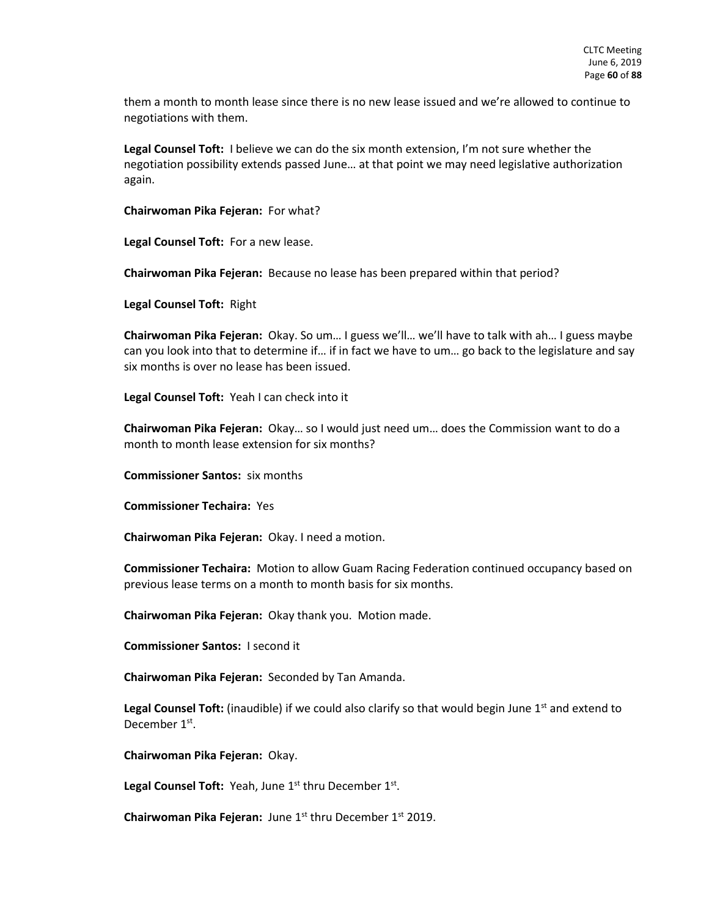them a month to month lease since there is no new lease issued and we're allowed to continue to negotiations with them.

**Legal Counsel Toft:** I believe we can do the six month extension, I'm not sure whether the negotiation possibility extends passed June… at that point we may need legislative authorization again.

**Chairwoman Pika Fejeran:** For what?

**Legal Counsel Toft:** For a new lease.

**Chairwoman Pika Fejeran:** Because no lease has been prepared within that period?

**Legal Counsel Toft:** Right

**Chairwoman Pika Fejeran:** Okay. So um… I guess we'll… we'll have to talk with ah… I guess maybe can you look into that to determine if… if in fact we have to um… go back to the legislature and say six months is over no lease has been issued.

**Legal Counsel Toft:** Yeah I can check into it

**Chairwoman Pika Fejeran:** Okay… so I would just need um… does the Commission want to do a month to month lease extension for six months?

**Commissioner Santos:** six months

**Commissioner Techaira:** Yes

**Chairwoman Pika Fejeran:** Okay. I need a motion.

**Commissioner Techaira:** Motion to allow Guam Racing Federation continued occupancy based on previous lease terms on a month to month basis for six months.

**Chairwoman Pika Fejeran:** Okay thank you. Motion made.

**Commissioner Santos:** I second it

**Chairwoman Pika Fejeran:** Seconded by Tan Amanda.

**Legal Counsel Toft:** (inaudible) if we could also clarify so that would begin June 1<sup>st</sup> and extend to December 1<sup>st</sup>.

**Chairwoman Pika Fejeran:** Okay.

Legal Counsel Toft: Yeah, June 1<sup>st</sup> thru December 1<sup>st</sup>.

**Chairwoman Pika Fejeran:** June 1<sup>st</sup> thru December 1<sup>st</sup> 2019.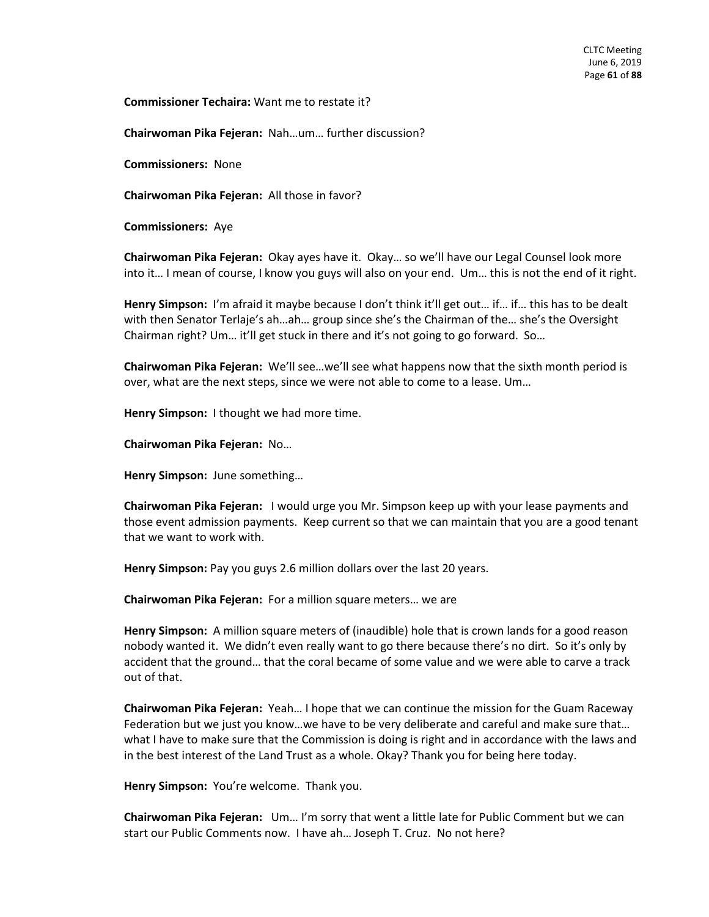**Commissioner Techaira:** Want me to restate it?

**Chairwoman Pika Fejeran:** Nah…um… further discussion?

**Commissioners:** None

**Chairwoman Pika Fejeran:** All those in favor?

**Commissioners:** Aye

**Chairwoman Pika Fejeran:** Okay ayes have it. Okay… so we'll have our Legal Counsel look more into it… I mean of course, I know you guys will also on your end. Um… this is not the end of it right.

**Henry Simpson:** I'm afraid it maybe because I don't think it'll get out… if… if… this has to be dealt with then Senator Terlaje's ah…ah… group since she's the Chairman of the… she's the Oversight Chairman right? Um… it'll get stuck in there and it's not going to go forward. So…

**Chairwoman Pika Fejeran:** We'll see…we'll see what happens now that the sixth month period is over, what are the next steps, since we were not able to come to a lease. Um…

**Henry Simpson:** I thought we had more time.

**Chairwoman Pika Fejeran:** No…

**Henry Simpson:** June something…

**Chairwoman Pika Fejeran:** I would urge you Mr. Simpson keep up with your lease payments and those event admission payments. Keep current so that we can maintain that you are a good tenant that we want to work with.

**Henry Simpson:** Pay you guys 2.6 million dollars over the last 20 years.

**Chairwoman Pika Fejeran:** For a million square meters… we are

**Henry Simpson:** A million square meters of (inaudible) hole that is crown lands for a good reason nobody wanted it. We didn't even really want to go there because there's no dirt. So it's only by accident that the ground… that the coral became of some value and we were able to carve a track out of that.

**Chairwoman Pika Fejeran:** Yeah… I hope that we can continue the mission for the Guam Raceway Federation but we just you know…we have to be very deliberate and careful and make sure that… what I have to make sure that the Commission is doing is right and in accordance with the laws and in the best interest of the Land Trust as a whole. Okay? Thank you for being here today.

**Henry Simpson:** You're welcome. Thank you.

**Chairwoman Pika Fejeran:** Um… I'm sorry that went a little late for Public Comment but we can start our Public Comments now. I have ah… Joseph T. Cruz. No not here?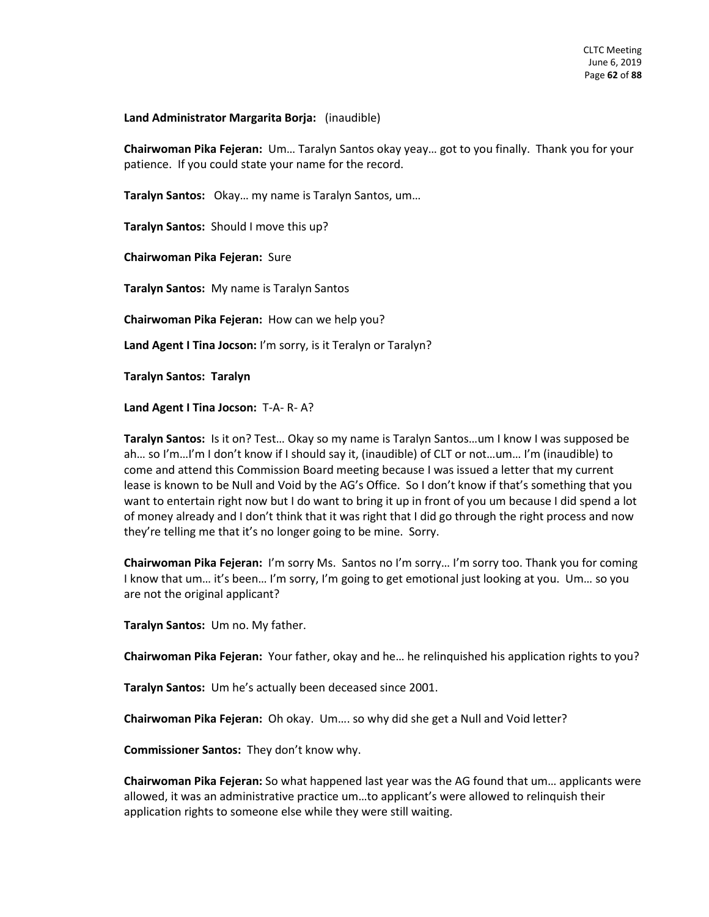## **Land Administrator Margarita Borja:** (inaudible)

**Chairwoman Pika Fejeran:** Um… Taralyn Santos okay yeay… got to you finally. Thank you for your patience. If you could state your name for the record.

**Taralyn Santos:** Okay… my name is Taralyn Santos, um…

**Taralyn Santos:** Should I move this up?

**Chairwoman Pika Fejeran:** Sure

**Taralyn Santos:** My name is Taralyn Santos

**Chairwoman Pika Fejeran:** How can we help you?

**Land Agent I Tina Jocson:** I'm sorry, is it Teralyn or Taralyn?

**Taralyn Santos: Taralyn**

**Land Agent I Tina Jocson:** T-A- R- A?

**Taralyn Santos:** Is it on? Test… Okay so my name is Taralyn Santos…um I know I was supposed be ah… so I'm…I'm I don't know if I should say it, (inaudible) of CLT or not…um… I'm (inaudible) to come and attend this Commission Board meeting because I was issued a letter that my current lease is known to be Null and Void by the AG's Office. So I don't know if that's something that you want to entertain right now but I do want to bring it up in front of you um because I did spend a lot of money already and I don't think that it was right that I did go through the right process and now they're telling me that it's no longer going to be mine. Sorry.

**Chairwoman Pika Fejeran:** I'm sorry Ms. Santos no I'm sorry… I'm sorry too. Thank you for coming I know that um… it's been… I'm sorry, I'm going to get emotional just looking at you. Um… so you are not the original applicant?

**Taralyn Santos:** Um no. My father.

**Chairwoman Pika Fejeran:** Your father, okay and he… he relinquished his application rights to you?

**Taralyn Santos:** Um he's actually been deceased since 2001.

**Chairwoman Pika Fejeran:** Oh okay. Um…. so why did she get a Null and Void letter?

**Commissioner Santos:** They don't know why.

**Chairwoman Pika Fejeran:** So what happened last year was the AG found that um… applicants were allowed, it was an administrative practice um…to applicant's were allowed to relinquish their application rights to someone else while they were still waiting.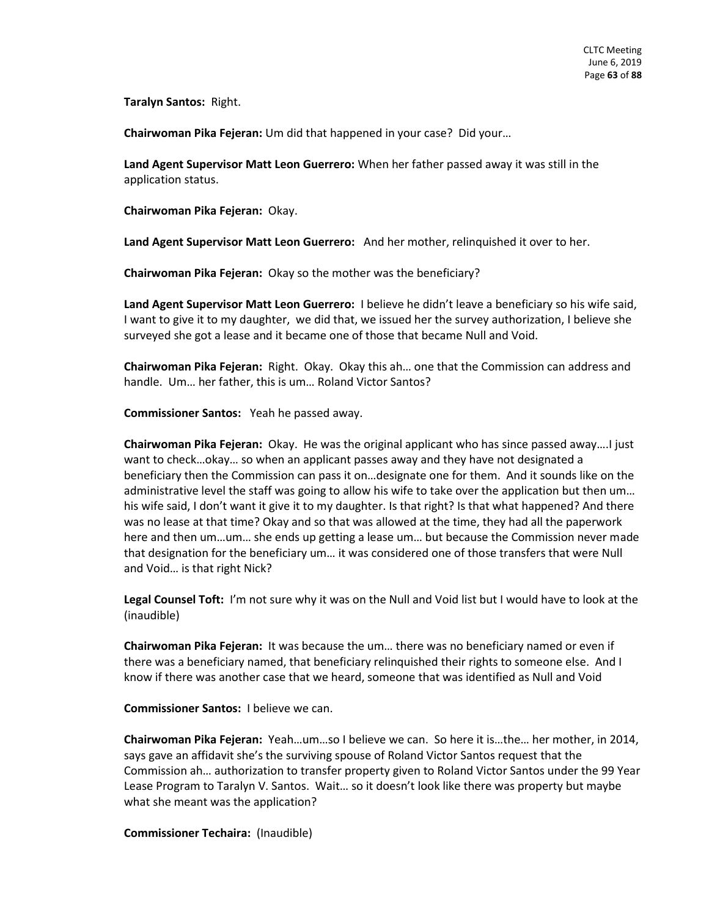**Taralyn Santos:** Right.

**Chairwoman Pika Fejeran:** Um did that happened in your case? Did your…

**Land Agent Supervisor Matt Leon Guerrero:** When her father passed away it was still in the application status.

**Chairwoman Pika Fejeran:** Okay.

**Land Agent Supervisor Matt Leon Guerrero:** And her mother, relinquished it over to her.

**Chairwoman Pika Fejeran:** Okay so the mother was the beneficiary?

**Land Agent Supervisor Matt Leon Guerrero:** I believe he didn't leave a beneficiary so his wife said, I want to give it to my daughter, we did that, we issued her the survey authorization, I believe she surveyed she got a lease and it became one of those that became Null and Void.

**Chairwoman Pika Fejeran:** Right. Okay. Okay this ah… one that the Commission can address and handle. Um… her father, this is um… Roland Victor Santos?

**Commissioner Santos:** Yeah he passed away.

**Chairwoman Pika Fejeran:** Okay. He was the original applicant who has since passed away….I just want to check…okay… so when an applicant passes away and they have not designated a beneficiary then the Commission can pass it on…designate one for them. And it sounds like on the administrative level the staff was going to allow his wife to take over the application but then um… his wife said, I don't want it give it to my daughter. Is that right? Is that what happened? And there was no lease at that time? Okay and so that was allowed at the time, they had all the paperwork here and then um…um… she ends up getting a lease um… but because the Commission never made that designation for the beneficiary um… it was considered one of those transfers that were Null and Void… is that right Nick?

**Legal Counsel Toft:** I'm not sure why it was on the Null and Void list but I would have to look at the (inaudible)

**Chairwoman Pika Fejeran:** It was because the um… there was no beneficiary named or even if there was a beneficiary named, that beneficiary relinquished their rights to someone else. And I know if there was another case that we heard, someone that was identified as Null and Void

**Commissioner Santos:** I believe we can.

**Chairwoman Pika Fejeran:** Yeah…um…so I believe we can. So here it is…the… her mother, in 2014, says gave an affidavit she's the surviving spouse of Roland Victor Santos request that the Commission ah… authorization to transfer property given to Roland Victor Santos under the 99 Year Lease Program to Taralyn V. Santos. Wait… so it doesn't look like there was property but maybe what she meant was the application?

**Commissioner Techaira:** (Inaudible)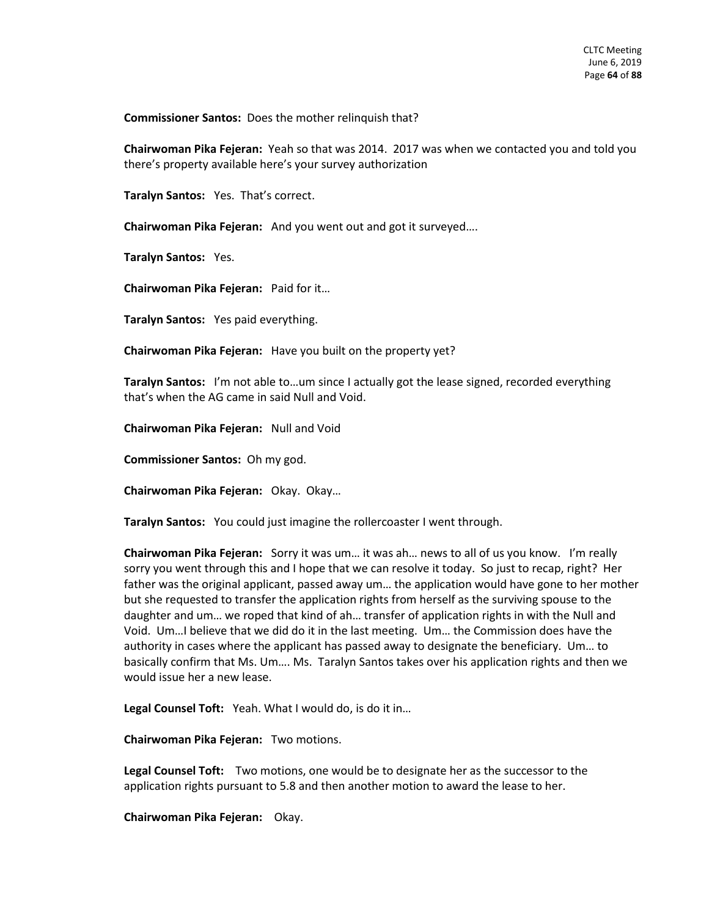**Commissioner Santos:** Does the mother relinquish that?

**Chairwoman Pika Fejeran:** Yeah so that was 2014. 2017 was when we contacted you and told you there's property available here's your survey authorization

**Taralyn Santos:** Yes. That's correct.

**Chairwoman Pika Fejeran:** And you went out and got it surveyed….

**Taralyn Santos:** Yes.

**Chairwoman Pika Fejeran:** Paid for it…

**Taralyn Santos:** Yes paid everything.

**Chairwoman Pika Fejeran:** Have you built on the property yet?

**Taralyn Santos:** I'm not able to…um since I actually got the lease signed, recorded everything that's when the AG came in said Null and Void.

**Chairwoman Pika Fejeran:** Null and Void

**Commissioner Santos:** Oh my god.

**Chairwoman Pika Fejeran:** Okay. Okay…

**Taralyn Santos:** You could just imagine the rollercoaster I went through.

**Chairwoman Pika Fejeran:** Sorry it was um… it was ah… news to all of us you know. I'm really sorry you went through this and I hope that we can resolve it today. So just to recap, right? Her father was the original applicant, passed away um… the application would have gone to her mother but she requested to transfer the application rights from herself as the surviving spouse to the daughter and um… we roped that kind of ah… transfer of application rights in with the Null and Void. Um…I believe that we did do it in the last meeting. Um… the Commission does have the authority in cases where the applicant has passed away to designate the beneficiary. Um… to basically confirm that Ms. Um…. Ms. Taralyn Santos takes over his application rights and then we would issue her a new lease.

**Legal Counsel Toft:** Yeah. What I would do, is do it in…

**Chairwoman Pika Fejeran:** Two motions.

**Legal Counsel Toft:** Two motions, one would be to designate her as the successor to the application rights pursuant to 5.8 and then another motion to award the lease to her.

**Chairwoman Pika Fejeran:** Okay.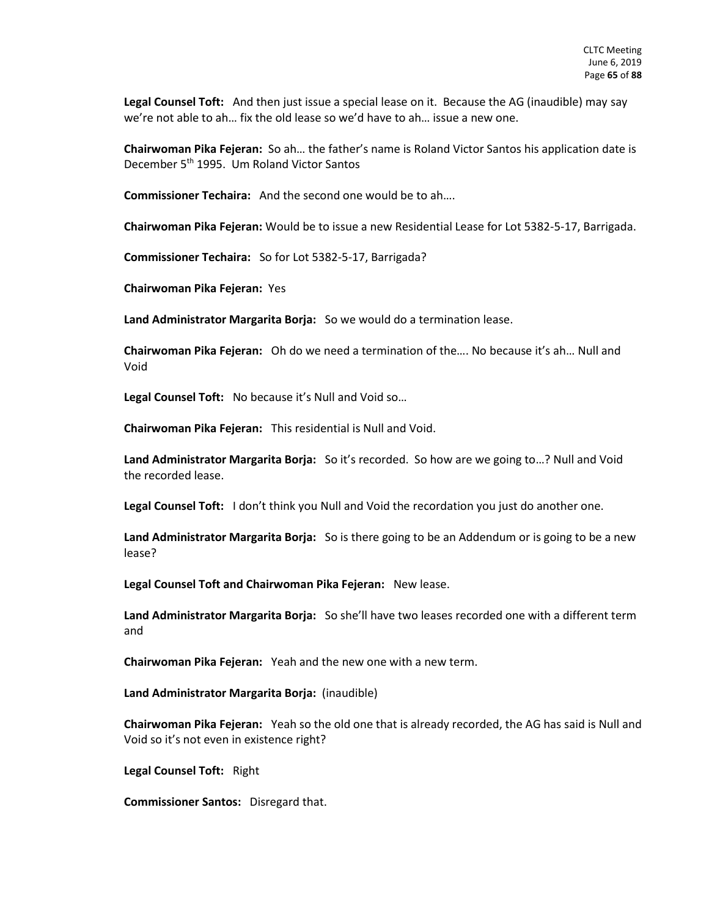**Legal Counsel Toft:** And then just issue a special lease on it. Because the AG (inaudible) may say we're not able to ah… fix the old lease so we'd have to ah… issue a new one.

**Chairwoman Pika Fejeran:** So ah… the father's name is Roland Victor Santos his application date is December 5th 1995. Um Roland Victor Santos

**Commissioner Techaira:** And the second one would be to ah….

**Chairwoman Pika Fejeran:** Would be to issue a new Residential Lease for Lot 5382-5-17, Barrigada.

**Commissioner Techaira:** So for Lot 5382-5-17, Barrigada?

**Chairwoman Pika Fejeran:** Yes

**Land Administrator Margarita Borja:** So we would do a termination lease.

**Chairwoman Pika Fejeran:** Oh do we need a termination of the…. No because it's ah… Null and Void

**Legal Counsel Toft:** No because it's Null and Void so…

**Chairwoman Pika Fejeran:** This residential is Null and Void.

**Land Administrator Margarita Borja:** So it's recorded. So how are we going to…? Null and Void the recorded lease.

**Legal Counsel Toft:** I don't think you Null and Void the recordation you just do another one.

**Land Administrator Margarita Borja:** So is there going to be an Addendum or is going to be a new lease?

**Legal Counsel Toft and Chairwoman Pika Fejeran:** New lease.

**Land Administrator Margarita Borja:** So she'll have two leases recorded one with a different term and

**Chairwoman Pika Fejeran:** Yeah and the new one with a new term.

**Land Administrator Margarita Borja:** (inaudible)

**Chairwoman Pika Fejeran:** Yeah so the old one that is already recorded, the AG has said is Null and Void so it's not even in existence right?

**Legal Counsel Toft:** Right

**Commissioner Santos:** Disregard that.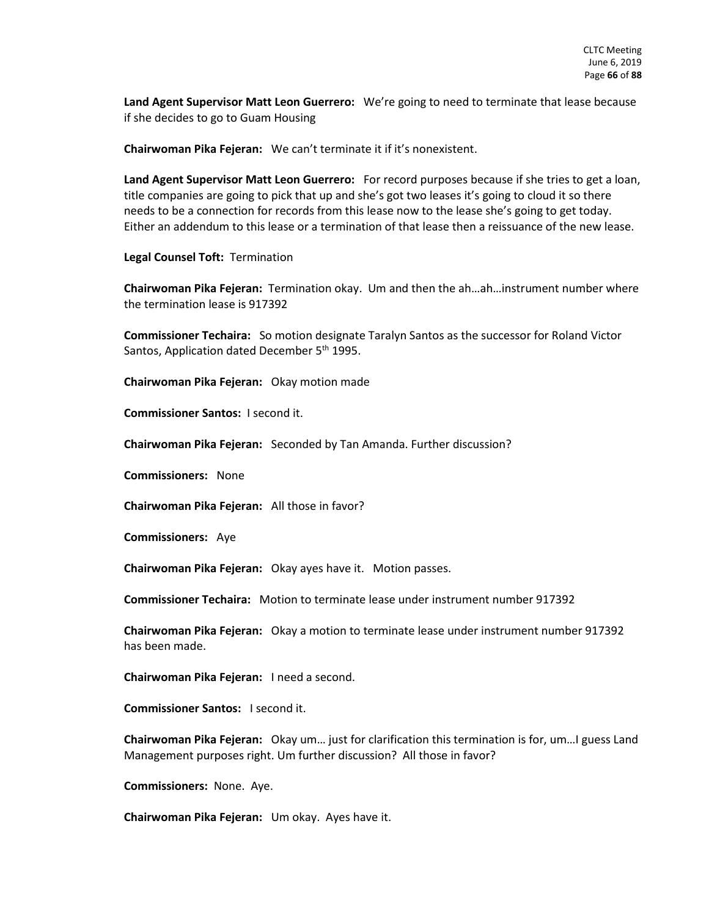**Land Agent Supervisor Matt Leon Guerrero:** We're going to need to terminate that lease because if she decides to go to Guam Housing

**Chairwoman Pika Fejeran:** We can't terminate it if it's nonexistent.

**Land Agent Supervisor Matt Leon Guerrero:** For record purposes because if she tries to get a loan, title companies are going to pick that up and she's got two leases it's going to cloud it so there needs to be a connection for records from this lease now to the lease she's going to get today. Either an addendum to this lease or a termination of that lease then a reissuance of the new lease.

**Legal Counsel Toft:** Termination

**Chairwoman Pika Fejeran:** Termination okay. Um and then the ah…ah…instrument number where the termination lease is 917392

**Commissioner Techaira:** So motion designate Taralyn Santos as the successor for Roland Victor Santos, Application dated December 5<sup>th</sup> 1995.

**Chairwoman Pika Fejeran:** Okay motion made

**Commissioner Santos:** I second it.

**Chairwoman Pika Fejeran:** Seconded by Tan Amanda. Further discussion?

**Commissioners:** None

**Chairwoman Pika Fejeran:** All those in favor?

**Commissioners:** Aye

**Chairwoman Pika Fejeran:** Okay ayes have it. Motion passes.

**Commissioner Techaira:** Motion to terminate lease under instrument number 917392

**Chairwoman Pika Fejeran:** Okay a motion to terminate lease under instrument number 917392 has been made.

**Chairwoman Pika Fejeran:** I need a second.

**Commissioner Santos:** I second it.

**Chairwoman Pika Fejeran:** Okay um… just for clarification this termination is for, um…I guess Land Management purposes right. Um further discussion? All those in favor?

**Commissioners:** None. Aye.

**Chairwoman Pika Fejeran:** Um okay. Ayes have it.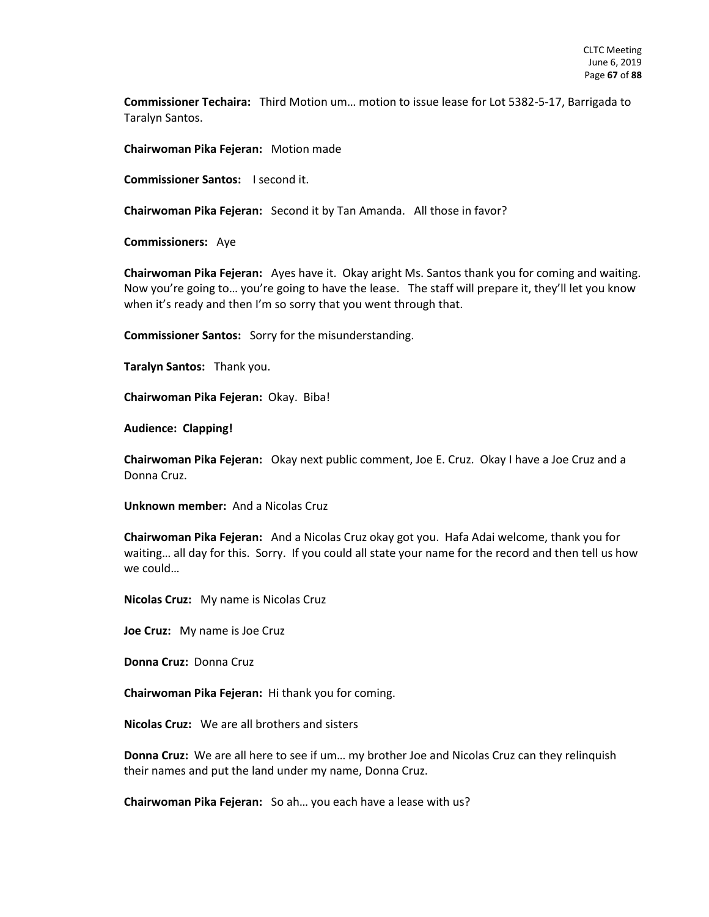**Commissioner Techaira:** Third Motion um… motion to issue lease for Lot 5382-5-17, Barrigada to Taralyn Santos.

**Chairwoman Pika Fejeran:** Motion made

**Commissioner Santos:** I second it.

**Chairwoman Pika Fejeran:** Second it by Tan Amanda. All those in favor?

**Commissioners:** Aye

**Chairwoman Pika Fejeran:** Ayes have it. Okay aright Ms. Santos thank you for coming and waiting. Now you're going to… you're going to have the lease. The staff will prepare it, they'll let you know when it's ready and then I'm so sorry that you went through that.

**Commissioner Santos:** Sorry for the misunderstanding.

**Taralyn Santos:** Thank you.

**Chairwoman Pika Fejeran:** Okay. Biba!

**Audience: Clapping!**

**Chairwoman Pika Fejeran:** Okay next public comment, Joe E. Cruz. Okay I have a Joe Cruz and a Donna Cruz.

**Unknown member:** And a Nicolas Cruz

**Chairwoman Pika Fejeran:** And a Nicolas Cruz okay got you. Hafa Adai welcome, thank you for waiting… all day for this. Sorry. If you could all state your name for the record and then tell us how we could…

**Nicolas Cruz:** My name is Nicolas Cruz

**Joe Cruz:** My name is Joe Cruz

**Donna Cruz:** Donna Cruz

**Chairwoman Pika Fejeran:** Hi thank you for coming.

**Nicolas Cruz:** We are all brothers and sisters

**Donna Cruz:** We are all here to see if um… my brother Joe and Nicolas Cruz can they relinquish their names and put the land under my name, Donna Cruz.

**Chairwoman Pika Fejeran:** So ah… you each have a lease with us?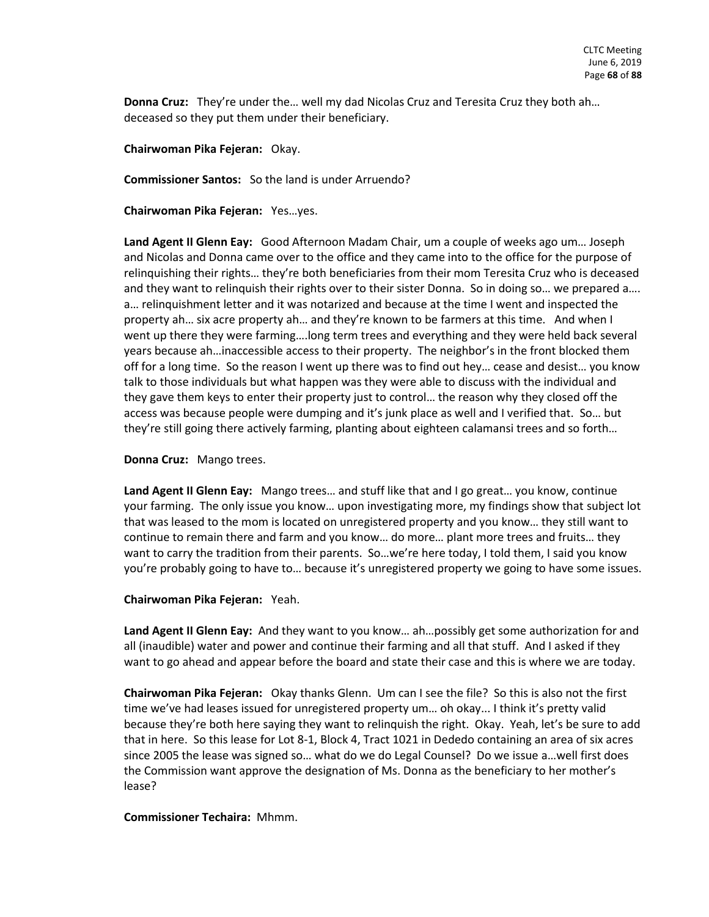**Donna Cruz:** They're under the… well my dad Nicolas Cruz and Teresita Cruz they both ah… deceased so they put them under their beneficiary.

**Chairwoman Pika Fejeran:** Okay.

**Commissioner Santos:** So the land is under Arruendo?

**Chairwoman Pika Fejeran:** Yes…yes.

**Land Agent II Glenn Eay:** Good Afternoon Madam Chair, um a couple of weeks ago um… Joseph and Nicolas and Donna came over to the office and they came into to the office for the purpose of relinquishing their rights… they're both beneficiaries from their mom Teresita Cruz who is deceased and they want to relinquish their rights over to their sister Donna. So in doing so... we prepared a.... a… relinquishment letter and it was notarized and because at the time I went and inspected the property ah… six acre property ah… and they're known to be farmers at this time. And when I went up there they were farming….long term trees and everything and they were held back several years because ah…inaccessible access to their property. The neighbor's in the front blocked them off for a long time. So the reason I went up there was to find out hey… cease and desist… you know talk to those individuals but what happen was they were able to discuss with the individual and they gave them keys to enter their property just to control… the reason why they closed off the access was because people were dumping and it's junk place as well and I verified that. So… but they're still going there actively farming, planting about eighteen calamansi trees and so forth…

**Donna Cruz:** Mango trees.

**Land Agent II Glenn Eay:** Mango trees… and stuff like that and I go great… you know, continue your farming. The only issue you know… upon investigating more, my findings show that subject lot that was leased to the mom is located on unregistered property and you know… they still want to continue to remain there and farm and you know… do more… plant more trees and fruits… they want to carry the tradition from their parents. So…we're here today, I told them, I said you know you're probably going to have to… because it's unregistered property we going to have some issues.

**Chairwoman Pika Fejeran:** Yeah.

**Land Agent II Glenn Eay:** And they want to you know… ah…possibly get some authorization for and all (inaudible) water and power and continue their farming and all that stuff. And I asked if they want to go ahead and appear before the board and state their case and this is where we are today.

**Chairwoman Pika Fejeran:** Okay thanks Glenn. Um can I see the file? So this is also not the first time we've had leases issued for unregistered property um… oh okay... I think it's pretty valid because they're both here saying they want to relinquish the right. Okay. Yeah, let's be sure to add that in here. So this lease for Lot 8-1, Block 4, Tract 1021 in Dededo containing an area of six acres since 2005 the lease was signed so… what do we do Legal Counsel? Do we issue a…well first does the Commission want approve the designation of Ms. Donna as the beneficiary to her mother's lease?

**Commissioner Techaira:** Mhmm.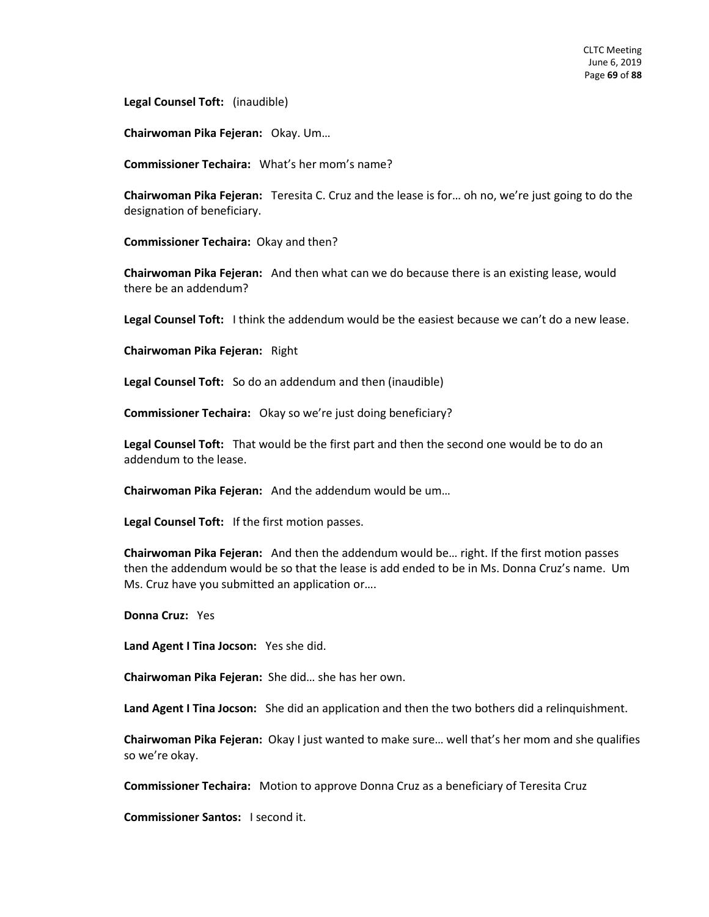**Legal Counsel Toft:** (inaudible)

**Chairwoman Pika Fejeran:** Okay. Um…

**Commissioner Techaira:** What's her mom's name?

**Chairwoman Pika Fejeran:** Teresita C. Cruz and the lease is for… oh no, we're just going to do the designation of beneficiary.

**Commissioner Techaira:** Okay and then?

**Chairwoman Pika Fejeran:** And then what can we do because there is an existing lease, would there be an addendum?

**Legal Counsel Toft:** I think the addendum would be the easiest because we can't do a new lease.

**Chairwoman Pika Fejeran:** Right

**Legal Counsel Toft:** So do an addendum and then (inaudible)

**Commissioner Techaira:** Okay so we're just doing beneficiary?

**Legal Counsel Toft:** That would be the first part and then the second one would be to do an addendum to the lease.

**Chairwoman Pika Fejeran:** And the addendum would be um…

**Legal Counsel Toft:** If the first motion passes.

**Chairwoman Pika Fejeran:** And then the addendum would be… right. If the first motion passes then the addendum would be so that the lease is add ended to be in Ms. Donna Cruz's name. Um Ms. Cruz have you submitted an application or….

**Donna Cruz:** Yes

**Land Agent I Tina Jocson:** Yes she did.

**Chairwoman Pika Fejeran:** She did… she has her own.

**Land Agent I Tina Jocson:** She did an application and then the two bothers did a relinquishment.

**Chairwoman Pika Fejeran:** Okay I just wanted to make sure… well that's her mom and she qualifies so we're okay.

**Commissioner Techaira:** Motion to approve Donna Cruz as a beneficiary of Teresita Cruz

**Commissioner Santos:** I second it.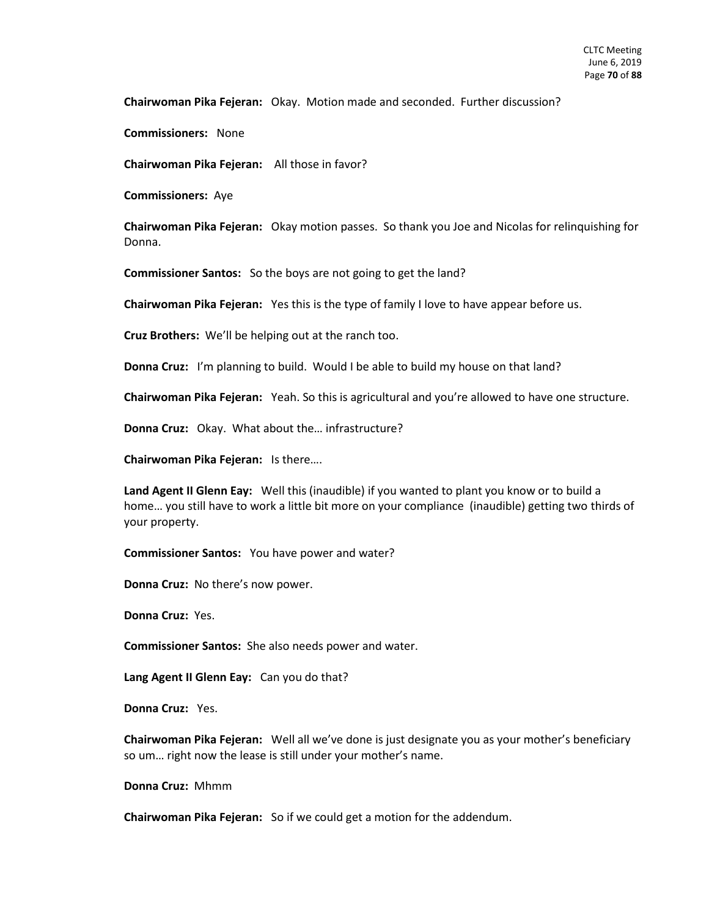**Chairwoman Pika Fejeran:** Okay. Motion made and seconded. Further discussion?

**Commissioners:** None

**Chairwoman Pika Fejeran:** All those in favor?

**Commissioners:** Aye

**Chairwoman Pika Fejeran:** Okay motion passes. So thank you Joe and Nicolas for relinquishing for Donna.

**Commissioner Santos:** So the boys are not going to get the land?

**Chairwoman Pika Fejeran:** Yes this is the type of family I love to have appear before us.

**Cruz Brothers:** We'll be helping out at the ranch too.

**Donna Cruz:** I'm planning to build. Would I be able to build my house on that land?

**Chairwoman Pika Fejeran:** Yeah. So this is agricultural and you're allowed to have one structure.

**Donna Cruz:** Okay. What about the… infrastructure?

**Chairwoman Pika Fejeran:** Is there….

**Land Agent II Glenn Eay:** Well this (inaudible) if you wanted to plant you know or to build a home… you still have to work a little bit more on your compliance (inaudible) getting two thirds of your property.

**Commissioner Santos:** You have power and water?

**Donna Cruz:** No there's now power.

**Donna Cruz:** Yes.

**Commissioner Santos:** She also needs power and water.

**Lang Agent II Glenn Eay:** Can you do that?

**Donna Cruz:** Yes.

**Chairwoman Pika Fejeran:** Well all we've done is just designate you as your mother's beneficiary so um… right now the lease is still under your mother's name.

**Donna Cruz:** Mhmm

**Chairwoman Pika Fejeran:** So if we could get a motion for the addendum.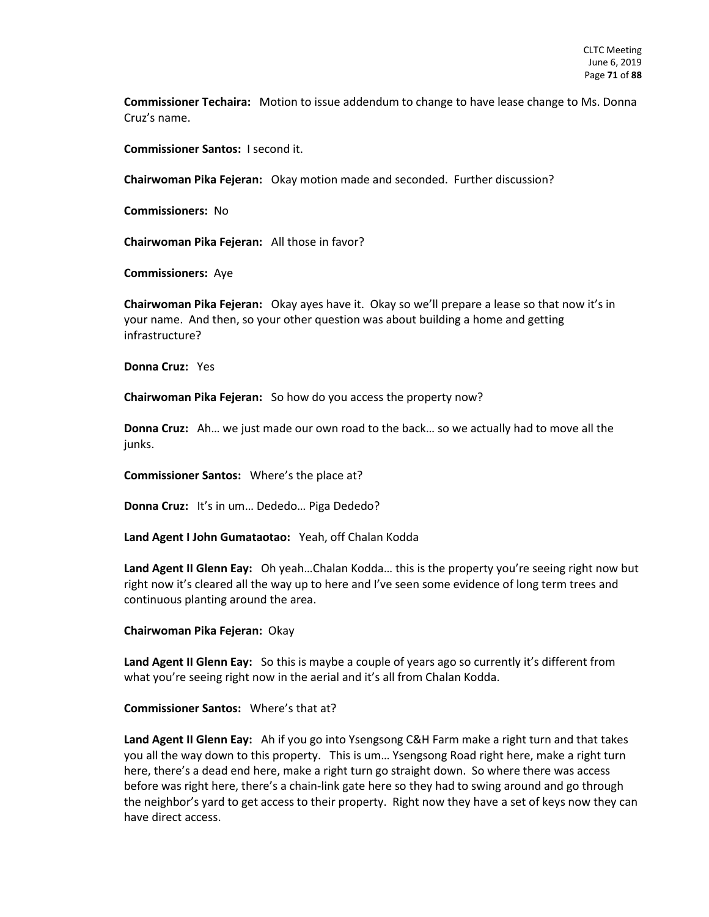**Commissioner Techaira:** Motion to issue addendum to change to have lease change to Ms. Donna Cruz's name.

**Commissioner Santos:** I second it.

**Chairwoman Pika Fejeran:** Okay motion made and seconded. Further discussion?

**Commissioners:** No

**Chairwoman Pika Fejeran:** All those in favor?

**Commissioners:** Aye

**Chairwoman Pika Fejeran:** Okay ayes have it. Okay so we'll prepare a lease so that now it's in your name. And then, so your other question was about building a home and getting infrastructure?

**Donna Cruz:** Yes

**Chairwoman Pika Fejeran:** So how do you access the property now?

**Donna Cruz:** Ah… we just made our own road to the back… so we actually had to move all the junks.

**Commissioner Santos:** Where's the place at?

**Donna Cruz:** It's in um… Dededo… Piga Dededo?

**Land Agent I John Gumataotao:** Yeah, off Chalan Kodda

**Land Agent II Glenn Eay:** Oh yeah…Chalan Kodda… this is the property you're seeing right now but right now it's cleared all the way up to here and I've seen some evidence of long term trees and continuous planting around the area.

**Chairwoman Pika Fejeran:** Okay

**Land Agent II Glenn Eay:** So this is maybe a couple of years ago so currently it's different from what you're seeing right now in the aerial and it's all from Chalan Kodda.

**Commissioner Santos:** Where's that at?

**Land Agent II Glenn Eay:** Ah if you go into Ysengsong C&H Farm make a right turn and that takes you all the way down to this property. This is um… Ysengsong Road right here, make a right turn here, there's a dead end here, make a right turn go straight down. So where there was access before was right here, there's a chain-link gate here so they had to swing around and go through the neighbor's yard to get access to their property. Right now they have a set of keys now they can have direct access.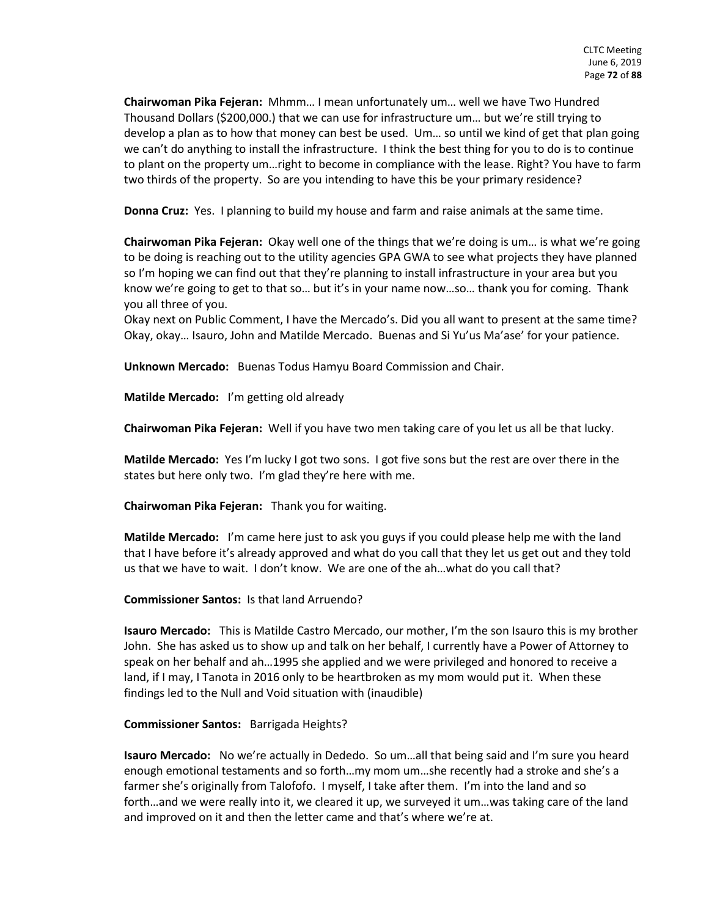**Chairwoman Pika Fejeran:** Mhmm… I mean unfortunately um… well we have Two Hundred Thousand Dollars (\$200,000.) that we can use for infrastructure um… but we're still trying to develop a plan as to how that money can best be used. Um… so until we kind of get that plan going we can't do anything to install the infrastructure. I think the best thing for you to do is to continue to plant on the property um…right to become in compliance with the lease. Right? You have to farm two thirds of the property. So are you intending to have this be your primary residence?

**Donna Cruz:** Yes. I planning to build my house and farm and raise animals at the same time.

**Chairwoman Pika Fejeran:** Okay well one of the things that we're doing is um… is what we're going to be doing is reaching out to the utility agencies GPA GWA to see what projects they have planned so I'm hoping we can find out that they're planning to install infrastructure in your area but you know we're going to get to that so… but it's in your name now…so… thank you for coming. Thank you all three of you.

Okay next on Public Comment, I have the Mercado's. Did you all want to present at the same time? Okay, okay… Isauro, John and Matilde Mercado. Buenas and Si Yu'us Ma'ase' for your patience.

**Unknown Mercado:** Buenas Todus Hamyu Board Commission and Chair.

**Matilde Mercado:** I'm getting old already

**Chairwoman Pika Fejeran:** Well if you have two men taking care of you let us all be that lucky.

**Matilde Mercado:** Yes I'm lucky I got two sons. I got five sons but the rest are over there in the states but here only two. I'm glad they're here with me.

**Chairwoman Pika Fejeran:** Thank you for waiting.

**Matilde Mercado:** I'm came here just to ask you guys if you could please help me with the land that I have before it's already approved and what do you call that they let us get out and they told us that we have to wait. I don't know. We are one of the ah…what do you call that?

**Commissioner Santos:** Is that land Arruendo?

**Isauro Mercado:** This is Matilde Castro Mercado, our mother, I'm the son Isauro this is my brother John. She has asked us to show up and talk on her behalf, I currently have a Power of Attorney to speak on her behalf and ah…1995 she applied and we were privileged and honored to receive a land, if I may, I Tanota in 2016 only to be heartbroken as my mom would put it. When these findings led to the Null and Void situation with (inaudible)

## **Commissioner Santos:** Barrigada Heights?

**Isauro Mercado:** No we're actually in Dededo. So um…all that being said and I'm sure you heard enough emotional testaments and so forth…my mom um…she recently had a stroke and she's a farmer she's originally from Talofofo. I myself, I take after them. I'm into the land and so forth…and we were really into it, we cleared it up, we surveyed it um…was taking care of the land and improved on it and then the letter came and that's where we're at.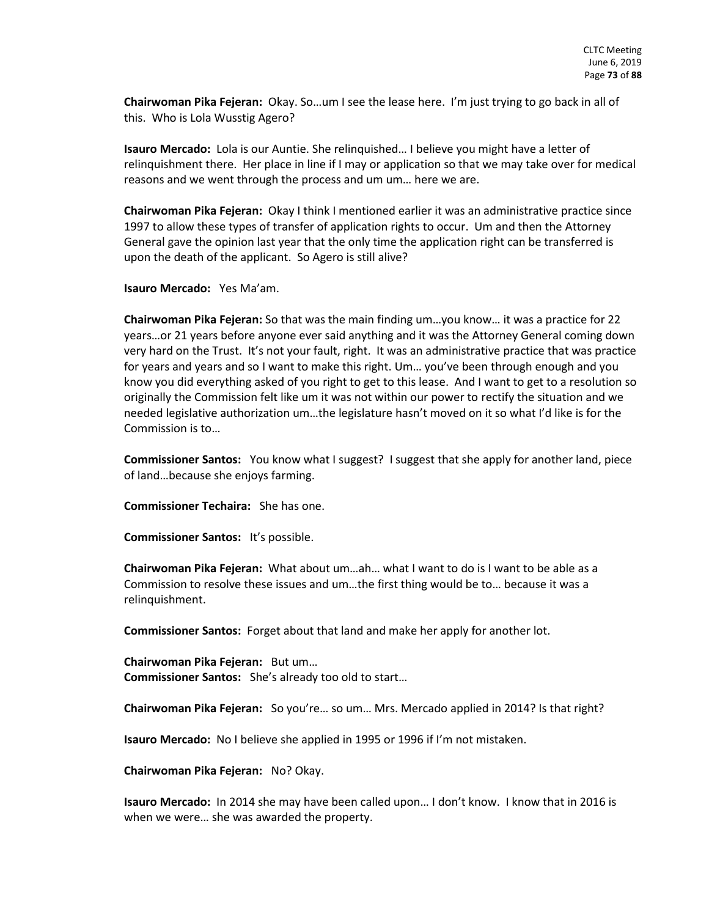**Chairwoman Pika Fejeran:** Okay. So…um I see the lease here. I'm just trying to go back in all of this. Who is Lola Wusstig Agero?

**Isauro Mercado:** Lola is our Auntie. She relinquished… I believe you might have a letter of relinquishment there. Her place in line if I may or application so that we may take over for medical reasons and we went through the process and um um… here we are.

**Chairwoman Pika Fejeran:** Okay I think I mentioned earlier it was an administrative practice since 1997 to allow these types of transfer of application rights to occur. Um and then the Attorney General gave the opinion last year that the only time the application right can be transferred is upon the death of the applicant. So Agero is still alive?

**Isauro Mercado:** Yes Ma'am.

**Chairwoman Pika Fejeran:** So that was the main finding um…you know… it was a practice for 22 years…or 21 years before anyone ever said anything and it was the Attorney General coming down very hard on the Trust. It's not your fault, right. It was an administrative practice that was practice for years and years and so I want to make this right. Um… you've been through enough and you know you did everything asked of you right to get to this lease. And I want to get to a resolution so originally the Commission felt like um it was not within our power to rectify the situation and we needed legislative authorization um…the legislature hasn't moved on it so what I'd like is for the Commission is to…

**Commissioner Santos:** You know what I suggest? I suggest that she apply for another land, piece of land…because she enjoys farming.

**Commissioner Techaira:** She has one.

**Commissioner Santos:** It's possible.

**Chairwoman Pika Fejeran:** What about um…ah… what I want to do is I want to be able as a Commission to resolve these issues and um…the first thing would be to… because it was a relinquishment.

**Commissioner Santos:** Forget about that land and make her apply for another lot.

**Chairwoman Pika Fejeran:** But um… **Commissioner Santos:** She's already too old to start…

**Chairwoman Pika Fejeran:** So you're… so um… Mrs. Mercado applied in 2014? Is that right?

**Isauro Mercado:** No I believe she applied in 1995 or 1996 if I'm not mistaken.

**Chairwoman Pika Fejeran:** No? Okay.

**Isauro Mercado:** In 2014 she may have been called upon… I don't know. I know that in 2016 is when we were… she was awarded the property.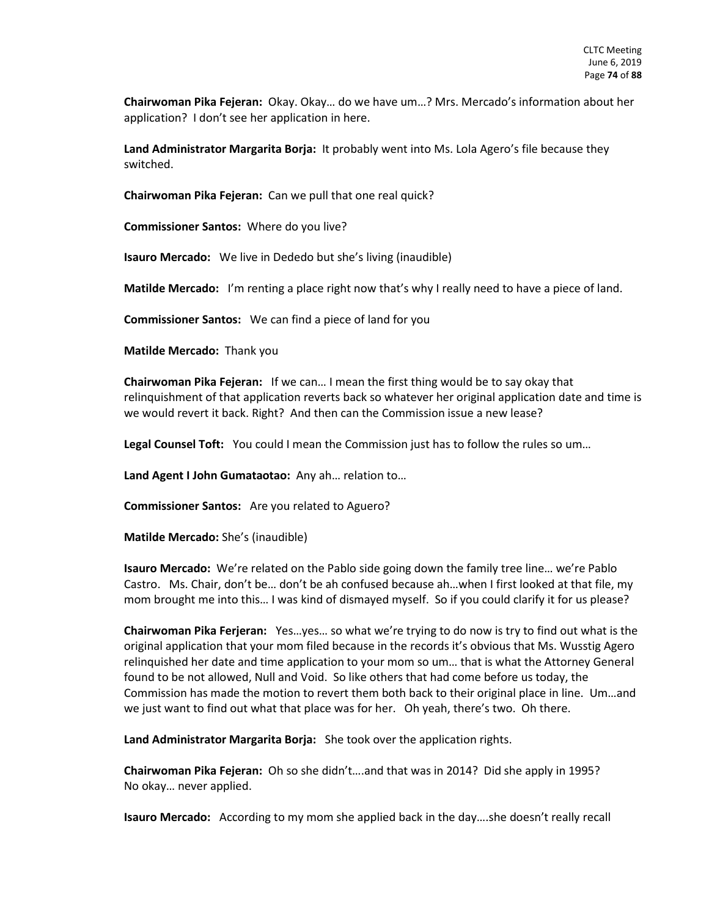**Chairwoman Pika Fejeran:** Okay. Okay… do we have um…? Mrs. Mercado's information about her application? I don't see her application in here.

**Land Administrator Margarita Borja:** It probably went into Ms. Lola Agero's file because they switched.

**Chairwoman Pika Fejeran:** Can we pull that one real quick?

**Commissioner Santos:** Where do you live?

**Isauro Mercado:** We live in Dededo but she's living (inaudible)

**Matilde Mercado:** I'm renting a place right now that's why I really need to have a piece of land.

**Commissioner Santos:** We can find a piece of land for you

**Matilde Mercado:** Thank you

**Chairwoman Pika Fejeran:** If we can… I mean the first thing would be to say okay that relinquishment of that application reverts back so whatever her original application date and time is we would revert it back. Right? And then can the Commission issue a new lease?

**Legal Counsel Toft:** You could I mean the Commission just has to follow the rules so um…

**Land Agent I John Gumataotao:** Any ah… relation to…

**Commissioner Santos:** Are you related to Aguero?

**Matilde Mercado:** She's (inaudible)

**Isauro Mercado:** We're related on the Pablo side going down the family tree line… we're Pablo Castro. Ms. Chair, don't be… don't be ah confused because ah…when I first looked at that file, my mom brought me into this… I was kind of dismayed myself. So if you could clarify it for us please?

**Chairwoman Pika Ferjeran:** Yes…yes… so what we're trying to do now is try to find out what is the original application that your mom filed because in the records it's obvious that Ms. Wusstig Agero relinquished her date and time application to your mom so um… that is what the Attorney General found to be not allowed, Null and Void. So like others that had come before us today, the Commission has made the motion to revert them both back to their original place in line. Um…and we just want to find out what that place was for her. Oh yeah, there's two. Oh there.

**Land Administrator Margarita Borja:** She took over the application rights.

**Chairwoman Pika Fejeran:** Oh so she didn't….and that was in 2014? Did she apply in 1995? No okay… never applied.

**Isauro Mercado:** According to my mom she applied back in the day….she doesn't really recall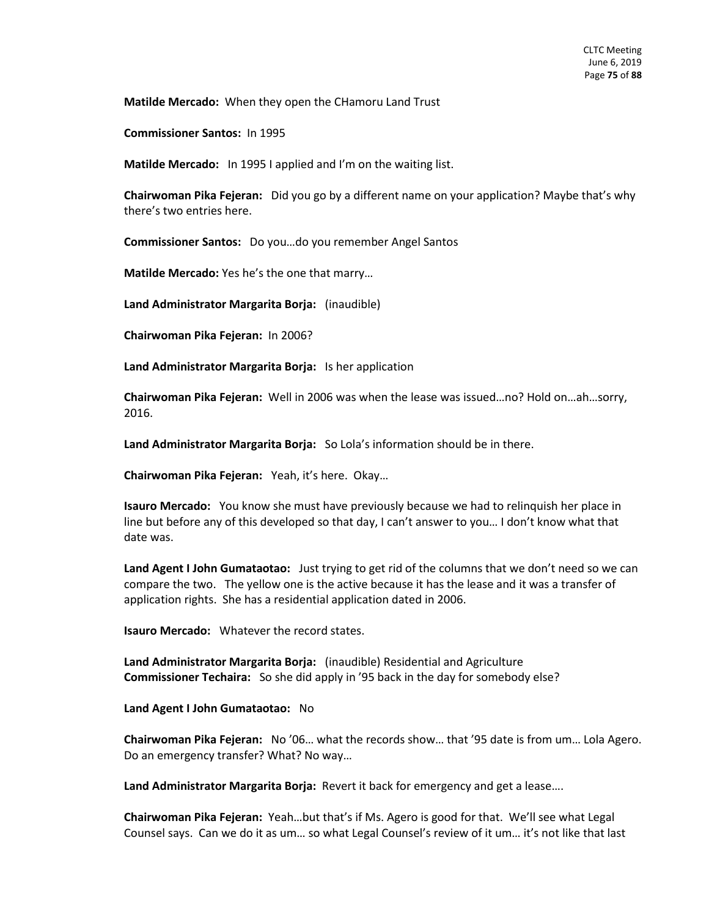**Matilde Mercado:** When they open the CHamoru Land Trust

**Commissioner Santos:** In 1995

**Matilde Mercado:** In 1995 I applied and I'm on the waiting list.

**Chairwoman Pika Fejeran:** Did you go by a different name on your application? Maybe that's why there's two entries here.

**Commissioner Santos:** Do you…do you remember Angel Santos

**Matilde Mercado:** Yes he's the one that marry…

**Land Administrator Margarita Borja:** (inaudible)

**Chairwoman Pika Fejeran:** In 2006?

**Land Administrator Margarita Borja:** Is her application

**Chairwoman Pika Fejeran:** Well in 2006 was when the lease was issued…no? Hold on…ah…sorry, 2016.

**Land Administrator Margarita Borja:** So Lola's information should be in there.

**Chairwoman Pika Fejeran:** Yeah, it's here. Okay…

**Isauro Mercado:** You know she must have previously because we had to relinquish her place in line but before any of this developed so that day, I can't answer to you… I don't know what that date was.

**Land Agent I John Gumataotao:** Just trying to get rid of the columns that we don't need so we can compare the two. The yellow one is the active because it has the lease and it was a transfer of application rights. She has a residential application dated in 2006.

**Isauro Mercado:** Whatever the record states.

**Land Administrator Margarita Borja:** (inaudible) Residential and Agriculture **Commissioner Techaira:** So she did apply in '95 back in the day for somebody else?

## **Land Agent I John Gumataotao:** No

**Chairwoman Pika Fejeran:** No '06… what the records show… that '95 date is from um… Lola Agero. Do an emergency transfer? What? No way…

**Land Administrator Margarita Borja:** Revert it back for emergency and get a lease….

**Chairwoman Pika Fejeran:** Yeah…but that's if Ms. Agero is good for that. We'll see what Legal Counsel says. Can we do it as um… so what Legal Counsel's review of it um… it's not like that last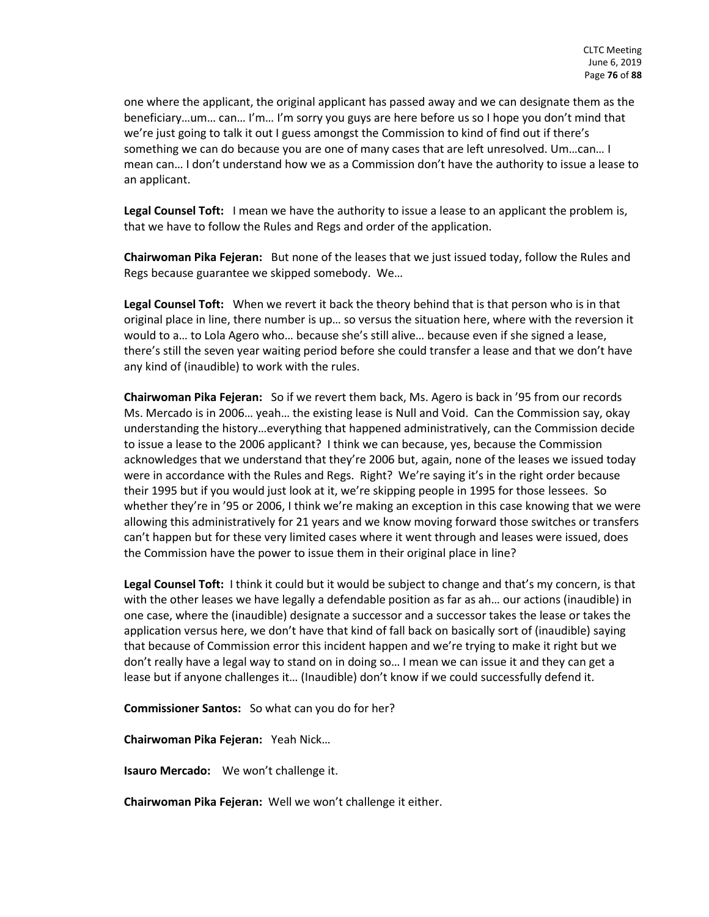one where the applicant, the original applicant has passed away and we can designate them as the beneficiary…um… can… I'm… I'm sorry you guys are here before us so I hope you don't mind that we're just going to talk it out I guess amongst the Commission to kind of find out if there's something we can do because you are one of many cases that are left unresolved. Um…can… I mean can… I don't understand how we as a Commission don't have the authority to issue a lease to an applicant.

**Legal Counsel Toft:** I mean we have the authority to issue a lease to an applicant the problem is, that we have to follow the Rules and Regs and order of the application.

**Chairwoman Pika Fejeran:** But none of the leases that we just issued today, follow the Rules and Regs because guarantee we skipped somebody. We…

**Legal Counsel Toft:** When we revert it back the theory behind that is that person who is in that original place in line, there number is up… so versus the situation here, where with the reversion it would to a… to Lola Agero who… because she's still alive… because even if she signed a lease, there's still the seven year waiting period before she could transfer a lease and that we don't have any kind of (inaudible) to work with the rules.

**Chairwoman Pika Fejeran:** So if we revert them back, Ms. Agero is back in '95 from our records Ms. Mercado is in 2006… yeah… the existing lease is Null and Void. Can the Commission say, okay understanding the history…everything that happened administratively, can the Commission decide to issue a lease to the 2006 applicant? I think we can because, yes, because the Commission acknowledges that we understand that they're 2006 but, again, none of the leases we issued today were in accordance with the Rules and Regs. Right? We're saying it's in the right order because their 1995 but if you would just look at it, we're skipping people in 1995 for those lessees. So whether they're in '95 or 2006, I think we're making an exception in this case knowing that we were allowing this administratively for 21 years and we know moving forward those switches or transfers can't happen but for these very limited cases where it went through and leases were issued, does the Commission have the power to issue them in their original place in line?

Legal Counsel Toft: I think it could but it would be subject to change and that's my concern, is that with the other leases we have legally a defendable position as far as ah… our actions (inaudible) in one case, where the (inaudible) designate a successor and a successor takes the lease or takes the application versus here, we don't have that kind of fall back on basically sort of (inaudible) saying that because of Commission error this incident happen and we're trying to make it right but we don't really have a legal way to stand on in doing so… I mean we can issue it and they can get a lease but if anyone challenges it… (Inaudible) don't know if we could successfully defend it.

**Commissioner Santos:** So what can you do for her?

**Chairwoman Pika Fejeran:** Yeah Nick…

**Isauro Mercado:** We won't challenge it.

**Chairwoman Pika Fejeran:** Well we won't challenge it either.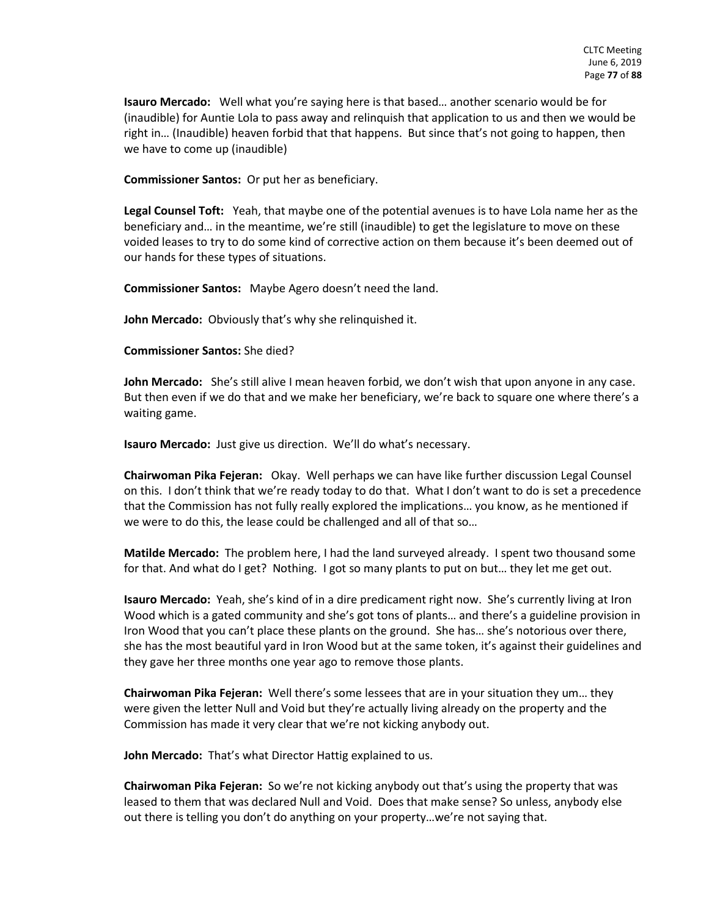**Isauro Mercado:** Well what you're saying here is that based… another scenario would be for (inaudible) for Auntie Lola to pass away and relinquish that application to us and then we would be right in… (Inaudible) heaven forbid that that happens. But since that's not going to happen, then we have to come up (inaudible)

**Commissioner Santos:** Or put her as beneficiary.

**Legal Counsel Toft:** Yeah, that maybe one of the potential avenues is to have Lola name her as the beneficiary and… in the meantime, we're still (inaudible) to get the legislature to move on these voided leases to try to do some kind of corrective action on them because it's been deemed out of our hands for these types of situations.

**Commissioner Santos:** Maybe Agero doesn't need the land.

**John Mercado:** Obviously that's why she relinquished it.

**Commissioner Santos:** She died?

John Mercado: She's still alive I mean heaven forbid, we don't wish that upon anyone in any case. But then even if we do that and we make her beneficiary, we're back to square one where there's a waiting game.

**Isauro Mercado:** Just give us direction. We'll do what's necessary.

**Chairwoman Pika Fejeran:** Okay. Well perhaps we can have like further discussion Legal Counsel on this. I don't think that we're ready today to do that. What I don't want to do is set a precedence that the Commission has not fully really explored the implications… you know, as he mentioned if we were to do this, the lease could be challenged and all of that so…

**Matilde Mercado:** The problem here, I had the land surveyed already. I spent two thousand some for that. And what do I get? Nothing. I got so many plants to put on but… they let me get out.

**Isauro Mercado:** Yeah, she's kind of in a dire predicament right now. She's currently living at Iron Wood which is a gated community and she's got tons of plants… and there's a guideline provision in Iron Wood that you can't place these plants on the ground. She has… she's notorious over there, she has the most beautiful yard in Iron Wood but at the same token, it's against their guidelines and they gave her three months one year ago to remove those plants.

**Chairwoman Pika Fejeran:** Well there's some lessees that are in your situation they um… they were given the letter Null and Void but they're actually living already on the property and the Commission has made it very clear that we're not kicking anybody out.

**John Mercado:** That's what Director Hattig explained to us.

**Chairwoman Pika Fejeran:** So we're not kicking anybody out that's using the property that was leased to them that was declared Null and Void. Does that make sense? So unless, anybody else out there is telling you don't do anything on your property…we're not saying that.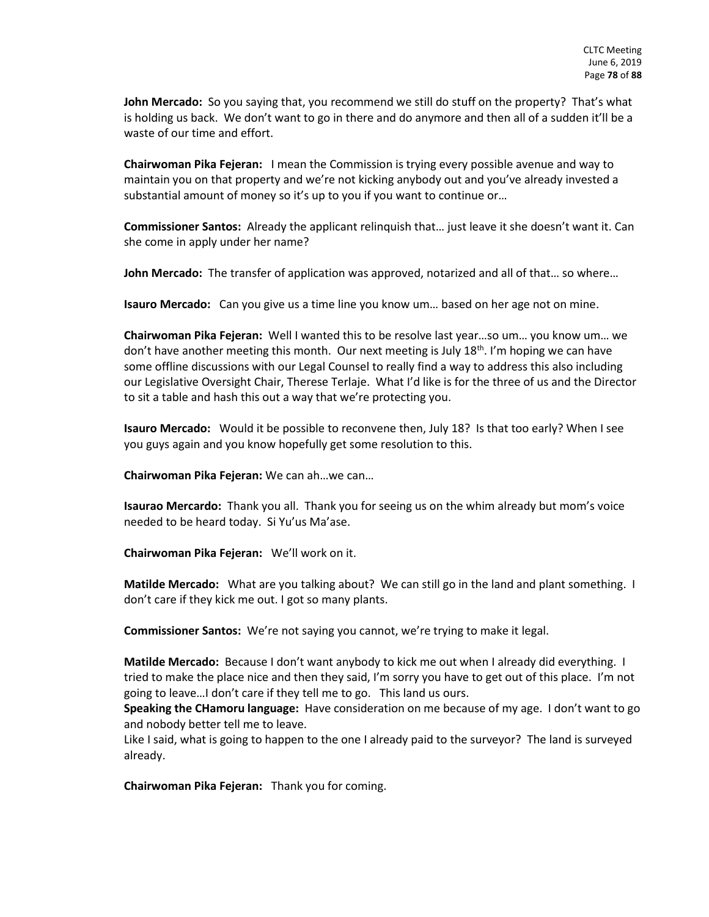**John Mercado:** So you saying that, you recommend we still do stuff on the property? That's what is holding us back. We don't want to go in there and do anymore and then all of a sudden it'll be a waste of our time and effort.

**Chairwoman Pika Fejeran:** I mean the Commission is trying every possible avenue and way to maintain you on that property and we're not kicking anybody out and you've already invested a substantial amount of money so it's up to you if you want to continue or…

**Commissioner Santos:** Already the applicant relinquish that… just leave it she doesn't want it. Can she come in apply under her name?

**John Mercado:** The transfer of application was approved, notarized and all of that… so where…

**Isauro Mercado:** Can you give us a time line you know um… based on her age not on mine.

**Chairwoman Pika Fejeran:** Well I wanted this to be resolve last year…so um… you know um… we don't have another meeting this month. Our next meeting is July  $18^{th}$ . I'm hoping we can have some offline discussions with our Legal Counsel to really find a way to address this also including our Legislative Oversight Chair, Therese Terlaje. What I'd like is for the three of us and the Director to sit a table and hash this out a way that we're protecting you.

**Isauro Mercado:** Would it be possible to reconvene then, July 18? Is that too early? When I see you guys again and you know hopefully get some resolution to this.

**Chairwoman Pika Fejeran:** We can ah…we can…

**Isaurao Mercardo:** Thank you all. Thank you for seeing us on the whim already but mom's voice needed to be heard today. Si Yu'us Ma'ase.

**Chairwoman Pika Fejeran:** We'll work on it.

**Matilde Mercado:** What are you talking about? We can still go in the land and plant something. I don't care if they kick me out. I got so many plants.

**Commissioner Santos:** We're not saying you cannot, we're trying to make it legal.

**Matilde Mercado:** Because I don't want anybody to kick me out when I already did everything. I tried to make the place nice and then they said, I'm sorry you have to get out of this place. I'm not going to leave…I don't care if they tell me to go. This land us ours.

**Speaking the CHamoru language:** Have consideration on me because of my age. I don't want to go and nobody better tell me to leave.

Like I said, what is going to happen to the one I already paid to the surveyor? The land is surveyed already.

**Chairwoman Pika Fejeran:** Thank you for coming.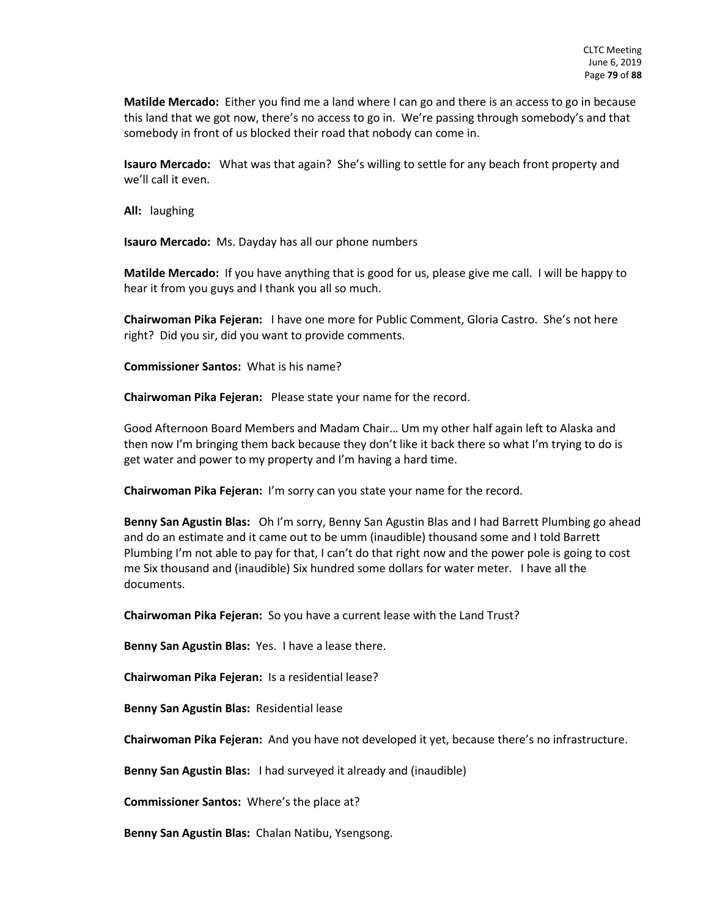**Matilde Mercado:** Either you find me a land where I can go and there is an access to go in because this land that we got now, there's no access to go in. We're passing through somebody's and that somebody in front of us blocked their road that nobody can come in.

**Isauro Mercado:** What was that again? She's willing to settle for any beach front property and we'll call it even.

**All:** laughing

**Isauro Mercado:** Ms. Dayday has all our phone numbers

**Matilde Mercado:** If you have anything that is good for us, please give me call. I will be happy to hear it from you guys and I thank you all so much.

**Chairwoman Pika Fejeran:** I have one more for Public Comment, Gloria Castro. She's not here right? Did you sir, did you want to provide comments.

**Commissioner Santos:** What is his name?

**Chairwoman Pika Fejeran:** Please state your name for the record.

Good Afternoon Board Members and Madam Chair… Um my other half again left to Alaska and then now I'm bringing them back because they don't like it back there so what I'm trying to do is get water and power to my property and I'm having a hard time.

**Chairwoman Pika Fejeran:** I'm sorry can you state your name for the record.

**Benny San Agustin Blas:** Oh I'm sorry, Benny San Agustin Blas and I had Barrett Plumbing go ahead and do an estimate and it came out to be umm (inaudible) thousand some and I told Barrett Plumbing I'm not able to pay for that, I can't do that right now and the power pole is going to cost me Six thousand and (inaudible) Six hundred some dollars for water meter. I have all the documents.

**Chairwoman Pika Fejeran:** So you have a current lease with the Land Trust?

**Benny San Agustin Blas:** Yes. I have a lease there.

**Chairwoman Pika Fejeran:** Is a residential lease?

**Benny San Agustin Blas:** Residential lease

**Chairwoman Pika Fejeran:** And you have not developed it yet, because there's no infrastructure.

**Benny San Agustin Blas:** I had surveyed it already and (inaudible)

**Commissioner Santos:** Where's the place at?

**Benny San Agustin Blas:** Chalan Natibu, Ysengsong.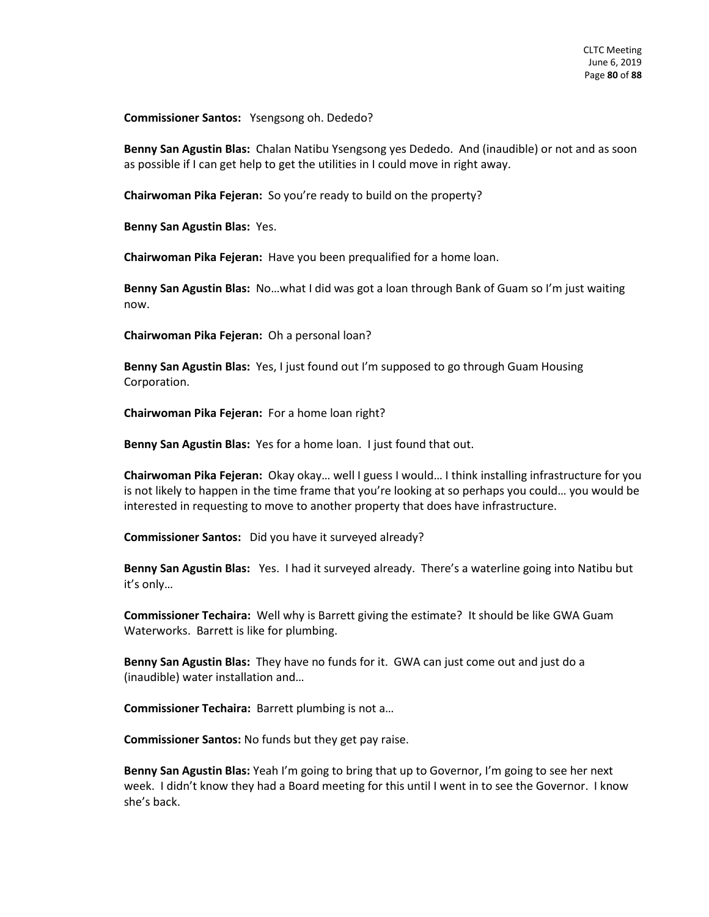**Commissioner Santos:** Ysengsong oh. Dededo?

**Benny San Agustin Blas:** Chalan Natibu Ysengsong yes Dededo. And (inaudible) or not and as soon as possible if I can get help to get the utilities in I could move in right away.

**Chairwoman Pika Fejeran:** So you're ready to build on the property?

**Benny San Agustin Blas:** Yes.

**Chairwoman Pika Fejeran:** Have you been prequalified for a home loan.

**Benny San Agustin Blas:** No…what I did was got a loan through Bank of Guam so I'm just waiting now.

**Chairwoman Pika Fejeran:** Oh a personal loan?

**Benny San Agustin Blas:** Yes, I just found out I'm supposed to go through Guam Housing Corporation.

**Chairwoman Pika Fejeran:** For a home loan right?

**Benny San Agustin Blas:** Yes for a home loan. I just found that out.

**Chairwoman Pika Fejeran:** Okay okay… well I guess I would… I think installing infrastructure for you is not likely to happen in the time frame that you're looking at so perhaps you could… you would be interested in requesting to move to another property that does have infrastructure.

**Commissioner Santos:** Did you have it surveyed already?

**Benny San Agustin Blas:** Yes. I had it surveyed already. There's a waterline going into Natibu but it's only…

**Commissioner Techaira:** Well why is Barrett giving the estimate? It should be like GWA Guam Waterworks. Barrett is like for plumbing.

**Benny San Agustin Blas:** They have no funds for it. GWA can just come out and just do a (inaudible) water installation and…

**Commissioner Techaira:** Barrett plumbing is not a…

**Commissioner Santos:** No funds but they get pay raise.

**Benny San Agustin Blas:** Yeah I'm going to bring that up to Governor, I'm going to see her next week. I didn't know they had a Board meeting for this until I went in to see the Governor. I know she's back.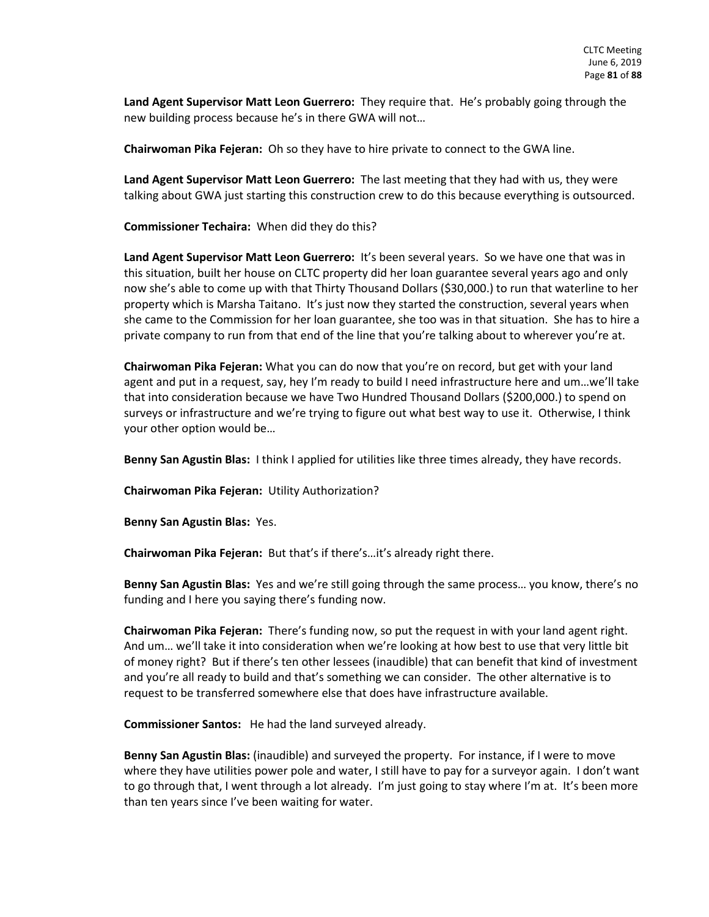**Land Agent Supervisor Matt Leon Guerrero:** They require that. He's probably going through the new building process because he's in there GWA will not…

**Chairwoman Pika Fejeran:** Oh so they have to hire private to connect to the GWA line.

**Land Agent Supervisor Matt Leon Guerrero:** The last meeting that they had with us, they were talking about GWA just starting this construction crew to do this because everything is outsourced.

**Commissioner Techaira:** When did they do this?

**Land Agent Supervisor Matt Leon Guerrero:** It's been several years. So we have one that was in this situation, built her house on CLTC property did her loan guarantee several years ago and only now she's able to come up with that Thirty Thousand Dollars (\$30,000.) to run that waterline to her property which is Marsha Taitano. It's just now they started the construction, several years when she came to the Commission for her loan guarantee, she too was in that situation. She has to hire a private company to run from that end of the line that you're talking about to wherever you're at.

**Chairwoman Pika Fejeran:** What you can do now that you're on record, but get with your land agent and put in a request, say, hey I'm ready to build I need infrastructure here and um…we'll take that into consideration because we have Two Hundred Thousand Dollars (\$200,000.) to spend on surveys or infrastructure and we're trying to figure out what best way to use it. Otherwise, I think your other option would be…

**Benny San Agustin Blas:** I think I applied for utilities like three times already, they have records.

**Chairwoman Pika Fejeran:** Utility Authorization?

**Benny San Agustin Blas:** Yes.

**Chairwoman Pika Fejeran:** But that's if there's…it's already right there.

**Benny San Agustin Blas:** Yes and we're still going through the same process… you know, there's no funding and I here you saying there's funding now.

**Chairwoman Pika Fejeran:** There's funding now, so put the request in with your land agent right. And um… we'll take it into consideration when we're looking at how best to use that very little bit of money right? But if there's ten other lessees (inaudible) that can benefit that kind of investment and you're all ready to build and that's something we can consider. The other alternative is to request to be transferred somewhere else that does have infrastructure available.

**Commissioner Santos:** He had the land surveyed already.

**Benny San Agustin Blas:** (inaudible) and surveyed the property. For instance, if I were to move where they have utilities power pole and water, I still have to pay for a surveyor again. I don't want to go through that, I went through a lot already. I'm just going to stay where I'm at. It's been more than ten years since I've been waiting for water.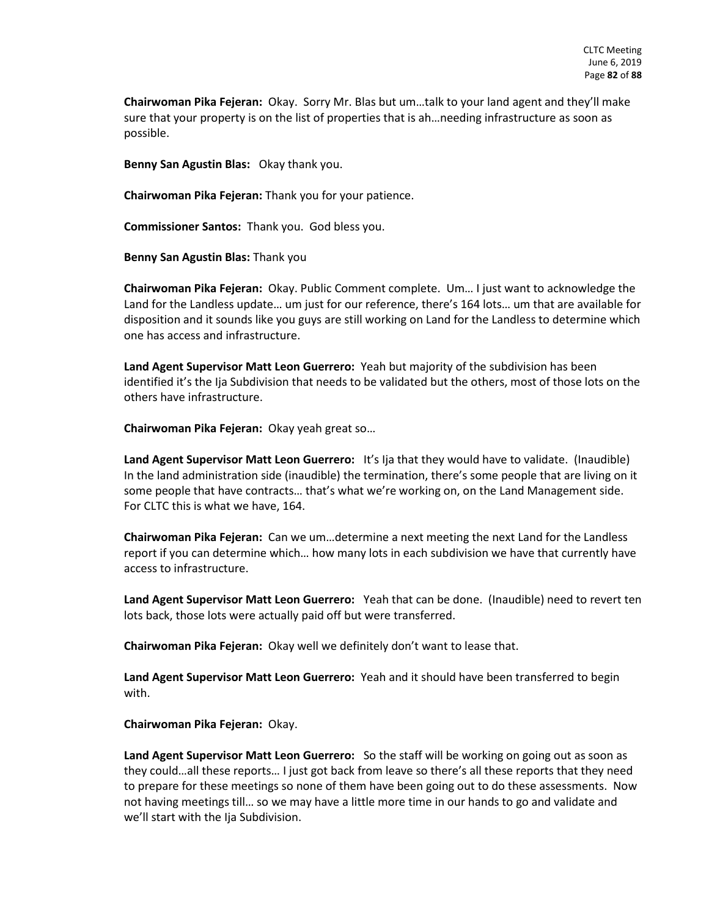**Chairwoman Pika Fejeran:** Okay. Sorry Mr. Blas but um…talk to your land agent and they'll make sure that your property is on the list of properties that is ah…needing infrastructure as soon as possible.

**Benny San Agustin Blas:** Okay thank you.

**Chairwoman Pika Fejeran:** Thank you for your patience.

**Commissioner Santos:** Thank you. God bless you.

**Benny San Agustin Blas:** Thank you

**Chairwoman Pika Fejeran:** Okay. Public Comment complete. Um… I just want to acknowledge the Land for the Landless update… um just for our reference, there's 164 lots… um that are available for disposition and it sounds like you guys are still working on Land for the Landless to determine which one has access and infrastructure.

**Land Agent Supervisor Matt Leon Guerrero:** Yeah but majority of the subdivision has been identified it's the Ija Subdivision that needs to be validated but the others, most of those lots on the others have infrastructure.

**Chairwoman Pika Fejeran:** Okay yeah great so…

**Land Agent Supervisor Matt Leon Guerrero:** It's Ija that they would have to validate. (Inaudible) In the land administration side (inaudible) the termination, there's some people that are living on it some people that have contracts… that's what we're working on, on the Land Management side. For CLTC this is what we have, 164.

**Chairwoman Pika Fejeran:** Can we um…determine a next meeting the next Land for the Landless report if you can determine which… how many lots in each subdivision we have that currently have access to infrastructure.

**Land Agent Supervisor Matt Leon Guerrero:** Yeah that can be done. (Inaudible) need to revert ten lots back, those lots were actually paid off but were transferred.

**Chairwoman Pika Fejeran:** Okay well we definitely don't want to lease that.

**Land Agent Supervisor Matt Leon Guerrero:** Yeah and it should have been transferred to begin with.

**Chairwoman Pika Fejeran:** Okay.

**Land Agent Supervisor Matt Leon Guerrero:** So the staff will be working on going out as soon as they could…all these reports… I just got back from leave so there's all these reports that they need to prepare for these meetings so none of them have been going out to do these assessments. Now not having meetings till… so we may have a little more time in our hands to go and validate and we'll start with the Ija Subdivision.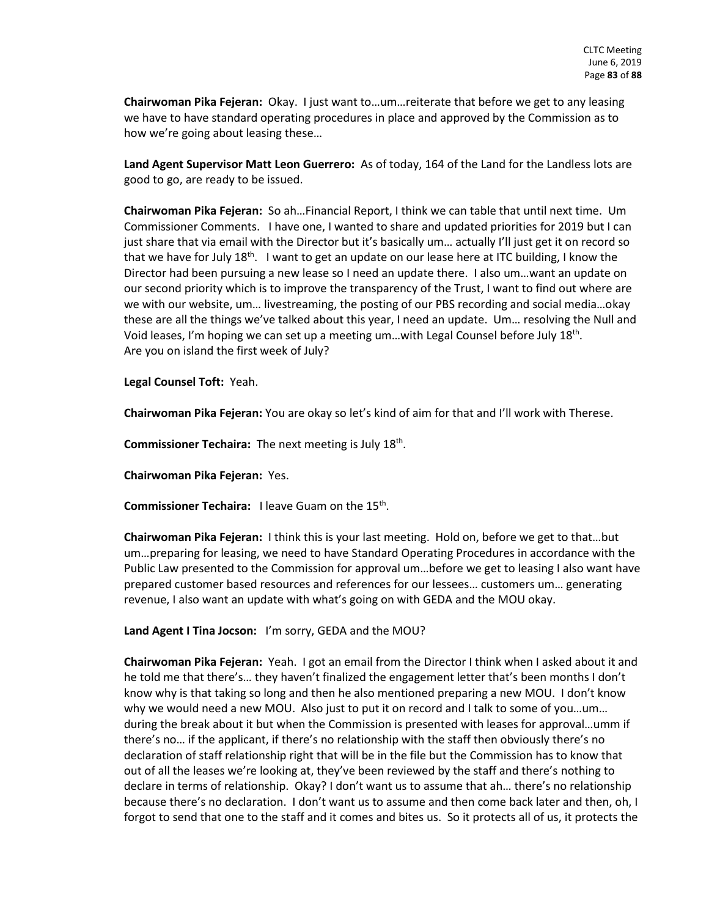**Chairwoman Pika Fejeran:** Okay. I just want to…um…reiterate that before we get to any leasing we have to have standard operating procedures in place and approved by the Commission as to how we're going about leasing these…

**Land Agent Supervisor Matt Leon Guerrero:** As of today, 164 of the Land for the Landless lots are good to go, are ready to be issued.

**Chairwoman Pika Fejeran:** So ah…Financial Report, I think we can table that until next time. Um Commissioner Comments. I have one, I wanted to share and updated priorities for 2019 but I can just share that via email with the Director but it's basically um… actually I'll just get it on record so that we have for July 18<sup>th</sup>. I want to get an update on our lease here at ITC building, I know the Director had been pursuing a new lease so I need an update there. I also um…want an update on our second priority which is to improve the transparency of the Trust, I want to find out where are we with our website, um… livestreaming, the posting of our PBS recording and social media…okay these are all the things we've talked about this year, I need an update. Um… resolving the Null and Void leases, I'm hoping we can set up a meeting um...with Legal Counsel before July 18<sup>th</sup>. Are you on island the first week of July?

**Legal Counsel Toft:** Yeah.

**Chairwoman Pika Fejeran:** You are okay so let's kind of aim for that and I'll work with Therese.

Commissioner Techaira: The next meeting is July 18<sup>th</sup>.

**Chairwoman Pika Fejeran:** Yes.

**Commissioner Techaira:** I leave Guam on the 15<sup>th</sup>.

**Chairwoman Pika Fejeran:** I think this is your last meeting. Hold on, before we get to that…but um…preparing for leasing, we need to have Standard Operating Procedures in accordance with the Public Law presented to the Commission for approval um…before we get to leasing I also want have prepared customer based resources and references for our lessees… customers um… generating revenue, I also want an update with what's going on with GEDA and the MOU okay.

Land Agent I Tina Jocson: I'm sorry, GEDA and the MOU?

**Chairwoman Pika Fejeran:** Yeah. I got an email from the Director I think when I asked about it and he told me that there's… they haven't finalized the engagement letter that's been months I don't know why is that taking so long and then he also mentioned preparing a new MOU. I don't know why we would need a new MOU. Also just to put it on record and I talk to some of you...um... during the break about it but when the Commission is presented with leases for approval…umm if there's no… if the applicant, if there's no relationship with the staff then obviously there's no declaration of staff relationship right that will be in the file but the Commission has to know that out of all the leases we're looking at, they've been reviewed by the staff and there's nothing to declare in terms of relationship. Okay? I don't want us to assume that ah… there's no relationship because there's no declaration. I don't want us to assume and then come back later and then, oh, I forgot to send that one to the staff and it comes and bites us. So it protects all of us, it protects the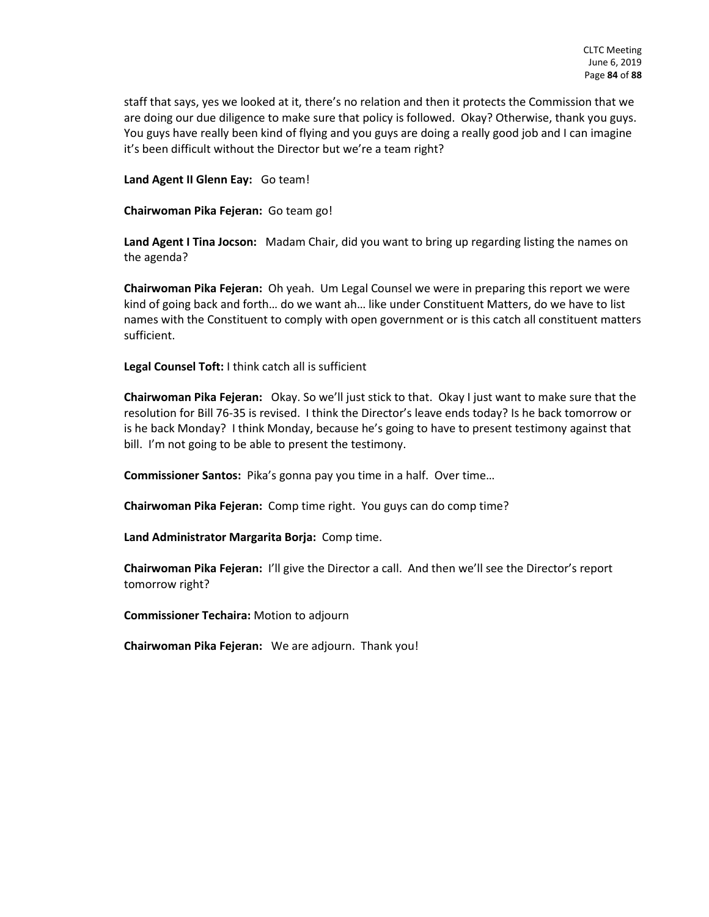staff that says, yes we looked at it, there's no relation and then it protects the Commission that we are doing our due diligence to make sure that policy is followed. Okay? Otherwise, thank you guys. You guys have really been kind of flying and you guys are doing a really good job and I can imagine it's been difficult without the Director but we're a team right?

**Land Agent II Glenn Eay:** Go team!

**Chairwoman Pika Fejeran:** Go team go!

**Land Agent I Tina Jocson:** Madam Chair, did you want to bring up regarding listing the names on the agenda?

**Chairwoman Pika Fejeran:** Oh yeah. Um Legal Counsel we were in preparing this report we were kind of going back and forth… do we want ah… like under Constituent Matters, do we have to list names with the Constituent to comply with open government or is this catch all constituent matters sufficient.

**Legal Counsel Toft:** I think catch all is sufficient

**Chairwoman Pika Fejeran:** Okay. So we'll just stick to that. Okay I just want to make sure that the resolution for Bill 76-35 is revised. I think the Director's leave ends today? Is he back tomorrow or is he back Monday? I think Monday, because he's going to have to present testimony against that bill. I'm not going to be able to present the testimony.

**Commissioner Santos:** Pika's gonna pay you time in a half. Over time…

**Chairwoman Pika Fejeran:** Comp time right. You guys can do comp time?

**Land Administrator Margarita Borja:** Comp time.

**Chairwoman Pika Fejeran:** I'll give the Director a call. And then we'll see the Director's report tomorrow right?

**Commissioner Techaira:** Motion to adjourn

**Chairwoman Pika Fejeran:** We are adjourn. Thank you!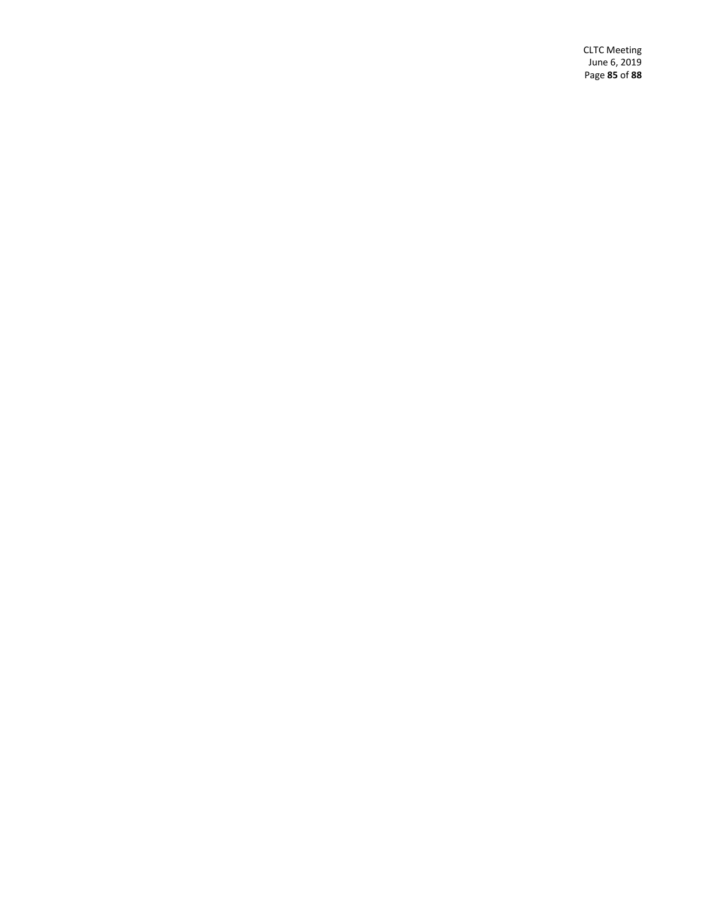CLTC Meeting June 6, 2019 Page **85** of **88**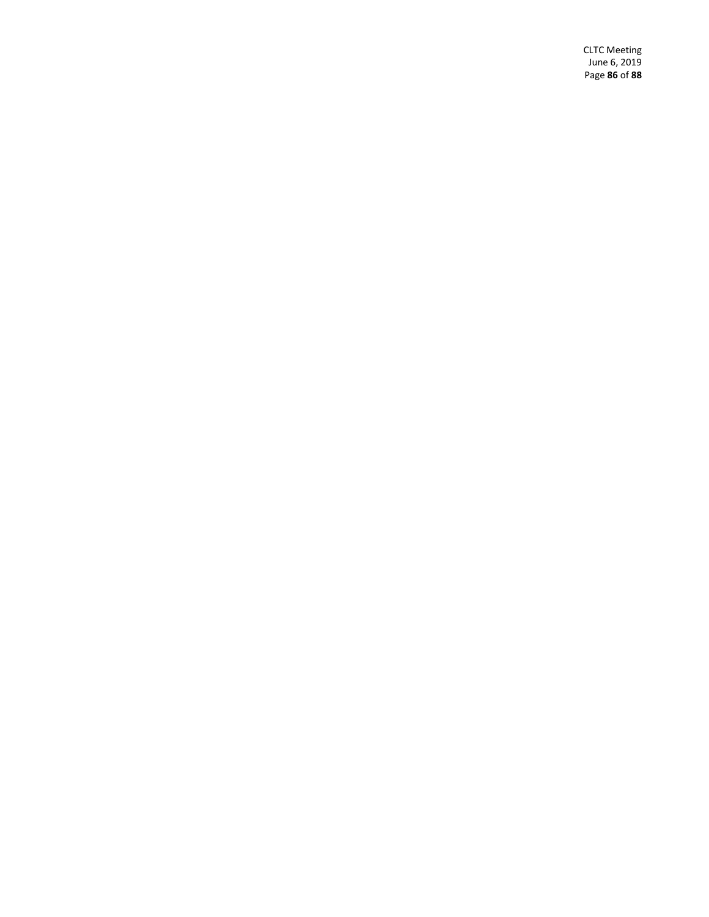CLTC Meeting June 6, 2019 Page **86** of **88**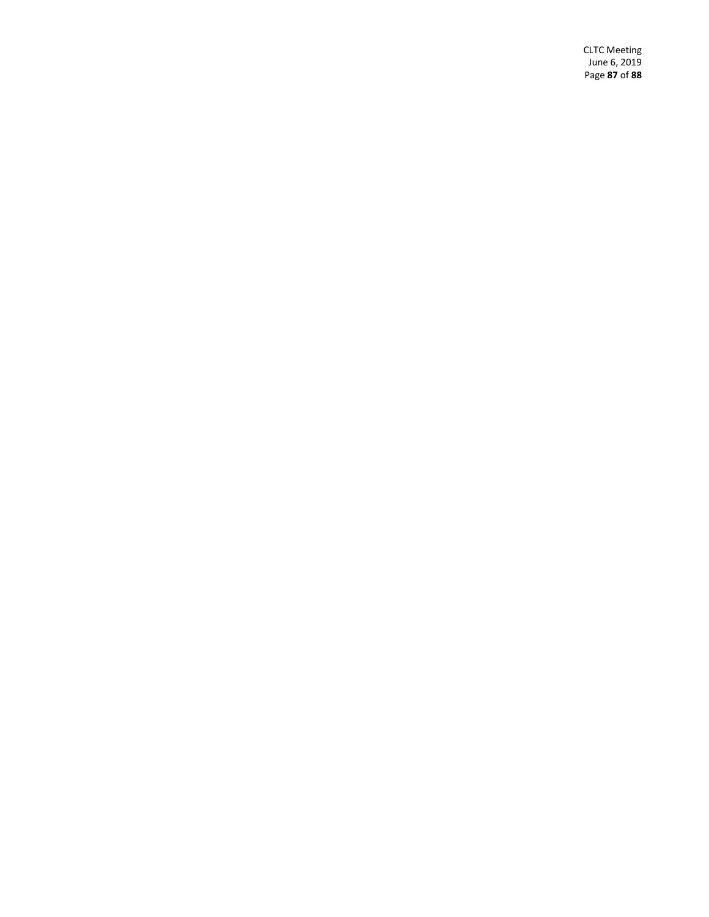CLTC Meeting June 6, 2019 Page **87** of **88**